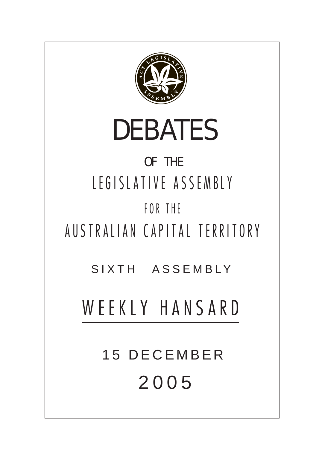

# DEBATES

# OF THE LEGISLATIVE ASSEMBLY FOR THE

AUSTRALIAN CAPITAL TERRITORY

SIXTH ASSEMBLY

# WEEKLY HANSARD

**15 DECEMBER** 200 5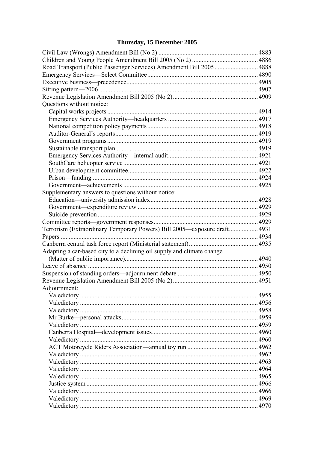# Thursday, 15 December 2005

| Road Transport (Public Passenger Services) Amendment Bill 2005 4888      |      |
|--------------------------------------------------------------------------|------|
|                                                                          |      |
|                                                                          |      |
|                                                                          |      |
|                                                                          |      |
| Questions without notice:                                                |      |
| Capital works projects                                                   | 4914 |
|                                                                          |      |
|                                                                          |      |
|                                                                          |      |
|                                                                          |      |
|                                                                          |      |
|                                                                          |      |
|                                                                          |      |
|                                                                          |      |
|                                                                          |      |
|                                                                          |      |
| Supplementary answers to questions without notice:                       |      |
|                                                                          |      |
|                                                                          |      |
|                                                                          |      |
|                                                                          |      |
| Terrorism (Extraordinary Temporary Powers) Bill 2005—exposure draft 4931 |      |
|                                                                          |      |
|                                                                          |      |
| Adapting a car-based city to a declining oil supply and climate change   |      |
|                                                                          |      |
|                                                                          |      |
|                                                                          |      |
|                                                                          |      |
| Adjournment:                                                             |      |
|                                                                          |      |
|                                                                          |      |
|                                                                          |      |
|                                                                          |      |
|                                                                          |      |
|                                                                          |      |
|                                                                          |      |
|                                                                          |      |
|                                                                          |      |
|                                                                          |      |
|                                                                          |      |
|                                                                          |      |
|                                                                          |      |
|                                                                          |      |
|                                                                          |      |
|                                                                          |      |
|                                                                          |      |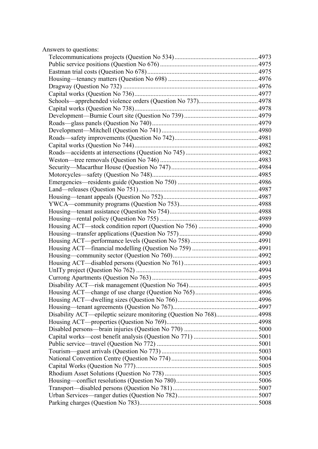| Answers to questions:                                              |      |
|--------------------------------------------------------------------|------|
|                                                                    |      |
|                                                                    |      |
|                                                                    |      |
|                                                                    |      |
|                                                                    |      |
|                                                                    |      |
|                                                                    |      |
|                                                                    |      |
|                                                                    |      |
|                                                                    |      |
|                                                                    |      |
|                                                                    |      |
|                                                                    |      |
|                                                                    |      |
|                                                                    |      |
|                                                                    |      |
|                                                                    |      |
|                                                                    |      |
|                                                                    |      |
|                                                                    |      |
|                                                                    |      |
|                                                                    |      |
|                                                                    |      |
|                                                                    |      |
|                                                                    |      |
|                                                                    |      |
|                                                                    |      |
|                                                                    |      |
|                                                                    |      |
|                                                                    |      |
|                                                                    |      |
| Disability ACT—risk management (Question No 764)                   | 4995 |
|                                                                    |      |
|                                                                    |      |
|                                                                    |      |
| Disability ACT—epileptic seizure monitoring (Question No 768) 4998 |      |
|                                                                    |      |
|                                                                    |      |
|                                                                    |      |
|                                                                    |      |
|                                                                    |      |
|                                                                    |      |
|                                                                    |      |
|                                                                    |      |
|                                                                    |      |
|                                                                    |      |
|                                                                    |      |
|                                                                    |      |
|                                                                    |      |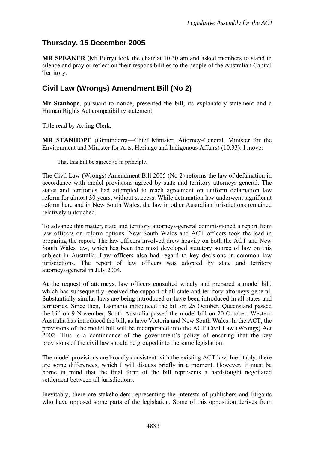# <span id="page-4-0"></span>**Thursday, 15 December 2005**

**MR SPEAKER** (Mr Berry) took the chair at 10.30 am and asked members to stand in silence and pray or reflect on their responsibilities to the people of the Australian Capital Territory.

# **Civil Law (Wrongs) Amendment Bill (No 2)**

**Mr Stanhope**, pursuant to notice, presented the bill, its explanatory statement and a Human Rights Act compatibility statement.

Title read by Acting Clerk.

**MR STANHOPE** (Ginninderra—Chief Minister, Attorney-General, Minister for the Environment and Minister for Arts, Heritage and Indigenous Affairs) (10.33): I move:

That this bill be agreed to in principle.

The Civil Law (Wrongs) Amendment Bill 2005 (No 2) reforms the law of defamation in accordance with model provisions agreed by state and territory attorneys-general. The states and territories had attempted to reach agreement on uniform defamation law reform for almost 30 years, without success. While defamation law underwent significant reform here and in New South Wales, the law in other Australian jurisdictions remained relatively untouched.

To advance this matter, state and territory attorneys-general commissioned a report from law officers on reform options. New South Wales and ACT officers took the lead in preparing the report. The law officers involved drew heavily on both the ACT and New South Wales law, which has been the most developed statutory source of law on this subject in Australia. Law officers also had regard to key decisions in common law jurisdictions. The report of law officers was adopted by state and territory attorneys-general in July 2004.

At the request of attorneys, law officers consulted widely and prepared a model bill, which has subsequently received the support of all state and territory attorneys-general. Substantially similar laws are being introduced or have been introduced in all states and territories. Since then, Tasmania introduced the bill on 25 October, Queensland passed the bill on 9 November, South Australia passed the model bill on 20 October, Western Australia has introduced the bill, as have Victoria and New South Wales. In the ACT, the provisions of the model bill will be incorporated into the ACT Civil Law (Wrongs) Act 2002. This is a continuance of the government's policy of ensuring that the key provisions of the civil law should be grouped into the same legislation.

The model provisions are broadly consistent with the existing ACT law. Inevitably, there are some differences, which I will discuss briefly in a moment. However, it must be borne in mind that the final form of the bill represents a hard-fought negotiated settlement between all jurisdictions.

Inevitably, there are stakeholders representing the interests of publishers and litigants who have opposed some parts of the legislation. Some of this opposition derives from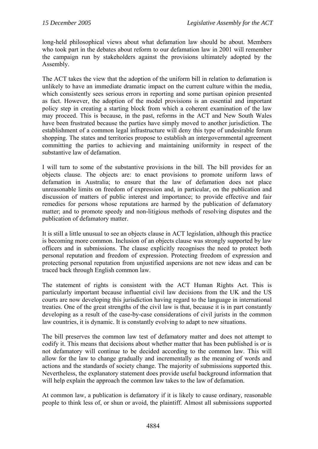long-held philosophical views about what defamation law should be about. Members who took part in the debates about reform to our defamation law in 2001 will remember the campaign run by stakeholders against the provisions ultimately adopted by the Assembly.

The ACT takes the view that the adoption of the uniform bill in relation to defamation is unlikely to have an immediate dramatic impact on the current culture within the media, which consistently sees serious errors in reporting and some partisan opinion presented as fact. However, the adoption of the model provisions is an essential and important policy step in creating a starting block from which a coherent examination of the law may proceed. This is because, in the past, reforms in the ACT and New South Wales have been frustrated because the parties have simply moved to another jurisdiction. The establishment of a common legal infrastructure will deny this type of undesirable forum shopping. The states and territories propose to establish an intergovernmental agreement committing the parties to achieving and maintaining uniformity in respect of the substantive law of defamation.

I will turn to some of the substantive provisions in the bill. The bill provides for an objects clause. The objects are: to enact provisions to promote uniform laws of defamation in Australia; to ensure that the law of defamation does not place unreasonable limits on freedom of expression and, in particular, on the publication and discussion of matters of public interest and importance; to provide effective and fair remedies for persons whose reputations are harmed by the publication of defamatory matter; and to promote speedy and non-litigious methods of resolving disputes and the publication of defamatory matter.

It is still a little unusual to see an objects clause in ACT legislation, although this practice is becoming more common. Inclusion of an objects clause was strongly supported by law officers and in submissions. The clause explicitly recognises the need to protect both personal reputation and freedom of expression. Protecting freedom of expression and protecting personal reputation from unjustified aspersions are not new ideas and can be traced back through English common law.

The statement of rights is consistent with the ACT Human Rights Act. This is particularly important because influential civil law decisions from the UK and the US courts are now developing this jurisdiction having regard to the language in international treaties. One of the great strengths of the civil law is that, because it is in part constantly developing as a result of the case-by-case considerations of civil jurists in the common law countries, it is dynamic. It is constantly evolving to adapt to new situations.

The bill preserves the common law test of defamatory matter and does not attempt to codify it. This means that decisions about whether matter that has been published is or is not defamatory will continue to be decided according to the common law. This will allow for the law to change gradually and incrementally as the meaning of words and actions and the standards of society change. The majority of submissions supported this. Nevertheless, the explanatory statement does provide useful background information that will help explain the approach the common law takes to the law of defamation.

At common law, a publication is defamatory if it is likely to cause ordinary, reasonable people to think less of, or shun or avoid, the plaintiff. Almost all submissions supported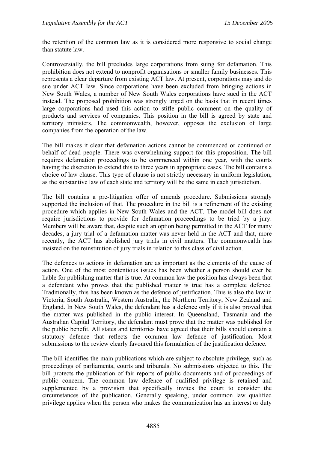the retention of the common law as it is considered more responsive to social change than statute law.

Controversially, the bill precludes large corporations from suing for defamation. This prohibition does not extend to nonprofit organisations or smaller family businesses. This represents a clear departure from existing ACT law. At present, corporations may and do sue under ACT law. Since corporations have been excluded from bringing actions in New South Wales, a number of New South Wales corporations have sued in the ACT instead. The proposed prohibition was strongly urged on the basis that in recent times large corporations had used this action to stifle public comment on the quality of products and services of companies. This position in the bill is agreed by state and territory ministers. The commonwealth, however, opposes the exclusion of large companies from the operation of the law.

The bill makes it clear that defamation actions cannot be commenced or continued on behalf of dead people. There was overwhelming support for this proposition. The bill requires defamation proceedings to be commenced within one year, with the courts having the discretion to extend this to three years in appropriate cases. The bill contains a choice of law clause. This type of clause is not strictly necessary in uniform legislation, as the substantive law of each state and territory will be the same in each jurisdiction.

The bill contains a pre-litigation offer of amends procedure. Submissions strongly supported the inclusion of that. The procedure in the bill is a refinement of the existing procedure which applies in New South Wales and the ACT. The model bill does not require jurisdictions to provide for defamation proceedings to be tried by a jury. Members will be aware that, despite such an option being permitted in the ACT for many decades, a jury trial of a defamation matter was never held in the ACT and that, more recently, the ACT has abolished jury trials in civil matters. The commonwealth has insisted on the reinstitution of jury trials in relation to this class of civil action.

The defences to actions in defamation are as important as the elements of the cause of action. One of the most contentious issues has been whether a person should ever be liable for publishing matter that is true. At common law the position has always been that a defendant who proves that the published matter is true has a complete defence. Traditionally, this has been known as the defence of justification. This is also the law in Victoria, South Australia, Western Australia, the Northern Territory, New Zealand and England. In New South Wales, the defendant has a defence only if it is also proved that the matter was published in the public interest. In Queensland, Tasmania and the Australian Capital Territory, the defendant must prove that the matter was published for the public benefit. All states and territories have agreed that their bills should contain a statutory defence that reflects the common law defence of justification. Most submissions to the review clearly favoured this formulation of the justification defence.

The bill identifies the main publications which are subject to absolute privilege, such as proceedings of parliaments, courts and tribunals. No submissions objected to this. The bill protects the publication of fair reports of public documents and of proceedings of public concern. The common law defence of qualified privilege is retained and supplemented by a provision that specifically invites the court to consider the circumstances of the publication. Generally speaking, under common law qualified privilege applies when the person who makes the communication has an interest or duty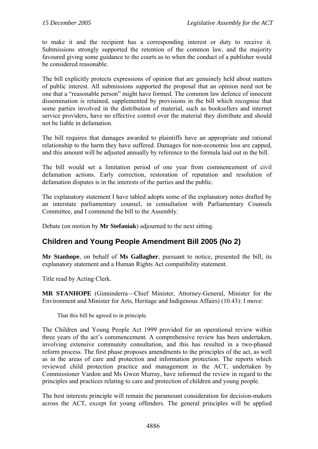<span id="page-7-0"></span>to make it and the recipient has a corresponding interest or duty to receive it. Submissions strongly supported the retention of the common law, and the majority favoured giving some guidance to the courts as to when the conduct of a publisher would be considered reasonable.

The bill explicitly protects expressions of opinion that are genuinely held about matters of public interest. All submissions supported the proposal that an opinion need not be one that a "reasonable person" might have formed. The common law defence of innocent dissemination is retained, supplemented by provisions in the bill which recognise that some parties involved in the distribution of material, such as booksellers and internet service providers, have no effective control over the material they distribute and should not be liable in defamation.

The bill requires that damages awarded to plaintiffs have an appropriate and rational relationship to the harm they have suffered. Damages for non-economic loss are capped, and this amount will be adjusted annually by reference to the formula laid out in the bill.

The bill would set a limitation period of one year from commencement of civil defamation actions. Early correction, restoration of reputation and resolution of defamation disputes is in the interests of the parties and the public.

The explanatory statement I have tabled adopts some of the explanatory notes drafted by an interstate parliamentary counsel, in consultation with Parliamentary Counsels Committee, and I commend the bill to the Assembly.

Debate (on motion by **Mr Stefaniak**) adjourned to the next sitting.

### **Children and Young People Amendment Bill 2005 (No 2)**

**Mr Stanhope**, on behalf of **Ms Gallagher**, pursuant to notice, presented the bill, its explanatory statement and a Human Rights Act compatibility statement.

Title read by Acting Clerk.

**MR STANHOPE** (Ginninderra—Chief Minister, Attorney-General, Minister for the Environment and Minister for Arts, Heritage and Indigenous Affairs) (10.43): I move:

That this bill be agreed to in principle.

The Children and Young People Act 1999 provided for an operational review within three years of the act's commencement. A comprehensive review has been undertaken, involving extensive community consultation, and this has resulted in a two-phased reform process. The first phase proposes amendments to the principles of the act, as well as in the areas of care and protection and information protection. The reports which reviewed child protection practice and management in the ACT, undertaken by Commissioner Vardon and Ms Gwen Murray, have informed the review in regard to the principles and practices relating to care and protection of children and young people.

The best interests principle will remain the paramount consideration for decision-makers across the ACT, except for young offenders. The general principles will be applied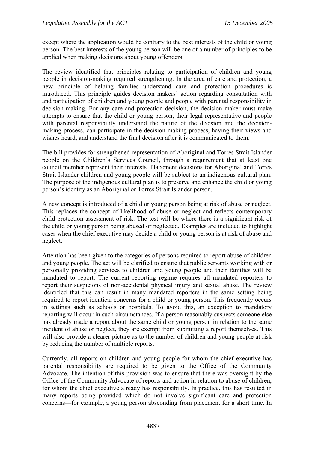except where the application would be contrary to the best interests of the child or young person. The best interests of the young person will be one of a number of principles to be applied when making decisions about young offenders.

The review identified that principles relating to participation of children and young people in decision-making required strengthening. In the area of care and protection, a new principle of helping families understand care and protection procedures is introduced. This principle guides decision makers' action regarding consultation with and participation of children and young people and people with parental responsibility in decision-making. For any care and protection decision, the decision maker must make attempts to ensure that the child or young person, their legal representative and people with parental responsibility understand the nature of the decision and the decisionmaking process, can participate in the decision-making process, having their views and wishes heard, and understand the final decision after it is communicated to them.

The bill provides for strengthened representation of Aboriginal and Torres Strait Islander people on the Children's Services Council, through a requirement that at least one council member represent their interests. Placement decisions for Aboriginal and Torres Strait Islander children and young people will be subject to an indigenous cultural plan. The purpose of the indigenous cultural plan is to preserve and enhance the child or young person's identity as an Aboriginal or Torres Strait Islander person.

A new concept is introduced of a child or young person being at risk of abuse or neglect. This replaces the concept of likelihood of abuse or neglect and reflects contemporary child protection assessment of risk. The test will be where there is a significant risk of the child or young person being abused or neglected. Examples are included to highlight cases when the chief executive may decide a child or young person is at risk of abuse and neglect.

Attention has been given to the categories of persons required to report abuse of children and young people. The act will be clarified to ensure that public servants working with or personally providing services to children and young people and their families will be mandated to report. The current reporting regime requires all mandated reporters to report their suspicions of non-accidental physical injury and sexual abuse. The review identified that this can result in many mandated reporters in the same setting being required to report identical concerns for a child or young person. This frequently occurs in settings such as schools or hospitals. To avoid this, an exception to mandatory reporting will occur in such circumstances. If a person reasonably suspects someone else has already made a report about the same child or young person in relation to the same incident of abuse or neglect, they are exempt from submitting a report themselves. This will also provide a clearer picture as to the number of children and young people at risk by reducing the number of multiple reports.

Currently, all reports on children and young people for whom the chief executive has parental responsibility are required to be given to the Office of the Community Advocate. The intention of this provision was to ensure that there was oversight by the Office of the Community Advocate of reports and action in relation to abuse of children, for whom the chief executive already has responsibility. In practice, this has resulted in many reports being provided which do not involve significant care and protection concerns—for example, a young person absconding from placement for a short time. In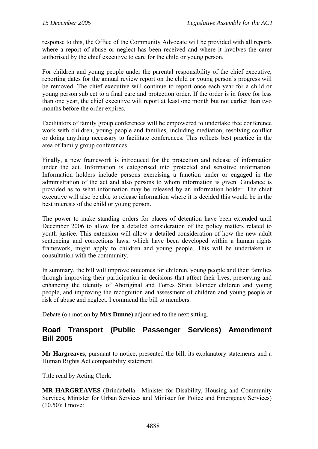<span id="page-9-0"></span>response to this, the Office of the Community Advocate will be provided with all reports where a report of abuse or neglect has been received and where it involves the carer authorised by the chief executive to care for the child or young person.

For children and young people under the parental responsibility of the chief executive, reporting dates for the annual review report on the child or young person's progress will be removed. The chief executive will continue to report once each year for a child or young person subject to a final care and protection order. If the order is in force for less than one year, the chief executive will report at least one month but not earlier than two months before the order expires.

Facilitators of family group conferences will be empowered to undertake free conference work with children, young people and families, including mediation, resolving conflict or doing anything necessary to facilitate conferences. This reflects best practice in the area of family group conferences.

Finally, a new framework is introduced for the protection and release of information under the act. Information is categorised into protected and sensitive information. Information holders include persons exercising a function under or engaged in the administration of the act and also persons to whom information is given. Guidance is provided as to what information may be released by an information holder. The chief executive will also be able to release information where it is decided this would be in the best interests of the child or young person.

The power to make standing orders for places of detention have been extended until December 2006 to allow for a detailed consideration of the policy matters related to youth justice. This extension will allow a detailed consideration of how the new adult sentencing and corrections laws, which have been developed within a human rights framework, might apply to children and young people. This will be undertaken in consultation with the community.

In summary, the bill will improve outcomes for children, young people and their families through improving their participation in decisions that affect their lives, preserving and enhancing the identity of Aboriginal and Torres Strait Islander children and young people, and improving the recognition and assessment of children and young people at risk of abuse and neglect. I commend the bill to members.

Debate (on motion by **Mrs Dunne**) adjourned to the next sitting.

#### **Road Transport (Public Passenger Services) Amendment Bill 2005**

**Mr Hargreaves**, pursuant to notice, presented the bill, its explanatory statements and a Human Rights Act compatibility statement.

Title read by Acting Clerk.

**MR HARGREAVES** (Brindabella—Minister for Disability, Housing and Community Services, Minister for Urban Services and Minister for Police and Emergency Services) (10.50): I move: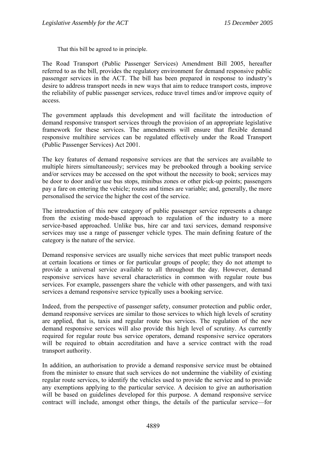That this bill be agreed to in principle.

The Road Transport (Public Passenger Services) Amendment Bill 2005, hereafter referred to as the bill, provides the regulatory environment for demand responsive public passenger services in the ACT. The bill has been prepared in response to industry's desire to address transport needs in new ways that aim to reduce transport costs, improve the reliability of public passenger services, reduce travel times and/or improve equity of access.

The government applauds this development and will facilitate the introduction of demand responsive transport services through the provision of an appropriate legislative framework for these services. The amendments will ensure that flexible demand responsive multihire services can be regulated effectively under the Road Transport (Public Passenger Services) Act 2001.

The key features of demand responsive services are that the services are available to multiple hirers simultaneously; services may be prebooked through a booking service and/or services may be accessed on the spot without the necessity to book; services may be door to door and/or use bus stops, minibus zones or other pick-up points; passengers pay a fare on entering the vehicle; routes and times are variable; and, generally, the more personalised the service the higher the cost of the service.

The introduction of this new category of public passenger service represents a change from the existing mode-based approach to regulation of the industry to a more service-based approached. Unlike bus, hire car and taxi services, demand responsive services may use a range of passenger vehicle types. The main defining feature of the category is the nature of the service.

Demand responsive services are usually niche services that meet public transport needs at certain locations or times or for particular groups of people; they do not attempt to provide a universal service available to all throughout the day. However, demand responsive services have several characteristics in common with regular route bus services. For example, passengers share the vehicle with other passengers, and with taxi services a demand responsive service typically uses a booking service.

Indeed, from the perspective of passenger safety, consumer protection and public order, demand responsive services are similar to those services to which high levels of scrutiny are applied, that is, taxis and regular route bus services. The regulation of the new demand responsive services will also provide this high level of scrutiny. As currently required for regular route bus service operators, demand responsive service operators will be required to obtain accreditation and have a service contract with the road transport authority.

In addition, an authorisation to provide a demand responsive service must be obtained from the minister to ensure that such services do not undermine the viability of existing regular route services, to identify the vehicles used to provide the service and to provide any exemptions applying to the particular service. A decision to give an authorisation will be based on guidelines developed for this purpose. A demand responsive service contract will include, amongst other things, the details of the particular service—for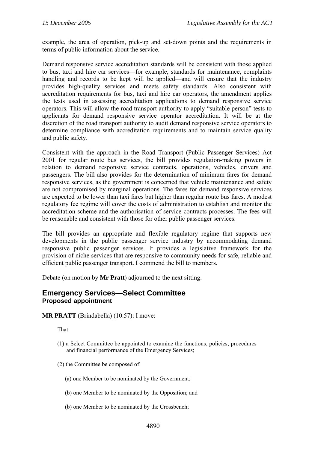<span id="page-11-0"></span>example, the area of operation, pick-up and set-down points and the requirements in terms of public information about the service.

Demand responsive service accreditation standards will be consistent with those applied to bus, taxi and hire car services—for example, standards for maintenance, complaints handling and records to be kept will be applied—and will ensure that the industry provides high-quality services and meets safety standards. Also consistent with accreditation requirements for bus, taxi and hire car operators, the amendment applies the tests used in assessing accreditation applications to demand responsive service operators. This will allow the road transport authority to apply "suitable person" tests to applicants for demand responsive service operator accreditation. It will be at the discretion of the road transport authority to audit demand responsive service operators to determine compliance with accreditation requirements and to maintain service quality and public safety.

Consistent with the approach in the Road Transport (Public Passenger Services) Act 2001 for regular route bus services, the bill provides regulation-making powers in relation to demand responsive service contracts, operations, vehicles, drivers and passengers. The bill also provides for the determination of minimum fares for demand responsive services, as the government is concerned that vehicle maintenance and safety are not compromised by marginal operations. The fares for demand responsive services are expected to be lower than taxi fares but higher than regular route bus fares. A modest regulatory fee regime will cover the costs of administration to establish and monitor the accreditation scheme and the authorisation of service contracts processes. The fees will be reasonable and consistent with those for other public passenger services.

The bill provides an appropriate and flexible regulatory regime that supports new developments in the public passenger service industry by accommodating demand responsive public passenger services. It provides a legislative framework for the provision of niche services that are responsive to community needs for safe, reliable and efficient public passenger transport. I commend the bill to members.

Debate (on motion by **Mr Pratt**) adjourned to the next sitting.

#### **Emergency Services—Select Committee Proposed appointment**

**MR PRATT** (Brindabella) (10.57): I move:

That:

- (1) a Select Committee be appointed to examine the functions, policies, procedures and financial performance of the Emergency Services;
- (2) the Committee be composed of:
	- (a) one Member to be nominated by the Government;
	- (b) one Member to be nominated by the Opposition; and
	- (b) one Member to be nominated by the Crossbench;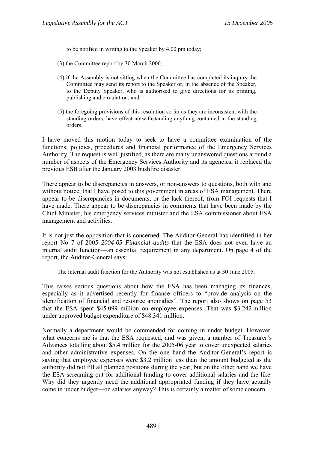to be notified in writing to the Speaker by 4.00 pm today;

- (3) the Committee report by 30 March 2006;
- (4) if the Assembly is not sitting when the Committee has completed its inquiry the Committee may send its report to the Speaker or, in the absence of the Speaker, to the Deputy Speaker, who is authorised to give directions for its printing, publishing and circulation; and
- (5) the foregoing provisions of this resolution so far as they are inconsistent with the standing orders, have effect notwithstanding anything contained in the standing orders.

I have moved this motion today to seek to have a committee examination of the functions, policies, procedures and financial performance of the Emergency Services Authority. The request is well justified, as there are many unanswered questions around a number of aspects of the Emergency Services Authority and its agencies, it replaced the previous ESB after the January 2003 bushfire disaster.

There appear to be discrepancies in answers, or non-answers to questions, both with and without notice, that I have posed to this government in areas of ESA management. There appear to be discrepancies in documents, or the lack thereof, from FOI requests that I have made. There appear to be discrepancies in comments that have been made by the Chief Minister, his emergency services minister and the ESA commissioner about ESA management and activities.

It is not just the opposition that is concerned. The Auditor-General has identified in her report No 7 of 2005 *2004-05 Financial audits* that the ESA does not even have an internal audit function—an essential requirement in any department. On page 4 of the report, the Auditor-General says:

The internal audit function for the Authority was not established as at 30 June 2005.

This raises serious questions about how the ESA has been managing its finances, especially as it advertised recently for finance officers to "provide analysis on the identification of financial and resource anomalies". The report also shows on page 53 that the ESA spent \$45.099 million on employee expenses. That was \$3.242 million under approved budget expenditure of \$48.341 million.

Normally a department would be commended for coming in under budget. However, what concerns me is that the ESA requested, and was given, a number of Treasurer's Advances totalling about \$5.4 million for the 2005-06 year to cover unexpected salaries and other administrative expenses. On the one hand the Auditor-General's report is saying that employee expenses were \$3.2 million less than the amount budgeted as the authority did not fill all planned positions during the year, but on the other hand we have the ESA screaming out for additional funding to cover additional salaries and the like. Why did they urgently need the additional appropriated funding if they have actually come in under budget—on salaries anyway? This is certainly a matter of some concern.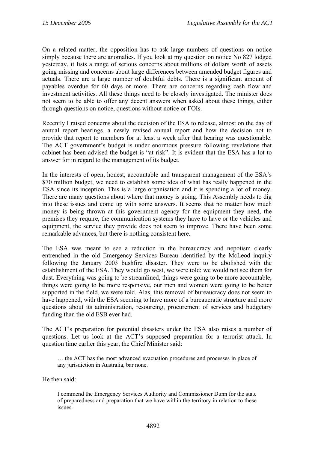On a related matter, the opposition has to ask large numbers of questions on notice simply because there are anomalies. If you look at my question on notice No 827 lodged yesterday, it lists a range of serious concerns about millions of dollars worth of assets going missing and concerns about large differences between amended budget figures and actuals. There are a large number of doubtful debts. There is a significant amount of payables overdue for 60 days or more. There are concerns regarding cash flow and investment activities. All these things need to be closely investigated. The minister does not seem to be able to offer any decent answers when asked about these things, either through questions on notice, questions without notice or FOIs.

Recently I raised concerns about the decision of the ESA to release, almost on the day of annual report hearings, a newly revised annual report and how the decision not to provide that report to members for at least a week after that hearing was questionable. The ACT government's budget is under enormous pressure following revelations that cabinet has been advised the budget is "at risk". It is evident that the ESA has a lot to answer for in regard to the management of its budget.

In the interests of open, honest, accountable and transparent management of the ESA's \$70 million budget, we need to establish some idea of what has really happened in the ESA since its inception. This is a large organisation and it is spending a lot of money. There are many questions about where that money is going. This Assembly needs to dig into these issues and come up with some answers. It seems that no matter how much money is being thrown at this government agency for the equipment they need, the premises they require, the communication systems they have to have or the vehicles and equipment, the service they provide does not seem to improve. There have been some remarkable advances, but there is nothing consistent here.

The ESA was meant to see a reduction in the bureaucracy and nepotism clearly entrenched in the old Emergency Services Bureau identified by the McLeod inquiry following the January 2003 bushfire disaster. They were to be abolished with the establishment of the ESA. They would go west, we were told; we would not see them for dust. Everything was going to be streamlined, things were going to be more accountable, things were going to be more responsive, our men and women were going to be better supported in the field, we were told. Alas, this removal of bureaucracy does not seem to have happened, with the ESA seeming to have more of a bureaucratic structure and more questions about its administration, resourcing, procurement of services and budgetary funding than the old ESB ever had.

The ACT's preparation for potential disasters under the ESA also raises a number of questions. Let us look at the ACT's supposed preparation for a terrorist attack. In question time earlier this year, the Chief Minister said:

… the ACT has the most advanced evacuation procedures and processes in place of any jurisdiction in Australia, bar none.

He then said:

I commend the Emergency Services Authority and Commissioner Dunn for the state of preparedness and preparation that we have within the territory in relation to these issues.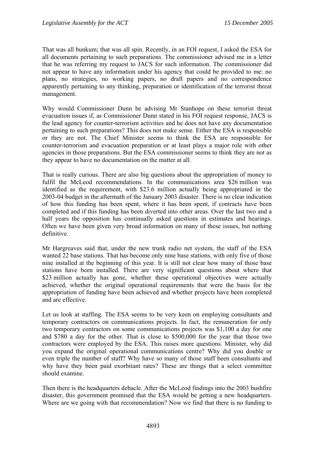That was all bunkum; that was all spin. Recently, in an FOI request, I asked the ESA for all documents pertaining to such preparations. The commissioner advised me in a letter that he was referring my request to JACS for such information. The commissioner did not appear to have any information under his agency that could be provided to me: no plans, no strategies, no working papers, no draft papers and no correspondence apparently pertaining to any thinking, preparation or identification of the terrorist threat management.

Why would Commissioner Dunn be advising Mr Stanhope on these terrorist threat evacuation issues if, as Commissioner Dunn stated in his FOI request response, JACS is the lead agency for counter-terrorism activities and he does not have any documentation pertaining to such preparations? This does not make sense. Either the ESA is responsible or they are not. The Chief Minister seems to think the ESA are responsible for counter-terrorism and evacuation preparation or at least plays a major role with other agencies in those preparations. But the ESA commissioner seems to think they are not as they appear to have no documentation on the matter at all.

That is really curious. There are also big questions about the appropriation of money to fulfil the McLeod recommendations. In the communications area \$26 million was identified as the requirement, with \$23.6 million actually being appropriated in the 2003-04 budget in the aftermath of the January 2003 disaster. There is no clear indication of how this funding has been spent, where it has been spent, if contracts have been completed and if this funding has been diverted into other areas. Over the last two and a half years the opposition has continually asked questions in estimates and hearings. Often we have been given very broad information on many of these issues, but nothing definitive.

Mr Hargreaves said that, under the new trunk radio net system, the staff of the ESA wanted 22 base stations. That has become only nine base stations, with only five of those nine installed at the beginning of this year. It is still not clear how many of those base stations have been installed. There are very significant questions about where that \$23 million actually has gone, whether these operational objectives were actually achieved, whether the original operational requirements that were the basis for the appropriation of funding have been achieved and whether projects have been completed and are effective.

Let us look at staffing. The ESA seems to be very keen on employing consultants and temporary contractors on communications projects. In fact, the remuneration for only two temporary contractors on some communications projects was \$1,100 a day for one and \$780 a day for the other. That is close to \$500,000 for the year that those two contractors were employed by the ESA. This raises more questions. Minister, why did you expand the original operational communications centre? Why did you double or even triple the number of staff? Why have so many of those staff been consultants and why have they been paid exorbitant rates? These are things that a select committee should examine.

Then there is the headquarters debacle. After the McLeod findings into the 2003 bushfire disaster, this government promised that the ESA would be getting a new headquarters. Where are we going with that recommendation? Now we find that there is no funding to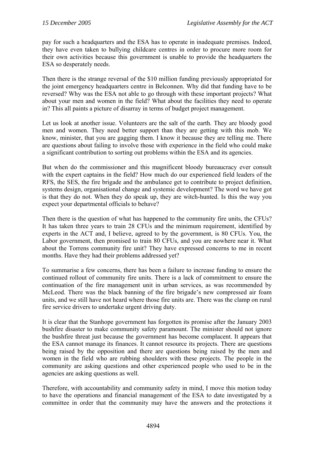pay for such a headquarters and the ESA has to operate in inadequate premises. Indeed, they have even taken to bullying childcare centres in order to procure more room for their own activities because this government is unable to provide the headquarters the ESA so desperately needs.

Then there is the strange reversal of the \$10 million funding previously appropriated for the joint emergency headquarters centre in Belconnen. Why did that funding have to be reversed? Why was the ESA not able to go through with these important projects? What about your men and women in the field? What about the facilities they need to operate in? This all paints a picture of disarray in terms of budget project management.

Let us look at another issue. Volunteers are the salt of the earth. They are bloody good men and women. They need better support than they are getting with this mob. We know, minister, that you are gagging them. I know it because they are telling me. There are questions about failing to involve those with experience in the field who could make a significant contribution to sorting out problems within the ESA and its agencies.

But when do the commissioner and this magnificent bloody bureaucracy ever consult with the expert captains in the field? How much do our experienced field leaders of the RFS, the SES, the fire brigade and the ambulance get to contribute to project definition, systems design, organisational change and systemic development? The word we have got is that they do not. When they do speak up, they are witch-hunted. Is this the way you expect your departmental officials to behave?

Then there is the question of what has happened to the community fire units, the CFUs? It has taken three years to train 28 CFUs and the minimum requirement, identified by experts in the ACT and, I believe, agreed to by the government, is 80 CFUs. You, the Labor government, then promised to train 80 CFUs, and you are nowhere near it. What about the Torrens community fire unit? They have expressed concerns to me in recent months. Have they had their problems addressed yet?

To summarise a few concerns, there has been a failure to increase funding to ensure the continued rollout of community fire units. There is a lack of commitment to ensure the continuation of the fire management unit in urban services, as was recommended by McLeod. There was the black banning of the fire brigade's new compressed air foam units, and we still have not heard where those fire units are. There was the clamp on rural fire service drivers to undertake urgent driving duty.

It is clear that the Stanhope government has forgotten its promise after the January 2003 bushfire disaster to make community safety paramount. The minister should not ignore the bushfire threat just because the government has become complacent. It appears that the ESA cannot manage its finances. It cannot resource its projects. There are questions being raised by the opposition and there are questions being raised by the men and women in the field who are rubbing shoulders with these projects. The people in the community are asking questions and other experienced people who used to be in the agencies are asking questions as well.

Therefore, with accountability and community safety in mind, I move this motion today to have the operations and financial management of the ESA to date investigated by a committee in order that the community may have the answers and the protections it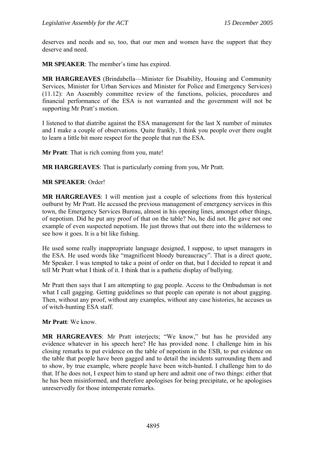deserves and needs and so, too, that our men and women have the support that they deserve and need.

**MR SPEAKER**: The member's time has expired.

**MR HARGREAVES** (Brindabella—Minister for Disability, Housing and Community Services, Minister for Urban Services and Minister for Police and Emergency Services) (11.12): An Assembly committee review of the functions, policies, procedures and financial performance of the ESA is not warranted and the government will not be supporting Mr Pratt's motion.

I listened to that diatribe against the ESA management for the last X number of minutes and I make a couple of observations. Quite frankly, I think you people over there ought to learn a little bit more respect for the people that run the ESA.

**Mr Pratt**: That is rich coming from you, mate!

**MR HARGREAVES**: That is particularly coming from you, Mr Pratt.

**MR SPEAKER**: Order!

**MR HARGREAVES**: I will mention just a couple of selections from this hysterical outburst by Mr Pratt. He accused the previous management of emergency services in this town, the Emergency Services Bureau, almost in his opening lines, amongst other things, of nepotism. Did he put any proof of that on the table? No, he did not. He gave not one example of even suspected nepotism. He just throws that out there into the wilderness to see how it goes. It is a bit like fishing.

He used some really inappropriate language designed, I suppose, to upset managers in the ESA. He used words like "magnificent bloody bureaucracy". That is a direct quote, Mr Speaker. I was tempted to take a point of order on that, but I decided to repeat it and tell Mr Pratt what I think of it. I think that is a pathetic display of bullying.

Mr Pratt then says that I am attempting to gag people. Access to the Ombudsman is not what I call gagging. Getting guidelines so that people can operate is not about gagging. Then, without any proof, without any examples, without any case histories, he accuses us of witch-hunting ESA staff.

**Mr Pratt**: We know.

**MR HARGREAVES**: Mr Pratt interjects; "We know," but has he provided any evidence whatever in his speech here? He has provided none. I challenge him in his closing remarks to put evidence on the table of nepotism in the ESB, to put evidence on the table that people have been gagged and to detail the incidents surrounding them and to show, by true example, where people have been witch-hunted. I challenge him to do that. If he does not, I expect him to stand up here and admit one of two things: either that he has been misinformed, and therefore apologises for being precipitate, or he apologises unreservedly for those intemperate remarks.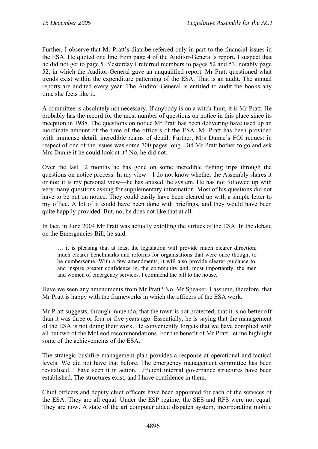Further, I observe that Mr Pratt's diatribe referred only in part to the financial issues in the ESA. He quoted one line from page 4 of the Auditor-General's report. I suspect that he did not get to page 5. Yesterday I referred members to pages 52 and 53, notably page 52, in which the Auditor-General gave an unqualified report. Mr Pratt questioned what trends exist within the expenditure patterning of the ESA. That is an audit. The annual reports are audited every year. The Auditor-General is entitled to audit the books any time she feels like it.

A committee is absolutely not necessary. If anybody is on a witch-hunt, it is Mr Pratt. He probably has the record for the most number of questions on notice in this place since its inception in 1988. The questions on notice Mr Pratt has been delivering have used up an inordinate amount of the time of the officers of the ESA. Mr Pratt has been provided with immense detail, incredible reams of detail. Further, Mrs Dunne's FOI request in respect of one of the issues was some 700 pages long. Did Mr Pratt bother to go and ask Mrs Dunne if he could look at it? No, he did not.

Over the last 12 months he has gone on some incredible fishing trips through the questions on notice process. In my view—I do not know whether the Assembly shares it or not; it is my personal view—he has abused the system. He has not followed up with very many questions asking for supplementary information. Most of his questions did not have to be put on notice. They could easily have been cleared up with a simple letter to my office. A lot of it could have been done with briefings, and they would have been quite happily provided. But, no, he does not like that at all.

In fact, in June 2004 Mr Pratt was actually extolling the virtues of the ESA. In the debate on the Emergencies Bill, he said:

… it is pleasing that at least the legislation will provide much clearer direction, much clearer benchmarks and reforms for organisations that were once thought to be cumbersome. With a few amendments, it will also provide clearer guidance to, and inspire greater confidence in, the community and, most importantly, the men and women of emergency services. I commend the bill to the house.

Have we seen any amendments from Mr Pratt? No, Mr Speaker. I assume, therefore, that Mr Pratt is happy with the frameworks in which the officers of the ESA work.

Mr Pratt suggests, through innuendo, that the town is not protected; that it is no better off than it was three or four or five years ago. Essentially, he is saying that the management of the ESA is not doing their work. He conveniently forgets that we have complied with all but two of the McLeod recommendations. For the benefit of Mr Pratt, let me highlight some of the achievements of the ESA.

The strategic bushfire management plan provides a response at operational and tactical levels. We did not have that before. The emergency management committee has been revitalised. I have seen it in action. Efficient internal governance structures have been established. The structures exist, and I have confidence in them.

Chief officers and deputy chief officers have been appointed for each of the services of the ESA. They are all equal. Under the ESP regime, the SES and RFS were not equal. They are now. A state of the art computer aided dispatch system, incorporating mobile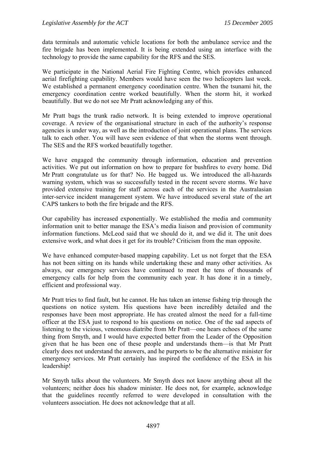data terminals and automatic vehicle locations for both the ambulance service and the fire brigade has been implemented. It is being extended using an interface with the technology to provide the same capability for the RFS and the SES.

We participate in the National Aerial Fire Fighting Centre, which provides enhanced aerial firefighting capability. Members would have seen the two helicopters last week. We established a permanent emergency coordination centre. When the tsunami hit, the emergency coordination centre worked beautifully. When the storm hit, it worked beautifully. But we do not see Mr Pratt acknowledging any of this.

Mr Pratt bags the trunk radio network. It is being extended to improve operational coverage. A review of the organisational structure in each of the authority's response agencies is under way, as well as the introduction of joint operational plans. The services talk to each other. You will have seen evidence of that when the storms went through. The SES and the RFS worked beautifully together.

We have engaged the community through information, education and prevention activities. We put out information on how to prepare for bushfires to every home. Did Mr Pratt congratulate us for that? No. He bagged us. We introduced the all-hazards warning system, which was so successfully tested in the recent severe storms. We have provided extensive training for staff across each of the services in the Australasian inter-service incident management system. We have introduced several state of the art CAPS tankers to both the fire brigade and the RFS.

Our capability has increased exponentially. We established the media and community information unit to better manage the ESA's media liaison and provision of community information functions. McLeod said that we should do it, and we did it. The unit does extensive work, and what does it get for its trouble? Criticism from the man opposite.

We have enhanced computer-based mapping capability. Let us not forget that the ESA has not been sitting on its hands while undertaking these and many other activities. As always, our emergency services have continued to meet the tens of thousands of emergency calls for help from the community each year. It has done it in a timely, efficient and professional way.

Mr Pratt tries to find fault, but he cannot. He has taken an intense fishing trip through the questions on notice system. His questions have been incredibly detailed and the responses have been most appropriate. He has created almost the need for a full-time officer at the ESA just to respond to his questions on notice. One of the sad aspects of listening to the vicious, venomous diatribe from Mr Pratt—one hears echoes of the same thing from Smyth, and I would have expected better from the Leader of the Opposition given that he has been one of these people and understands them—is that Mr Pratt clearly does not understand the answers, and he purports to be the alternative minister for emergency services. Mr Pratt certainly has inspired the confidence of the ESA in his leadership!

Mr Smyth talks about the volunteers. Mr Smyth does not know anything about all the volunteers; neither does his shadow minister. He does not, for example, acknowledge that the guidelines recently referred to were developed in consultation with the volunteers association. He does not acknowledge that at all.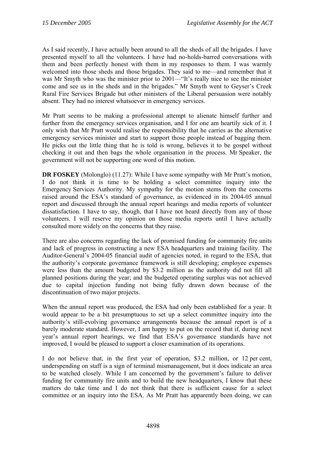As I said recently, I have actually been around to all the sheds of all the brigades. I have presented myself to all the volunteers. I have had no-holds-barred conversations with them and been perfectly honest with them in my responses to them. I was warmly welcomed into those sheds and those brigades. They said to me—and remember that it was Mr Smyth who was the minister prior to 2001—"It's really nice to see the minister come and see us in the sheds and in the brigades." Mr Smyth went to Geyser's Creek Rural Fire Services Brigade but other ministers of the Liberal persuasion were notably absent. They had no interest whatsoever in emergency services.

Mr Pratt seems to be making a professional attempt to alienate himself further and further from the emergency services organisation, and I for one am heartily sick of it. I only wish that Mr Pratt would realise the responsibility that he carries as the alternative emergency services minister and start to support those people instead of bagging them. He picks out the little thing that he is told is wrong, believes it to be gospel without checking it out and then bags the whole organisation in the process. Mr Speaker, the government will not be supporting one word of this motion.

**DR FOSKEY** (Molonglo) (11.27): While I have some sympathy with Mr Pratt's motion, I do not think it is time to be holding a select committee inquiry into the Emergency Services Authority. My sympathy for the motion stems from the concerns raised around the ESA's standard of governance, as evidenced in its 2004-05 annual report and discussed through the annual report hearings and media reports of volunteer dissatisfaction. I have to say, though, that I have not heard directly from any of those volunteers. I will reserve my opinion on those media reports until I have actually consulted more widely on the concerns that they raise.

There are also concerns regarding the lack of promised funding for community fire units and lack of progress in constructing a new ESA headquarters and training facility. The Auditor-General's 2004-05 financial audit of agencies noted, in regard to the ESA, that the authority's corporate governance framework is still developing; employee expenses were less than the amount budgeted by \$3.2 million as the authority did not fill all planned positions during the year; and the budgeted operating surplus was not achieved due to capital injection funding not being fully drawn down because of the discontinuation of two major projects.

When the annual report was produced, the ESA had only been established for a year. It would appear to be a bit presumptuous to set up a select committee inquiry into the authority's still-evolving governance arrangements because the annual report is of a barely moderate standard. However, I am happy to put on the record that if, during next year's annual report hearings, we find that ESA's governance standards have not improved, I would be pleased to support a closer examination of its operations.

I do not believe that, in the first year of operation, \$3.2 million, or 12 per cent, underspending on staff is a sign of terminal mismanagement, but it does indicate an area to be watched closely. While I am concerned by the government's failure to deliver funding for community fire units and to build the new headquarters, I know that these matters do take time and I do not think that there is sufficient cause for a select committee or an inquiry into the ESA. As Mr Pratt has apparently been doing, we can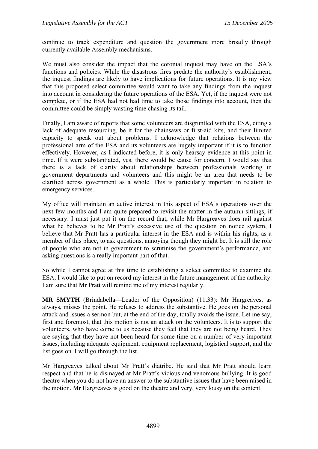continue to track expenditure and question the government more broadly through currently available Assembly mechanisms.

We must also consider the impact that the coronial inquest may have on the ESA's functions and policies. While the disastrous fires predate the authority's establishment, the inquest findings are likely to have implications for future operations. It is my view that this proposed select committee would want to take any findings from the inquest into account in considering the future operations of the ESA. Yet, if the inquest were not complete, or if the ESA had not had time to take those findings into account, then the committee could be simply wasting time chasing its tail.

Finally, I am aware of reports that some volunteers are disgruntled with the ESA, citing a lack of adequate resourcing, be it for the chainsaws or first-aid kits, and their limited capacity to speak out about problems. I acknowledge that relations between the professional arm of the ESA and its volunteers are hugely important if it is to function effectively. However, as I indicated before, it is only hearsay evidence at this point in time. If it were substantiated, yes, there would be cause for concern. I would say that there is a lack of clarity about relationships between professionals working in government departments and volunteers and this might be an area that needs to be clarified across government as a whole. This is particularly important in relation to emergency services.

My office will maintain an active interest in this aspect of ESA's operations over the next few months and I am quite prepared to revisit the matter in the autumn sittings, if necessary. I must just put it on the record that, while Mr Hargreaves does rail against what he believes to be Mr Pratt's excessive use of the question on notice system, I believe that Mr Pratt has a particular interest in the ESA and is within his rights, as a member of this place, to ask questions, annoying though they might be. It is still the role of people who are not in government to scrutinise the government's performance, and asking questions is a really important part of that.

So while I cannot agree at this time to establishing a select committee to examine the ESA, I would like to put on record my interest in the future management of the authority. I am sure that Mr Pratt will remind me of my interest regularly.

**MR SMYTH** (Brindabella—Leader of the Opposition) (11.33): Mr Hargreaves, as always, misses the point. He refuses to address the substantive. He goes on the personal attack and issues a sermon but, at the end of the day, totally avoids the issue. Let me say, first and foremost, that this motion is not an attack on the volunteers. It is to support the volunteers, who have come to us because they feel that they are not being heard. They are saying that they have not been heard for some time on a number of very important issues, including adequate equipment, equipment replacement, logistical support, and the list goes on. I will go through the list.

Mr Hargreaves talked about Mr Pratt's diatribe. He said that Mr Pratt should learn respect and that he is dismayed at Mr Pratt's vicious and venomous bullying. It is good theatre when you do not have an answer to the substantive issues that have been raised in the motion. Mr Hargreaves is good on the theatre and very, very lousy on the content.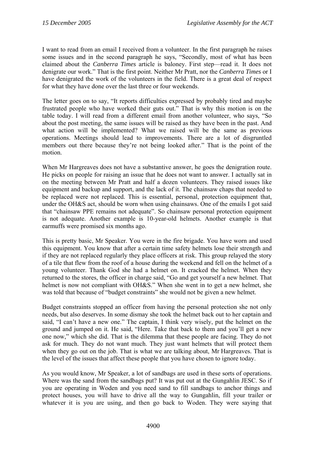I want to read from an email I received from a volunteer. In the first paragraph he raises some issues and in the second paragraph he says, "Secondly, most of what has been claimed about the *Canberra Times* article is baloney. First step—read it. It does not denigrate our work." That is the first point. Neither Mr Pratt, nor the *Canberra Times* or I have denigrated the work of the volunteers in the field. There is a great deal of respect for what they have done over the last three or four weekends.

The letter goes on to say, "It reports difficulties expressed by probably tired and maybe frustrated people who have worked their guts out." That is why this motion is on the table today. I will read from a different email from another volunteer, who says, "So about the post meeting, the same issues will be raised as they have been in the past. And what action will be implemented? What we raised will be the same as previous operations. Meetings should lead to improvements. There are a lot of disgruntled members out there because they're not being looked after." That is the point of the motion.

When Mr Hargreaves does not have a substantive answer, he goes the denigration route. He picks on people for raising an issue that he does not want to answer. I actually sat in on the meeting between Mr Pratt and half a dozen volunteers. They raised issues like equipment and backup and support, and the lack of it. The chainsaw chaps that needed to be replaced were not replaced. This is essential, personal, protection equipment that, under the OH&S act, should be worn when using chainsaws. One of the emails I got said that "chainsaw PPE remains not adequate". So chainsaw personal protection equipment is not adequate. Another example is 10-year-old helmets. Another example is that earmuffs were promised six months ago.

This is pretty basic, Mr Speaker. You were in the fire brigade. You have worn and used this equipment. You know that after a certain time safety helmets lose their strength and if they are not replaced regularly they place officers at risk. This group relayed the story of a tile that flew from the roof of a house during the weekend and fell on the helmet of a young volunteer. Thank God she had a helmet on. It cracked the helmet. When they returned to the stores, the officer in charge said, "Go and get yourself a new helmet. That helmet is now not compliant with OH&S." When she went in to get a new helmet, she was told that because of "budget constraints" she would not be given a new helmet.

Budget constraints stopped an officer from having the personal protection she not only needs, but also deserves. In some dismay she took the helmet back out to her captain and said, "I can't have a new one." The captain, I think very wisely, put the helmet on the ground and jumped on it. He said, "Here. Take that back to them and you'll get a new one now," which she did. That is the dilemma that these people are facing. They do not ask for much. They do not want much. They just want helmets that will protect them when they go out on the job. That is what we are talking about, Mr Hargreaves. That is the level of the issues that affect these people that you have chosen to ignore today.

As you would know, Mr Speaker, a lot of sandbags are used in these sorts of operations. Where was the sand from the sandbags put? It was put out at the Gungahlin JESC. So if you are operating in Woden and you need sand to fill sandbags to anchor things and protect houses, you will have to drive all the way to Gungahlin, fill your trailer or whatever it is you are using, and then go back to Woden. They were saying that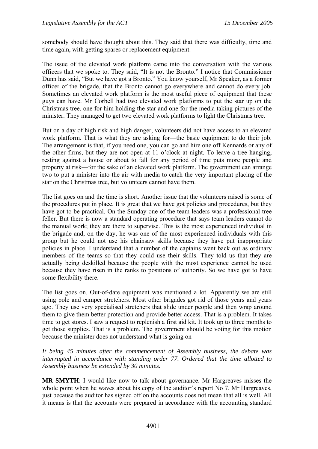somebody should have thought about this. They said that there was difficulty, time and time again, with getting spares or replacement equipment.

The issue of the elevated work platform came into the conversation with the various officers that we spoke to. They said, "It is not the Bronto." I notice that Commissioner Dunn has said, "But we have got a Bronto." You know yourself, Mr Speaker, as a former officer of the brigade, that the Bronto cannot go everywhere and cannot do every job. Sometimes an elevated work platform is the most useful piece of equipment that these guys can have. Mr Corbell had two elevated work platforms to put the star up on the Christmas tree, one for him holding the star and one for the media taking pictures of the minister. They managed to get two elevated work platforms to light the Christmas tree.

But on a day of high risk and high danger, volunteers did not have access to an elevated work platform. That is what they are asking for—the basic equipment to do their job. The arrangement is that, if you need one, you can go and hire one off Kennards or any of the other firms, but they are not open at 11 o'clock at night. To leave a tree hanging, resting against a house or about to fall for any period of time puts more people and property at risk—for the sake of an elevated work platform. The government can arrange two to put a minister into the air with media to catch the very important placing of the star on the Christmas tree, but volunteers cannot have them.

The list goes on and the time is short. Another issue that the volunteers raised is some of the procedures put in place. It is great that we have got policies and procedures, but they have got to be practical. On the Sunday one of the team leaders was a professional tree feller. But there is now a standard operating procedure that says team leaders cannot do the manual work; they are there to supervise. This is the most experienced individual in the brigade and, on the day, he was one of the most experienced individuals with this group but he could not use his chainsaw skills because they have put inappropriate policies in place. I understand that a number of the captains went back out as ordinary members of the teams so that they could use their skills. They told us that they are actually being deskilled because the people with the most experience cannot be used because they have risen in the ranks to positions of authority. So we have got to have some flexibility there.

The list goes on. Out-of-date equipment was mentioned a lot. Apparently we are still using pole and camper stretchers. Most other brigades got rid of those years and years ago. They use very specialised stretchers that slide under people and then wrap around them to give them better protection and provide better access. That is a problem. It takes time to get stores. I saw a request to replenish a first aid kit. It took up to three months to get those supplies. That is a problem. The government should be voting for this motion because the minister does not understand what is going on—

*It being 45 minutes after the commencement of Assembly business, the debate was interrupted in accordance with standing order 77. Ordered that the time allotted to Assembly business be extended by 30 minutes.* 

**MR SMYTH**: I would like now to talk about governance. Mr Hargreaves misses the whole point when he waves about his copy of the auditor's report No 7. Mr Hargreaves, just because the auditor has signed off on the accounts does not mean that all is well. All it means is that the accounts were prepared in accordance with the accounting standard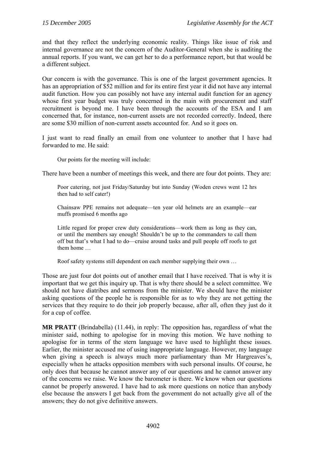and that they reflect the underlying economic reality. Things like issue of risk and internal governance are not the concern of the Auditor-General when she is auditing the annual reports. If you want, we can get her to do a performance report, but that would be a different subject.

Our concern is with the governance. This is one of the largest government agencies. It has an appropriation of \$52 million and for its entire first year it did not have any internal audit function. How you can possibly not have any internal audit function for an agency whose first year budget was truly concerned in the main with procurement and staff recruitment is beyond me. I have been through the accounts of the ESA and I am concerned that, for instance, non-current assets are not recorded correctly. Indeed, there are some \$30 million of non-current assets accounted for. And so it goes on.

I just want to read finally an email from one volunteer to another that I have had forwarded to me. He said:

Our points for the meeting will include:

There have been a number of meetings this week, and there are four dot points. They are:

Poor catering, not just Friday/Saturday but into Sunday (Woden crews went 12 hrs then had to self cater!)

Chainsaw PPE remains not adequate—ten year old helmets are an example—ear muffs promised 6 months ago

Little regard for proper crew duty considerations—work them as long as they can, or until the members say enough! Shouldn't be up to the commanders to call them off but that's what I had to do—cruise around tasks and pull people off roofs to get them home …

Roof safety systems still dependent on each member supplying their own …

Those are just four dot points out of another email that I have received. That is why it is important that we get this inquiry up. That is why there should be a select committee. We should not have diatribes and sermons from the minister. We should have the minister asking questions of the people he is responsible for as to why they are not getting the services that they require to do their job properly because, after all, often they just do it for a cup of coffee.

**MR PRATT** (Brindabella) (11.44), in reply: The opposition has, regardless of what the minister said, nothing to apologise for in moving this motion. We have nothing to apologise for in terms of the stern language we have used to highlight these issues. Earlier, the minister accused me of using inappropriate language. However, my language when giving a speech is always much more parliamentary than Mr Hargreaves's, especially when he attacks opposition members with such personal insults. Of course, he only does that because he cannot answer any of our questions and he cannot answer any of the concerns we raise. We know the barometer is there. We know when our questions cannot be properly answered. I have had to ask more questions on notice than anybody else because the answers I get back from the government do not actually give all of the answers; they do not give definitive answers.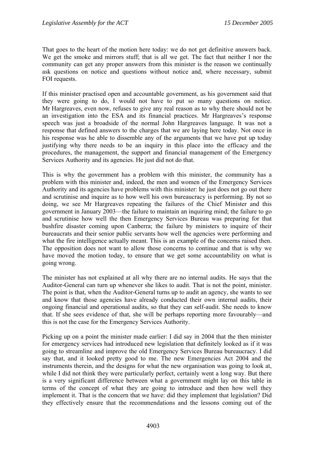That goes to the heart of the motion here today: we do not get definitive answers back. We get the smoke and mirrors stuff; that is all we get. The fact that neither I nor the community can get any proper answers from this minister is the reason we continually ask questions on notice and questions without notice and, where necessary, submit FOI requests.

If this minister practised open and accountable government, as his government said that they were going to do, I would not have to put so many questions on notice. Mr Hargreaves, even now, refuses to give any real reason as to why there should not be an investigation into the ESA and its financial practices. Mr Hargreaves's response speech was just a broadside of the normal John Hargreaves language. It was not a response that defined answers to the charges that we are laying here today. Not once in his response was he able to dissemble any of the arguments that we have put up today justifying why there needs to be an inquiry in this place into the efficacy and the procedures, the management, the support and financial management of the Emergency Services Authority and its agencies. He just did not do that.

This is why the government has a problem with this minister, the community has a problem with this minister and, indeed, the men and women of the Emergency Services Authority and its agencies have problems with this minister: he just does not go out there and scrutinise and inquire as to how well his own bureaucracy is performing. By not so doing, we see Mr Hargreaves repeating the failures of the Chief Minister and this government in January 2003—the failure to maintain an inquiring mind; the failure to go and scrutinise how well the then Emergency Services Bureau was preparing for that bushfire disaster coming upon Canberra; the failure by ministers to inquire of their bureaucrats and their senior public servants how well the agencies were performing and what the fire intelligence actually meant. This is an example of the concerns raised then. The opposition does not want to allow those concerns to continue and that is why we have moved the motion today, to ensure that we get some accountability on what is going wrong.

The minister has not explained at all why there are no internal audits. He says that the Auditor-General can turn up whenever she likes to audit. That is not the point, minister. The point is that, when the Auditor-General turns up to audit an agency, she wants to see and know that those agencies have already conducted their own internal audits, their ongoing financial and operational audits, so that they can self-audit. She needs to know that. If she sees evidence of that, she will be perhaps reporting more favourably—and this is not the case for the Emergency Services Authority.

Picking up on a point the minister made earlier: I did say in 2004 that the then minister for emergency services had introduced new legislation that definitely looked as if it was going to streamline and improve the old Emergency Services Bureau bureaucracy. I did say that, and it looked pretty good to me. The new Emergencies Act 2004 and the instruments therein, and the designs for what the new organisation was going to look at, while I did not think they were particularly perfect, certainly went a long way. But there is a very significant difference between what a government might lay on this table in terms of the concept of what they are going to introduce and then how well they implement it. That is the concern that we have: did they implement that legislation? Did they effectively ensure that the recommendations and the lessons coming out of the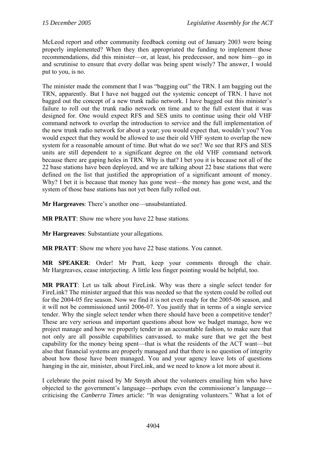McLeod report and other community feedback coming out of January 2003 were being properly implemented? When they then appropriated the funding to implement those recommendations, did this minister—or, at least, his predecessor, and now him—go in and scrutinise to ensure that every dollar was being spent wisely? The answer, I would put to you, is no.

The minister made the comment that I was "bagging out" the TRN. I am bagging out the TRN, apparently. But I have not bagged out the systemic concept of TRN. I have not bagged out the concept of a new trunk radio network. I have bagged out this minister's failure to roll out the trunk radio network on time and to the full extent that it was designed for. One would expect RFS and SES units to continue using their old VHF command network to overlap the introduction to service and the full implementation of the new trunk radio network for about a year; you would expect that, wouldn't you? You would expect that they would be allowed to use their old VHF system to overlap the new system for a reasonable amount of time. But what do we see? We see that RFS and SES units are still dependent to a significant degree on the old VHF command network because there are gaping holes in TRN. Why is that? I bet you it is because not all of the 22 base stations have been deployed, and we are talking about 22 base stations that were defined on the list that justified the appropriation of a significant amount of money. Why? I bet it is because that money has gone west—the money has gone west, and the system of those base stations has not yet been fully rolled out.

**Mr Hargreaves**: There's another one—unsubstantiated.

**MR PRATT**: Show me where you have 22 base stations.

**Mr Hargreaves**: Substantiate your allegations.

**MR PRATT**: Show me where you have 22 base stations. You cannot.

**MR SPEAKER**: Order! Mr Pratt, keep your comments through the chair. Mr Hargreaves, cease interjecting. A little less finger pointing would be helpful, too.

**MR PRATT**: Let us talk about FireLink. Why was there a single select tender for FireLink? The minister argued that this was needed so that the system could be rolled out for the 2004-05 fire season. Now we find it is not even ready for the 2005-06 season, and it will not be commissioned until 2006-07. You justify that in terms of a single service tender. Why the single select tender when there should have been a competitive tender? These are very serious and important questions about how we budget manage, how we project manage and how we properly tender in an accountable fashion, to make sure that not only are all possible capabilities canvassed, to make sure that we get the best capability for the money being spent—that is what the residents of the ACT want—but also that financial systems are properly managed and that there is no question of integrity about how those have been managed. You and your agency leave lots of questions hanging in the air, minister, about FireLink, and we need to know a lot more about it.

I celebrate the point raised by Mr Smyth about the volunteers emailing him who have objected to the government's language—perhaps even the commissioner's language criticising the *Canberra Times* article: "It was denigrating volunteers." What a lot of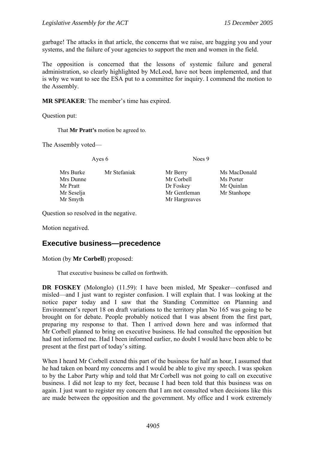<span id="page-26-0"></span>garbage! The attacks in that article, the concerns that we raise, are bagging you and your systems, and the failure of your agencies to support the men and women in the field.

The opposition is concerned that the lessons of systemic failure and general administration, so clearly highlighted by McLeod, have not been implemented, and that is why we want to see the ESA put to a committee for inquiry. I commend the motion to the Assembly.

**MR SPEAKER**: The member's time has expired.

Question put:

That **Mr Pratt's** motion be agreed to.

The Assembly voted—

Ayes 6 Noes 9

Mrs Burke Mr Stefaniak Mr Berry Ms MacDonald Mrs Dunne Mr Corbell Ms Porter Mr Pratt Dr Foskey Mr Quinlan Mr Seselja Mr Gentleman Mr Stanhope Mr Smyth Mr Hargreaves

Question so resolved in the negative.

Motion negatived.

#### **Executive business—precedence**

Motion (by **Mr Corbell**) proposed:

That executive business be called on forthwith.

**DR FOSKEY** (Molonglo) (11.59): I have been misled, Mr Speaker—confused and misled—and I just want to register confusion. I will explain that. I was looking at the notice paper today and I saw that the Standing Committee on Planning and Environment's report 18 on draft variations to the territory plan No 165 was going to be brought on for debate. People probably noticed that I was absent from the first part, preparing my response to that. Then I arrived down here and was informed that Mr Corbell planned to bring on executive business. He had consulted the opposition but had not informed me. Had I been informed earlier, no doubt I would have been able to be present at the first part of today's sitting.

When I heard Mr Corbell extend this part of the business for half an hour, I assumed that he had taken on board my concerns and I would be able to give my speech. I was spoken to by the Labor Party whip and told that Mr Corbell was not going to call on executive business. I did not leap to my feet, because I had been told that this business was on again. I just want to register my concern that I am not consulted when decisions like this are made between the opposition and the government. My office and I work extremely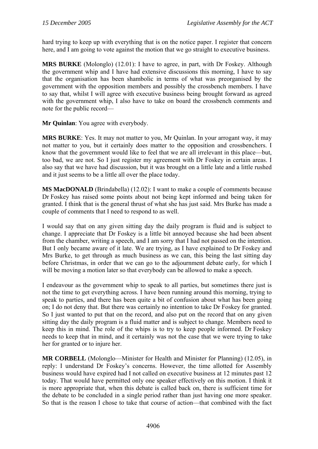hard trying to keep up with everything that is on the notice paper. I register that concern here, and I am going to vote against the motion that we go straight to executive business.

**MRS BURKE** (Molonglo) (12.01): I have to agree, in part, with Dr Foskey. Although the government whip and I have had extensive discussions this morning, I have to say that the organisation has been shambolic in terms of what was preorganised by the government with the opposition members and possibly the crossbench members. I have to say that, whilst I will agree with executive business being brought forward as agreed with the government whip, I also have to take on board the crossbench comments and note for the public record—

**Mr Quinlan**: You agree with everybody.

**MRS BURKE**: Yes. It may not matter to you, Mr Quinlan. In your arrogant way, it may not matter to you, but it certainly does matter to the opposition and crossbenchers. I know that the government would like to feel that we are all irrelevant in this place—but, too bad, we are not. So I just register my agreement with Dr Foskey in certain areas. I also say that we have had discussion, but it was brought on a little late and a little rushed and it just seems to be a little all over the place today.

**MS MacDONALD** (Brindabella) (12.02): I want to make a couple of comments because Dr Foskey has raised some points about not being kept informed and being taken for granted. I think that is the general thrust of what she has just said. Mrs Burke has made a couple of comments that I need to respond to as well.

I would say that on any given sitting day the daily program is fluid and is subject to change. I appreciate that Dr Foskey is a little bit annoyed because she had been absent from the chamber, writing a speech, and I am sorry that I had not passed on the intention. But I only became aware of it late. We are trying, as I have explained to Dr Foskey and Mrs Burke, to get through as much business as we can, this being the last sitting day before Christmas, in order that we can go to the adjournment debate early, for which I will be moving a motion later so that everybody can be allowed to make a speech.

I endeavour as the government whip to speak to all parties, but sometimes there just is not the time to get everything across. I have been running around this morning, trying to speak to parties, and there has been quite a bit of confusion about what has been going on; I do not deny that. But there was certainly no intention to take Dr Foskey for granted. So I just wanted to put that on the record, and also put on the record that on any given sitting day the daily program is a fluid matter and is subject to change. Members need to keep this in mind. The role of the whips is to try to keep people informed. Dr Foskey needs to keep that in mind, and it certainly was not the case that we were trying to take her for granted or to injure her.

**MR CORBELL** (Molonglo—Minister for Health and Minister for Planning) (12.05), in reply: I understand Dr Foskey's concerns. However, the time allotted for Assembly business would have expired had I not called on executive business at 12 minutes past 12 today. That would have permitted only one speaker effectively on this motion. I think it is more appropriate that, when this debate is called back on, there is sufficient time for the debate to be concluded in a single period rather than just having one more speaker. So that is the reason I chose to take that course of action—that combined with the fact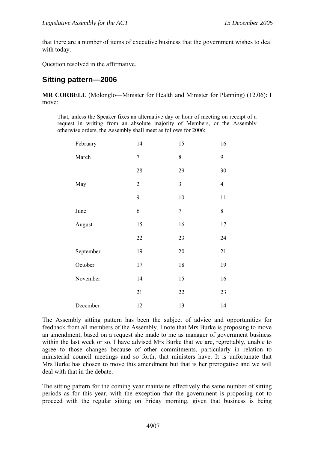<span id="page-28-0"></span>that there are a number of items of executive business that the government wishes to deal with today.

Question resolved in the affirmative.

## **Sitting pattern—2006**

**MR CORBELL** (Molonglo—Minister for Health and Minister for Planning) (12.06): I move:

That, unless the Speaker fixes an alternative day or hour of meeting on receipt of a request in writing from an absolute majority of Members, or the Assembly otherwise orders, the Assembly shall meet as follows for 2006:

| February  | 14             | 15             | 16             |
|-----------|----------------|----------------|----------------|
| March     | $\overline{7}$ | 8              | 9              |
|           | $28\,$         | 29             | 30             |
| May       | $\overline{2}$ | $\mathfrak{Z}$ | $\overline{4}$ |
|           | 9              | 10             | 11             |
| June      | 6              | $\sqrt{ }$     | 8              |
| August    | 15             | 16             | 17             |
|           | 22             | 23             | 24             |
| September | 19             | $20\,$         | 21             |
| October   | 17             | 18             | 19             |
| November  | 14             | 15             | 16             |
|           | 21             | 22             | 23             |
| December  | 12             | 13             | 14             |

The Assembly sitting pattern has been the subject of advice and opportunities for feedback from all members of the Assembly. I note that Mrs Burke is proposing to move an amendment, based on a request she made to me as manager of government business within the last week or so. I have advised Mrs Burke that we are, regrettably, unable to agree to those changes because of other commitments, particularly in relation to ministerial council meetings and so forth, that ministers have. It is unfortunate that Mrs Burke has chosen to move this amendment but that is her prerogative and we will deal with that in the debate.

The sitting pattern for the coming year maintains effectively the same number of sitting periods as for this year, with the exception that the government is proposing not to proceed with the regular sitting on Friday morning, given that business is being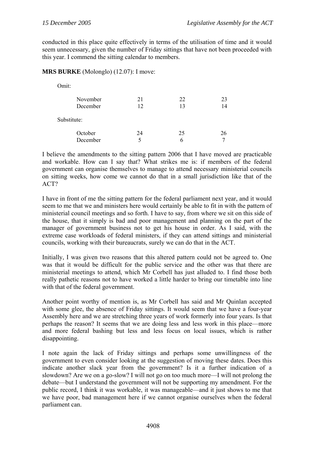conducted in this place quite effectively in terms of the utilisation of time and it would seem unnecessary, given the number of Friday sittings that have not been proceeded with this year. I commend the sitting calendar to members.

#### **MRS BURKE** (Molonglo) (12.07): I move:

| Omit:       |    |    |    |
|-------------|----|----|----|
| November    | 21 | 22 | 23 |
| December    | 12 | 13 | 14 |
| Substitute: |    |    |    |
| October     | 24 | 25 | 26 |
| December    | 5  | h  |    |

I believe the amendments to the sitting pattern 2006 that I have moved are practicable and workable. How can I say that? What strikes me is: if members of the federal government can organise themselves to manage to attend necessary ministerial councils on sitting weeks, how come we cannot do that in a small jurisdiction like that of the ACT?

I have in front of me the sitting pattern for the federal parliament next year, and it would seem to me that we and ministers here would certainly be able to fit in with the pattern of ministerial council meetings and so forth. I have to say, from where we sit on this side of the house, that it simply is bad and poor management and planning on the part of the manager of government business not to get his house in order. As I said, with the extreme case workloads of federal ministers, if they can attend sittings and ministerial councils, working with their bureaucrats, surely we can do that in the ACT.

Initially, I was given two reasons that this altered pattern could not be agreed to. One was that it would be difficult for the public service and the other was that there are ministerial meetings to attend, which Mr Corbell has just alluded to. I find those both really pathetic reasons not to have worked a little harder to bring our timetable into line with that of the federal government.

Another point worthy of mention is, as Mr Corbell has said and Mr Quinlan accepted with some glee, the absence of Friday sittings. It would seem that we have a four-year Assembly here and we are stretching three years of work formerly into four years. Is that perhaps the reason? It seems that we are doing less and less work in this place—more and more federal bashing but less and less focus on local issues, which is rather disappointing.

I note again the lack of Friday sittings and perhaps some unwillingness of the government to even consider looking at the suggestion of moving these dates. Does this indicate another slack year from the government? Is it a further indication of a slowdown? Are we on a go-slow? I will not go on too much more—I will not prolong the debate—but I understand the government will not be supporting my amendment. For the public record, I think it was workable, it was manageable—and it just shows to me that we have poor, bad management here if we cannot organise ourselves when the federal parliament can.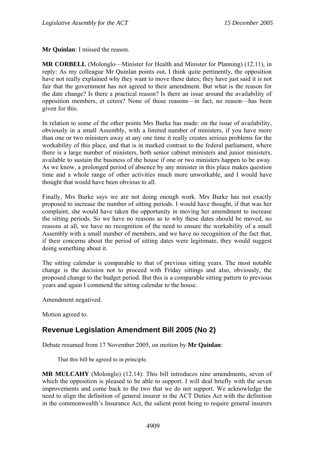<span id="page-30-0"></span>**Mr Quinlan**: I missed the reason.

**MR CORBELL** (Molonglo—Minister for Health and Minister for Planning) (12.11), in reply: As my colleague Mr Quinlan points out, I think quite pertinently, the opposition have not really explained why they want to move these dates; they have just said it is not fair that the government has not agreed to their amendment. But what is the reason for the date change? Is there a practical reason? Is there an issue around the availability of opposition members, et cetera? None of those reasons—in fact, no reason—has been given for this.

In relation to some of the other points Mrs Burke has made: on the issue of availability, obviously in a small Assembly, with a limited number of ministers, if you have more than one or two ministers away at any one time it really creates serious problems for the workability of this place, and that is in marked contrast to the federal parliament, where there is a large number of ministers, both senior cabinet ministers and junior ministers, available to sustain the business of the house if one or two ministers happen to be away. As we know, a prolonged period of absence by any minister in this place makes question time and a whole range of other activities much more unworkable, and I would have thought that would have been obvious to all.

Finally, Mrs Burke says we are not doing enough work. Mrs Burke has not exactly proposed to increase the number of sitting periods. I would have thought, if that was her complaint, she would have taken the opportunity in moving her amendment to increase the sitting periods. So we have no reasons as to why these dates should be moved, no reasons at all, we have no recognition of the need to ensure the workability of a small Assembly with a small number of members, and we have no recognition of the fact that, if their concerns about the period of sitting dates were legitimate, they would suggest doing something about it.

The sitting calendar is comparable to that of previous sitting years. The most notable change is the decision not to proceed with Friday sittings and also, obviously, the proposed change to the budget period. But this is a comparable sitting pattern to previous years and again I commend the sitting calendar to the house.

Amendment negatived.

Motion agreed to.

# **Revenue Legislation Amendment Bill 2005 (No 2)**

Debate resumed from 17 November 2005, on motion by **Mr Quinlan**:

That this bill be agreed to in principle.

**MR MULCAHY** (Molonglo) (12.14): This bill introduces nine amendments, seven of which the opposition is pleased to be able to support. I will deal briefly with the seven improvements and come back to the two that we do not support. We acknowledge the need to align the definition of general insurer in the ACT Duties Act with the definition in the commonwealth's Insurance Act, the salient point being to require general insurers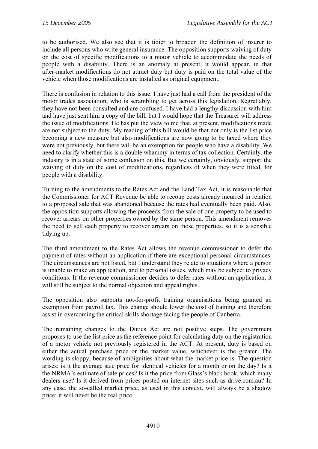to be authorised. We also see that it is tidier to broaden the definition of insurer to include all persons who write general insurance. The opposition supports waiving of duty on the cost of specific modifications to a motor vehicle to accommodate the needs of people with a disability. There is an anomaly at present, it would appear, in that after-market modifications do not attract duty but duty is paid on the total value of the vehicle when those modifications are installed as original equipment.

There is confusion in relation to this issue. I have just had a call from the president of the motor trades association, who is scrambling to get across this legislation. Regrettably, they have not been consulted and are confused. I have had a lengthy discussion with him and have just sent him a copy of the bill, but I would hope that the Treasurer will address the issue of modifications. He has put the view to me that, at present, modifications made are not subject to the duty. My reading of this bill would be that not only is the list price becoming a new measure but also modifications are now going to be taxed where they were not previously, but there will be an exemption for people who have a disability. We need to clarify whether this is a double whammy in terms of tax collection. Certainly, the industry is in a state of some confusion on this. But we certainly, obviously, support the waiving of duty on the cost of modifications, regardless of when they were fitted, for people with a disability.

Turning to the amendments to the Rates Act and the Land Tax Act, it is reasonable that the Commissioner for ACT Revenue be able to recoup costs already incurred in relation to a proposed sale that was abandoned because the rates had eventually been paid. Also, the opposition supports allowing the proceeds from the sale of one property to be used to recover arrears on other properties owned by the same person. This amendment removes the need to sell each property to recover arrears on those properties, so it is a sensible tidying up.

The third amendment to the Rates Act allows the revenue commissioner to defer the payment of rates without an application if there are exceptional personal circumstances. The circumstances are not listed, but I understand they relate to situations where a person is unable to make an application, and to personal issues, which may be subject to privacy conditions. If the revenue commissioner decides to defer rates without an application, it will still be subject to the normal objection and appeal rights.

The opposition also supports not-for-profit training organisations being granted an exemption from payroll tax. This change should lower the cost of training and therefore assist in overcoming the critical skills shortage facing the people of Canberra.

The remaining changes to the Duties Act are not positive steps. The government proposes to use the list price as the reference point for calculating duty on the registration of a motor vehicle not previously registered in the ACT. At present, duty is based on either the actual purchase price or the market value, whichever is the greater. The wording is sloppy, because of ambiguities about what the market price is. The question arises: is it the average sale price for identical vehicles for a month or on the day? Is it the NRMA's estimate of sale prices? Is it the price from Glass's black book, which many dealers use? Is it derived from prices posted on internet sites such as drive.com.au? In any case, the so-called market price, as used in this context, will always be a shadow price; it will never be the real price.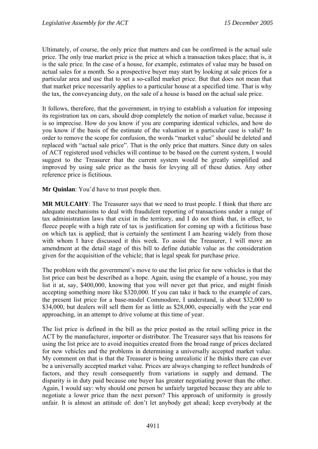Ultimately, of course, the only price that matters and can be confirmed is the actual sale price. The only true market price is the price at which a transaction takes place; that is, it is the sale price. In the case of a house, for example, estimates of value may be based on actual sales for a month. So a prospective buyer may start by looking at sale prices for a particular area and use that to set a so-called market price. But that does not mean that that market price necessarily applies to a particular house at a specified time. That is why the tax, the conveyancing duty, on the sale of a house is based on the actual sale price.

It follows, therefore, that the government, in trying to establish a valuation for imposing its registration tax on cars, should drop completely the notion of market value, because it is so imprecise. How do you know if you are comparing identical vehicles, and how do you know if the basis of the estimate of the valuation in a particular case is valid? In order to remove the scope for confusion, the words "market value" should be deleted and replaced with "actual sale price". That is the only price that matters. Since duty on sales of ACT registered used vehicles will continue to be based on the current system, I would suggest to the Treasurer that the current system would be greatly simplified and improved by using sale price as the basis for levying all of these duties. Any other reference price is fictitious.

**Mr Quinlan**: You'd have to trust people then.

**MR MULCAHY**: The Treasurer says that we need to trust people. I think that there are adequate mechanisms to deal with fraudulent reporting of transactions under a range of tax administration laws that exist in the territory, and I do not think that, in effect, to fleece people with a high rate of tax is justification for coming up with a fictitious base on which tax is applied; that is certainly the sentiment I am hearing widely from those with whom I have discussed it this week. To assist the Treasurer, I will move an amendment at the detail stage of this bill to define dutiable value as the consideration given for the acquisition of the vehicle; that is legal speak for purchase price.

The problem with the government's move to use the list price for new vehicles is that the list price can best be described as a hope. Again, using the example of a house, you may list it at, say, \$400,000, knowing that you will never get that price, and might finish accepting something more like \$320,000. If you can take it back to the example of cars, the present list price for a base-model Commodore, I understand, is about \$32,000 to \$34,000, but dealers will sell them for as little as \$28,000, especially with the year end approaching, in an attempt to drive volume at this time of year.

The list price is defined in the bill as the price posted as the retail selling price in the ACT by the manufacturer, importer or distributor. The Treasurer says that his reasons for using the list price are to avoid inequities created from the broad range of prices declared for new vehicles and the problems in determining a universally accepted market value. My comment on that is that the Treasurer is being unrealistic if he thinks there can ever be a universally accepted market value. Prices are always changing to reflect hundreds of factors, and they result consequently from variations in supply and demand. The disparity is in duty paid because one buyer has greater negotiating power than the other. Again, I would say: why should one person be unfairly targeted because they are able to negotiate a lower price than the next person? This approach of uniformity is grossly unfair. It is almost an attitude of: don't let anybody get ahead; keep everybody at the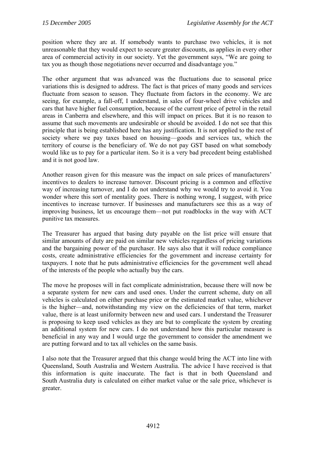position where they are at. If somebody wants to purchase two vehicles, it is not unreasonable that they would expect to secure greater discounts, as applies in every other area of commercial activity in our society. Yet the government says, "We are going to tax you as though those negotiations never occurred and disadvantage you."

The other argument that was advanced was the fluctuations due to seasonal price variations this is designed to address. The fact is that prices of many goods and services fluctuate from season to season. They fluctuate from factors in the economy. We are seeing, for example, a fall-off, I understand, in sales of four-wheel drive vehicles and cars that have higher fuel consumption, because of the current price of petrol in the retail areas in Canberra and elsewhere, and this will impact on prices. But it is no reason to assume that such movements are undesirable or should be avoided. I do not see that this principle that is being established here has any justification. It is not applied to the rest of society where we pay taxes based on housing—goods and services tax, which the territory of course is the beneficiary of. We do not pay GST based on what somebody would like us to pay for a particular item. So it is a very bad precedent being established and it is not good law.

Another reason given for this measure was the impact on sale prices of manufacturers' incentives to dealers to increase turnover. Discount pricing is a common and effective way of increasing turnover, and I do not understand why we would try to avoid it. You wonder where this sort of mentality goes. There is nothing wrong, I suggest, with price incentives to increase turnover. If businesses and manufacturers see this as a way of improving business, let us encourage them—not put roadblocks in the way with ACT punitive tax measures.

The Treasurer has argued that basing duty payable on the list price will ensure that similar amounts of duty are paid on similar new vehicles regardless of pricing variations and the bargaining power of the purchaser. He says also that it will reduce compliance costs, create administrative efficiencies for the government and increase certainty for taxpayers. I note that he puts administrative efficiencies for the government well ahead of the interests of the people who actually buy the cars.

The move he proposes will in fact complicate administration, because there will now be a separate system for new cars and used ones. Under the current scheme, duty on all vehicles is calculated on either purchase price or the estimated market value, whichever is the higher—and, notwithstanding my view on the deficiencies of that term, market value, there is at least uniformity between new and used cars. I understand the Treasurer is proposing to keep used vehicles as they are but to complicate the system by creating an additional system for new cars. I do not understand how this particular measure is beneficial in any way and I would urge the government to consider the amendment we are putting forward and to tax all vehicles on the same basis.

I also note that the Treasurer argued that this change would bring the ACT into line with Queensland, South Australia and Western Australia. The advice I have received is that this information is quite inaccurate. The fact is that in both Queensland and South Australia duty is calculated on either market value or the sale price, whichever is greater.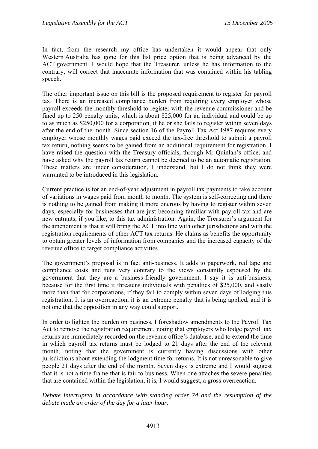In fact, from the research my office has undertaken it would appear that only Western Australia has gone for this list price option that is being advanced by the ACT government. I would hope that the Treasurer, unless he has information to the contrary, will correct that inaccurate information that was contained within his tabling speech.

The other important issue on this bill is the proposed requirement to register for payroll tax. There is an increased compliance burden from requiring every employer whose payroll exceeds the monthly threshold to register with the revenue commissioner and be fined up to 250 penalty units, which is about \$25,000 for an individual and could be up to as much as \$250,000 for a corporation, if he or she fails to register within seven days after the end of the month. Since section 16 of the Payroll Tax Act 1987 requires every employer whose monthly wages paid exceed the tax-free threshold to submit a payroll tax return, nothing seems to be gained from an additional requirement for registration. I have raised the question with the Treasury officials, through Mr Quinlan's office, and have asked why the payroll tax return cannot be deemed to be an automatic registration. These matters are under consideration, I understand, but I do not think they were warranted to be introduced in this legislation.

Current practice is for an end-of-year adjustment in payroll tax payments to take account of variations in wages paid from month to month. The system is self-correcting and there is nothing to be gained from making it more onerous by having to register within seven days, especially for businesses that are just becoming familiar with payroll tax and are new entrants, if you like, to this tax administration. Again, the Treasurer's argument for the amendment is that it will bring the ACT into line with other jurisdictions and with the registration requirements of other ACT tax returns. He claims as benefits the opportunity to obtain greater levels of information from companies and the increased capacity of the revenue office to target compliance activities.

The government's proposal is in fact anti-business. It adds to paperwork, red tape and compliance costs and runs very contrary to the views constantly espoused by the government that they are a business-friendly government. I say it is anti-business, because for the first time it threatens individuals with penalties of \$25,000, and vastly more than that for corporations, if they fail to comply within seven days of lodging this registration. It is an overreaction, it is an extreme penalty that is being applied, and it is not one that the opposition in any way could support.

In order to lighten the burden on business, I foreshadow amendments to the Payroll Tax Act to remove the registration requirement, noting that employers who lodge payroll tax returns are immediately recorded on the revenue office's database, and to extend the time in which payroll tax returns must be lodged to 21 days after the end of the relevant month, noting that the government is currently having discussions with other jurisdictions about extending the lodgment time for returns. It is not unreasonable to give people 21 days after the end of the month. Seven days is extreme and I would suggest that it is not a time frame that is fair to business. When one attaches the severe penalties that are contained within the legislation, it is, I would suggest, a gross overreaction.

*Debate interrupted in accordance with standing order 74 and the resumption of the debate made an order of the day for a later hour.*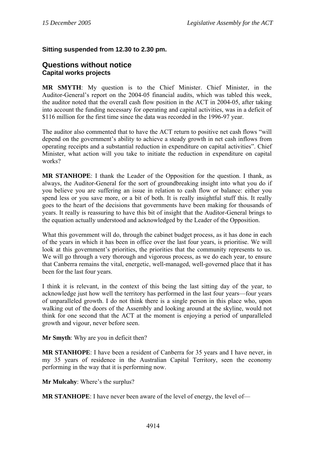#### <span id="page-35-0"></span>**Sitting suspended from 12.30 to 2.30 pm.**

#### **Questions without notice Capital works projects**

**MR SMYTH**: My question is to the Chief Minister. Chief Minister, in the Auditor-General's report on the 2004-05 financial audits, which was tabled this week, the auditor noted that the overall cash flow position in the ACT in 2004-05, after taking into account the funding necessary for operating and capital activities, was in a deficit of \$116 million for the first time since the data was recorded in the 1996-97 year.

The auditor also commented that to have the ACT return to positive net cash flows "will depend on the government's ability to achieve a steady growth in net cash inflows from operating receipts and a substantial reduction in expenditure on capital activities". Chief Minister, what action will you take to initiate the reduction in expenditure on capital works?

**MR STANHOPE**: I thank the Leader of the Opposition for the question. I thank, as always, the Auditor-General for the sort of groundbreaking insight into what you do if you believe you are suffering an issue in relation to cash flow or balance: either you spend less or you save more, or a bit of both. It is really insightful stuff this. It really goes to the heart of the decisions that governments have been making for thousands of years. It really is reassuring to have this bit of insight that the Auditor-General brings to the equation actually understood and acknowledged by the Leader of the Opposition.

What this government will do, through the cabinet budget process, as it has done in each of the years in which it has been in office over the last four years, is prioritise. We will look at this government's priorities, the priorities that the community represents to us. We will go through a very thorough and vigorous process, as we do each year, to ensure that Canberra remains the vital, energetic, well-managed, well-governed place that it has been for the last four years.

I think it is relevant, in the context of this being the last sitting day of the year, to acknowledge just how well the territory has performed in the last four years—four years of unparalleled growth. I do not think there is a single person in this place who, upon walking out of the doors of the Assembly and looking around at the skyline, would not think for one second that the ACT at the moment is enjoying a period of unparalleled growth and vigour, never before seen.

**Mr Smyth**: Why are you in deficit then?

**MR STANHOPE**: I have been a resident of Canberra for 35 years and I have never, in my 35 years of residence in the Australian Capital Territory, seen the economy performing in the way that it is performing now.

**Mr Mulcahy**: Where's the surplus?

**MR STANHOPE:** I have never been aware of the level of energy, the level of—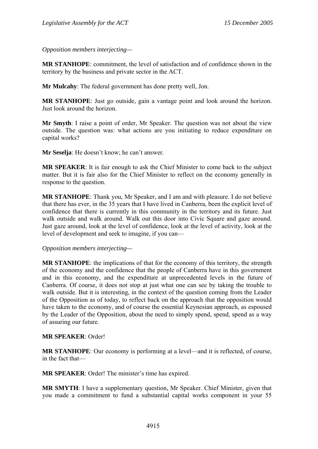*Opposition members interjecting—*

**MR STANHOPE**: commitment, the level of satisfaction and of confidence shown in the territory by the business and private sector in the ACT.

**Mr Mulcahy**: The federal government has done pretty well, Jon.

**MR STANHOPE**: Just go outside, gain a vantage point and look around the horizon. Just look around the horizon.

**Mr Smyth**: I raise a point of order, Mr Speaker. The question was not about the view outside. The question was: what actions are you initiating to reduce expenditure on capital works?

**Mr Seselja**: He doesn't know; he can't answer.

**MR SPEAKER**: It is fair enough to ask the Chief Minister to come back to the subject matter. But it is fair also for the Chief Minister to reflect on the economy generally in response to the question.

**MR STANHOPE**: Thank you, Mr Speaker, and I am and with pleasure. I do not believe that there has ever, in the 35 years that I have lived in Canberra, been the explicit level of confidence that there is currently in this community in the territory and its future. Just walk outside and walk around. Walk out this door into Civic Square and gaze around. Just gaze around, look at the level of confidence, look at the level of activity, look at the level of development and seek to imagine, if you can—

*Opposition members interjecting—*

**MR STANHOPE**: the implications of that for the economy of this territory, the strength of the economy and the confidence that the people of Canberra have in this government and in this economy, and the expenditure at unprecedented levels in the future of Canberra. Of course, it does not stop at just what one can see by taking the trouble to walk outside. But it is interesting, in the context of the question coming from the Leader of the Opposition as of today, to reflect back on the approach that the opposition would have taken to the economy, and of course the essential Keynesian approach, as espoused by the Leader of the Opposition, about the need to simply spend, spend, spend as a way of assuring our future.

#### **MR SPEAKER**: Order!

**MR STANHOPE**: Our economy is performing at a level—and it is reflected, of course, in the fact that—

**MR SPEAKER**: Order! The minister's time has expired.

**MR SMYTH**: I have a supplementary question, Mr Speaker. Chief Minister, given that you made a commitment to fund a substantial capital works component in your 55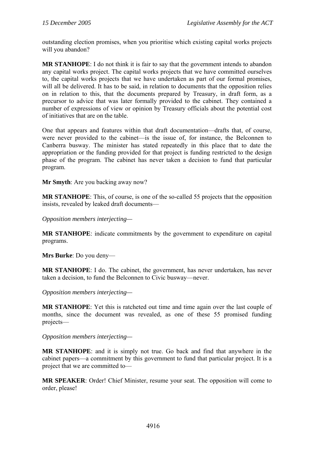outstanding election promises, when you prioritise which existing capital works projects will you abandon?

**MR STANHOPE**: I do not think it is fair to say that the government intends to abandon any capital works project. The capital works projects that we have committed ourselves to, the capital works projects that we have undertaken as part of our formal promises, will all be delivered. It has to be said, in relation to documents that the opposition relies on in relation to this, that the documents prepared by Treasury, in draft form, as a precursor to advice that was later formally provided to the cabinet. They contained a number of expressions of view or opinion by Treasury officials about the potential cost of initiatives that are on the table.

One that appears and features within that draft documentation—drafts that, of course, were never provided to the cabinet—is the issue of, for instance, the Belconnen to Canberra busway. The minister has stated repeatedly in this place that to date the appropriation or the funding provided for that project is funding restricted to the design phase of the program. The cabinet has never taken a decision to fund that particular program.

**Mr Smyth**: Are you backing away now?

**MR STANHOPE**: This, of course, is one of the so-called 55 projects that the opposition insists, revealed by leaked draft documents—

*Opposition members interjecting—* 

**MR STANHOPE**: indicate commitments by the government to expenditure on capital programs.

**Mrs Burke**: Do you deny—

**MR STANHOPE**: I do. The cabinet, the government, has never undertaken, has never taken a decision, to fund the Belconnen to Civic busway—never.

*Opposition members interjecting—* 

**MR STANHOPE**: Yet this is ratcheted out time and time again over the last couple of months, since the document was revealed, as one of these 55 promised funding projects—

*Opposition members interjecting—* 

**MR STANHOPE**: and it is simply not true. Go back and find that anywhere in the cabinet papers—a commitment by this government to fund that particular project. It is a project that we are committed to—

**MR SPEAKER**: Order! Chief Minister, resume your seat. The opposition will come to order, please!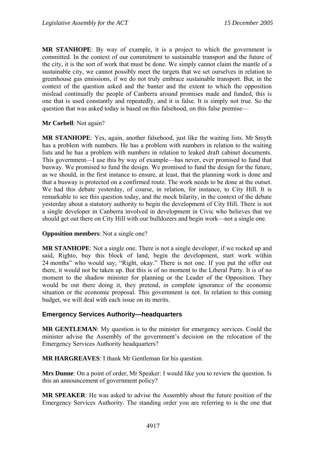**MR STANHOPE**: By way of example, it is a project to which the government is committed. In the context of our commitment to sustainable transport and the future of the city, it is the sort of work that must be done. We simply cannot claim the mantle of a sustainable city, we cannot possibly meet the targets that we set ourselves in relation to greenhouse gas emissions, if we do not truly embrace sustainable transport. But, in the context of the question asked and the banter and the extent to which the opposition mislead continually the people of Canberra around promises made and funded, this is one that is used constantly and repeatedly, and it is false. It is simply not true. So the question that was asked today is based on this falsehood, on this false premise—

#### **Mr Corbell**: Not again?

**MR STANHOPE**: Yes, again, another falsehood, just like the waiting lists. Mr Smyth has a problem with numbers. He has a problem with numbers in relation to the waiting lists and he has a problem with numbers in relation to leaked draft cabinet documents. This government—I use this by way of example—has never, ever promised to fund that busway. We promised to fund the design. We promised to fund the design for the future, as we should, in the first instance to ensure, at least, that the planning work is done and that a busway is protected on a confirmed route. The work needs to be done at the outset. We had this debate yesterday, of course, in relation, for instance, to City Hill. It is remarkable to see this question today, and the mock hilarity, in the context of the debate yesterday about a statutory authority to begin the development of City Hill. There is not a single developer in Canberra involved in development in Civic who believes that we should get out there on City Hill with our bulldozers and begin work—not a single one.

#### **Opposition members**: Not a single one?

**MR STANHOPE**: Not a single one. There is not a single developer, if we rocked up and said, Righto, buy this block of land, begin the development, start work within 24 months" who would say, "Right, okay." There is not one. If you put the offer out there, it would not be taken up. But this is of no moment to the Liberal Party. It is of no moment to the shadow minister for planning or the Leader of the Opposition. They would be out there doing it, they pretend, in complete ignorance of the economic situation or the economic proposal. This government is not. In relation to this coming budget, we will deal with each issue on its merits.

### **Emergency Services Authority—headquarters**

**MR GENTLEMAN**: My question is to the minister for emergency services. Could the minister advise the Assembly of the government's decision on the relocation of the Emergency Services Authority headquarters?

**MR HARGREAVES**: I thank Mr Gentleman for his question.

**Mrs Dunne**: On a point of order, Mr Speaker: I would like you to review the question. Is this an announcement of government policy?

**MR SPEAKER**: He was asked to advise the Assembly about the future position of the Emergency Services Authority. The standing order you are referring to is the one that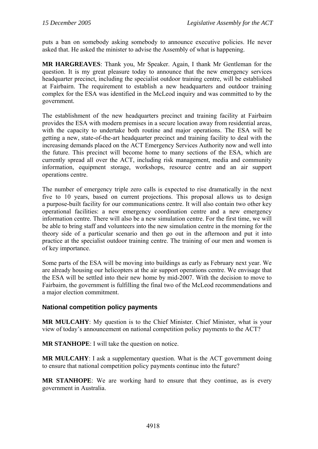puts a ban on somebody asking somebody to announce executive policies. He never asked that. He asked the minister to advise the Assembly of what is happening.

**MR HARGREAVES**: Thank you, Mr Speaker. Again, I thank Mr Gentleman for the question. It is my great pleasure today to announce that the new emergency services headquarter precinct, including the specialist outdoor training centre, will be established at Fairbairn. The requirement to establish a new headquarters and outdoor training complex for the ESA was identified in the McLeod inquiry and was committed to by the government.

The establishment of the new headquarters precinct and training facility at Fairbairn provides the ESA with modern premises in a secure location away from residential areas, with the capacity to undertake both routine and major operations. The ESA will be getting a new, state-of-the-art headquarter precinct and training facility to deal with the increasing demands placed on the ACT Emergency Services Authority now and well into the future. This precinct will become home to many sections of the ESA, which are currently spread all over the ACT, including risk management, media and community information, equipment storage, workshops, resource centre and an air support operations centre.

The number of emergency triple zero calls is expected to rise dramatically in the next five to 10 years, based on current projections. This proposal allows us to design a purpose-built facility for our communications centre. It will also contain two other key operational facilities: a new emergency coordination centre and a new emergency information centre. There will also be a new simulation centre. For the first time, we will be able to bring staff and volunteers into the new simulation centre in the morning for the theory side of a particular scenario and then go out in the afternoon and put it into practice at the specialist outdoor training centre. The training of our men and women is of key importance.

Some parts of the ESA will be moving into buildings as early as February next year. We are already housing our helicopters at the air support operations centre. We envisage that the ESA will be settled into their new home by mid-2007. With the decision to move to Fairbairn, the government is fulfilling the final two of the McLeod recommendations and a major election commitment.

# **National competition policy payments**

**MR MULCAHY**: My question is to the Chief Minister. Chief Minister, what is your view of today's announcement on national competition policy payments to the ACT?

**MR STANHOPE**: I will take the question on notice.

**MR MULCAHY**: I ask a supplementary question. What is the ACT government doing to ensure that national competition policy payments continue into the future?

**MR STANHOPE**: We are working hard to ensure that they continue, as is every government in Australia.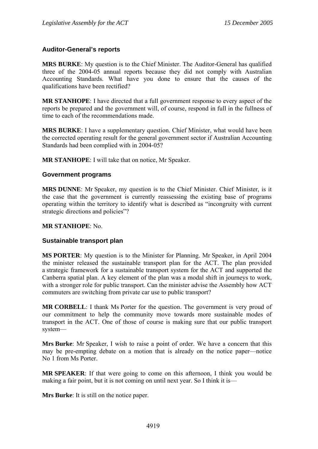## **Auditor-General's reports**

**MRS BURKE**: My question is to the Chief Minister. The Auditor-General has qualified three of the 2004-05 annual reports because they did not comply with Australian Accounting Standards. What have you done to ensure that the causes of the qualifications have been rectified?

**MR STANHOPE**: I have directed that a full government response to every aspect of the reports be prepared and the government will, of course, respond in full in the fullness of time to each of the recommendations made.

**MRS BURKE**: I have a supplementary question. Chief Minister, what would have been the corrected operating result for the general government sector if Australian Accounting Standards had been complied with in 2004-05?

**MR STANHOPE**: I will take that on notice, Mr Speaker.

#### **Government programs**

**MRS DUNNE**: Mr Speaker, my question is to the Chief Minister. Chief Minister, is it the case that the government is currently reassessing the existing base of programs operating within the territory to identify what is described as "incongruity with current strategic directions and policies"?

#### **MR STANHOPE**: No.

### **Sustainable transport plan**

**MS PORTER**: My question is to the Minister for Planning. Mr Speaker, in April 2004 the minister released the sustainable transport plan for the ACT. The plan provided a strategic framework for a sustainable transport system for the ACT and supported the Canberra spatial plan. A key element of the plan was a modal shift in journeys to work, with a stronger role for public transport. Can the minister advise the Assembly how ACT commuters are switching from private car use to public transport?

**MR CORBELL**: I thank Ms Porter for the question. The government is very proud of our commitment to help the community move towards more sustainable modes of transport in the ACT. One of those of course is making sure that our public transport system—

**Mrs Burke**: Mr Speaker, I wish to raise a point of order. We have a concern that this may be pre-empting debate on a motion that is already on the notice paper—notice No 1 from Ms Porter.

**MR SPEAKER**: If that were going to come on this afternoon, I think you would be making a fair point, but it is not coming on until next year. So I think it is—

**Mrs Burke**: It is still on the notice paper.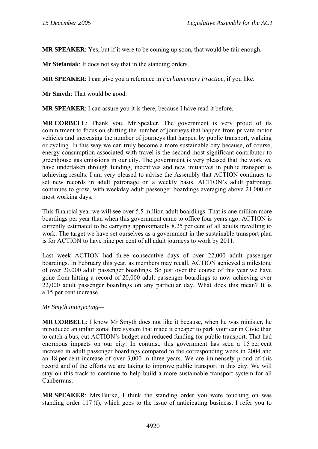**MR SPEAKER**: Yes, but if it were to be coming up soon, that would be fair enough.

**Mr Stefaniak**: It does not say that in the standing orders.

**MR SPEAKER**: I can give you a reference in *Parliamentary Practice*, if you like.

**Mr Smyth**: That would be good.

**MR SPEAKER**: I can assure you it is there, because I have read it before.

**MR CORBELL**: Thank you, Mr Speaker. The government is very proud of its commitment to focus on shifting the number of journeys that happen from private motor vehicles and increasing the number of journeys that happen by public transport, walking or cycling. In this way we can truly become a more sustainable city because, of course, energy consumption associated with travel is the second most significant contributor to greenhouse gas emissions in our city. The government is very pleased that the work we have undertaken through funding, incentives and new initiatives in public transport is achieving results. I am very pleased to advise the Assembly that ACTION continues to set new records in adult patronage on a weekly basis. ACTION's adult patronage continues to grow, with weekday adult passenger boardings averaging above 21,000 on most working days.

This financial year we will see over 5.5 million adult boardings. That is one million more boardings per year than when this government came to office four years ago. ACTION is currently estimated to be carrying approximately 8.25 per cent of all adults travelling to work. The target we have set ourselves as a government in the sustainable transport plan is for ACTION to have nine per cent of all adult journeys to work by 2011.

Last week ACTION had three consecutive days of over 22,000 adult passenger boardings. In February this year, as members may recall, ACTION achieved a milestone of over 20,000 adult passenger boardings. So just over the course of this year we have gone from hitting a record of 20,000 adult passenger boardings to now achieving over 22,000 adult passenger boardings on any particular day. What does this mean? It is a 15 per cent increase.

### *Mr Smyth interjecting—*

**MR CORBELL**: I know Mr Smyth does not like it because, when he was minister, he introduced an unfair zonal fare system that made it cheaper to park your car in Civic than to catch a bus, cut ACTION's budget and reduced funding for public transport. That had enormous impacts on our city. In contrast, this government has seen a 15 per cent increase in adult passenger boardings compared to the corresponding week in 2004 and an 18 per cent increase of over 3,000 in three years. We are immensely proud of this record and of the efforts we are taking to improve public transport in this city. We will stay on this track to continue to help build a more sustainable transport system for all **Canberrans** 

**MR SPEAKER**: Mrs Burke, I think the standing order you were touching on was standing order 117 (f), which goes to the issue of anticipating business. I refer you to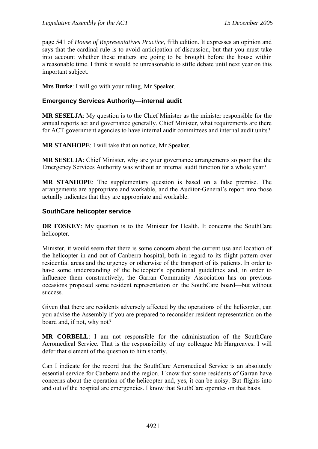page 541 of *House of Representatives Practice*, fifth edition. It expresses an opinion and says that the cardinal rule is to avoid anticipation of discussion, but that you must take into account whether these matters are going to be brought before the house within a reasonable time. I think it would be unreasonable to stifle debate until next year on this important subject.

**Mrs Burke**: I will go with your ruling, Mr Speaker.

# **Emergency Services Authority—internal audit**

**MR SESELJA**: My question is to the Chief Minister as the minister responsible for the annual reports act and governance generally. Chief Minister, what requirements are there for ACT government agencies to have internal audit committees and internal audit units?

**MR STANHOPE**: I will take that on notice, Mr Speaker.

**MR SESELJA**: Chief Minister, why are your governance arrangements so poor that the Emergency Services Authority was without an internal audit function for a whole year?

**MR STANHOPE**: The supplementary question is based on a false premise. The arrangements are appropriate and workable, and the Auditor-General's report into those actually indicates that they are appropriate and workable.

## **SouthCare helicopter service**

**DR FOSKEY**: My question is to the Minister for Health. It concerns the SouthCare helicopter.

Minister, it would seem that there is some concern about the current use and location of the helicopter in and out of Canberra hospital, both in regard to its flight pattern over residential areas and the urgency or otherwise of the transport of its patients. In order to have some understanding of the helicopter's operational guidelines and, in order to influence them constructively, the Garran Community Association has on previous occasions proposed some resident representation on the SouthCare board—but without success.

Given that there are residents adversely affected by the operations of the helicopter, can you advise the Assembly if you are prepared to reconsider resident representation on the board and, if not, why not?

**MR CORBELL**: I am not responsible for the administration of the SouthCare Aeromedical Service. That is the responsibility of my colleague Mr Hargreaves. I will defer that element of the question to him shortly.

Can I indicate for the record that the SouthCare Aeromedical Service is an absolutely essential service for Canberra and the region. I know that some residents of Garran have concerns about the operation of the helicopter and, yes, it can be noisy. But flights into and out of the hospital are emergencies. I know that SouthCare operates on that basis.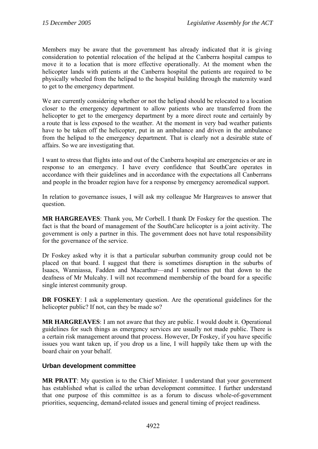Members may be aware that the government has already indicated that it is giving consideration to potential relocation of the helipad at the Canberra hospital campus to move it to a location that is more effective operationally. At the moment when the helicopter lands with patients at the Canberra hospital the patients are required to be physically wheeled from the helipad to the hospital building through the maternity ward to get to the emergency department.

We are currently considering whether or not the helipad should be relocated to a location closer to the emergency department to allow patients who are transferred from the helicopter to get to the emergency department by a more direct route and certainly by a route that is less exposed to the weather. At the moment in very bad weather patients have to be taken off the helicopter, put in an ambulance and driven in the ambulance from the helipad to the emergency department. That is clearly not a desirable state of affairs. So we are investigating that.

I want to stress that flights into and out of the Canberra hospital are emergencies or are in response to an emergency. I have every confidence that SouthCare operates in accordance with their guidelines and in accordance with the expectations all Canberrans and people in the broader region have for a response by emergency aeromedical support.

In relation to governance issues, I will ask my colleague Mr Hargreaves to answer that question.

**MR HARGREAVES**: Thank you, Mr Corbell. I thank Dr Foskey for the question. The fact is that the board of management of the SouthCare helicopter is a joint activity. The government is only a partner in this. The government does not have total responsibility for the governance of the service.

Dr Foskey asked why it is that a particular suburban community group could not be placed on that board. I suggest that there is sometimes disruption in the suburbs of Isaacs, Wanniassa, Fadden and Macarthur—and I sometimes put that down to the deafness of Mr Mulcahy. I will not recommend membership of the board for a specific single interest community group.

**DR FOSKEY**: I ask a supplementary question. Are the operational guidelines for the helicopter public? If not, can they be made so?

**MR HARGREAVES**: I am not aware that they are public. I would doubt it. Operational guidelines for such things as emergency services are usually not made public. There is a certain risk management around that process. However, Dr Foskey, if you have specific issues you want taken up, if you drop us a line, I will happily take them up with the board chair on your behalf.

# **Urban development committee**

**MR PRATT**: My question is to the Chief Minister. I understand that your government has established what is called the urban development committee. I further understand that one purpose of this committee is as a forum to discuss whole-of-government priorities, sequencing, demand-related issues and general timing of project readiness.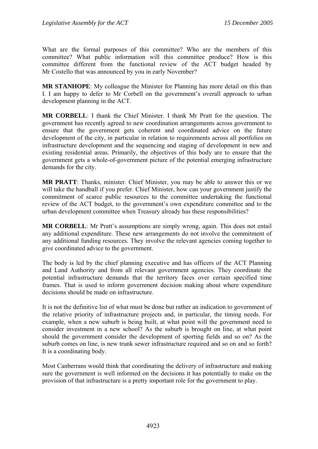What are the formal purposes of this committee? Who are the members of this committee? What public information will this committee produce? How is this committee different from the functional review of the ACT budget headed by Mr Costello that was announced by you in early November?

**MR STANHOPE**: My colleague the Minister for Planning has more detail on this than I. I am happy to defer to Mr Corbell on the government's overall approach to urban development planning in the ACT.

**MR CORBELL**: I thank the Chief Minister. I thank Mr Pratt for the question. The government has recently agreed to new coordination arrangements across government to ensure that the government gets coherent and coordinated advice on the future development of the city, in particular in relation to requirements across all portfolios on infrastructure development and the sequencing and staging of development in new and existing residential areas. Primarily, the objectives of this body are to ensure that the government gets a whole-of-government picture of the potential emerging infrastructure demands for the city.

**MR PRATT**: Thanks, minister. Chief Minister, you may be able to answer this or we will take the handball if you prefer. Chief Minister, how can your government justify the commitment of scarce public resources to the committee undertaking the functional review of the ACT budget, to the government's own expenditure committee and to the urban development committee when Treasury already has these responsibilities?

**MR CORBELL:** Mr Pratt's assumptions are simply wrong, again. This does not entail any additional expenditure. These new arrangements do not involve the commitment of any additional funding resources. They involve the relevant agencies coming together to give coordinated advice to the government.

The body is led by the chief planning executive and has officers of the ACT Planning and Land Authority and from all relevant government agencies. They coordinate the potential infrastructure demands that the territory faces over certain specified time frames. That is used to inform government decision making about where expenditure decisions should be made on infrastructure.

It is not the definitive list of what must be done but rather an indication to government of the relative priority of infrastructure projects and, in particular, the timing needs. For example, when a new suburb is being built, at what point will the government need to consider investment in a new school? As the suburb is brought on line, at what point should the government consider the development of sporting fields and so on? As the suburb comes on line, is new trunk sewer infrastructure required and so on and so forth? It is a coordinating body.

Most Canberrans would think that coordinating the delivery of infrastructure and making sure the government is well informed on the decisions it has potentially to make on the provision of that infrastructure is a pretty important role for the government to play.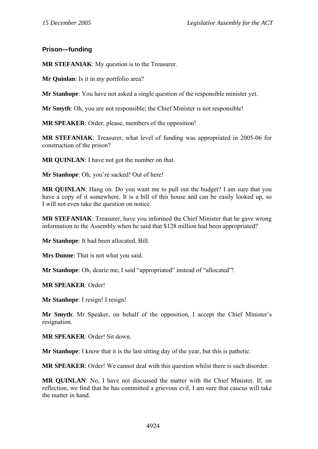# **Prison—funding**

**MR STEFANIAK**: My question is to the Treasurer.

**Mr Quinlan**: Is it in my portfolio area?

**Mr Stanhope**: You have not asked a single question of the responsible minister yet.

**Mr Smyth**: Oh, you are not responsible; the Chief Minister is not responsible!

**MR SPEAKER**: Order, please, members of the opposition!

**MR STEFANIAK**: Treasurer, what level of funding was appropriated in 2005-06 for construction of the prison?

**MR QUINLAN**: I have not got the number on that.

**Mr Stanhope**: Oh, you're sacked! Out of here!

**MR QUINLAN**: Hang on. Do you want me to pull out the budget? I am sure that you have a copy of it somewhere. It is a bill of this house and can be easily looked up, so I will not even take the question on notice.

**MR STEFANIAK**: Treasurer, have you informed the Chief Minister that he gave wrong information to the Assembly when he said that \$128 million had been appropriated?

**Mr Stanhope**: It had been allocated, Bill.

**Mrs Dunne**: That is not what you said.

**Mr Stanhope**: Oh, dearie me, I said "appropriated" instead of "allocated"!

**MR SPEAKER**: Order!

**Mr Stanhope**: I resign! I resign!

**Mr Smyth**: Mr Speaker, on behalf of the opposition, I accept the Chief Minister's resignation.

**MR SPEAKER**: Order! Sit down.

**Mr Stanhope**: I know that it is the last sitting day of the year, but this is pathetic.

**MR SPEAKER**: Order! We cannot deal with this question whilst there is such disorder.

**MR QUINLAN**: No, I have not discussed the matter with the Chief Minister. If, on reflection, we find that he has committed a grievous evil, I am sure that caucus will take the matter in hand.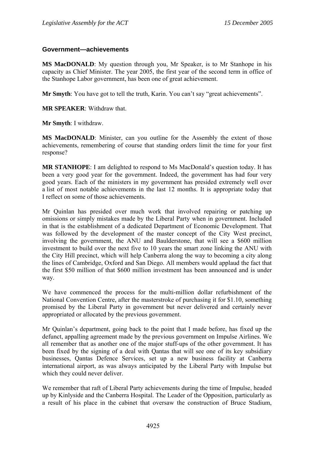### **Government—achievements**

**MS MacDONALD**: My question through you, Mr Speaker, is to Mr Stanhope in his capacity as Chief Minister. The year 2005, the first year of the second term in office of the Stanhope Labor government, has been one of great achievement.

**Mr Smyth**: You have got to tell the truth, Karin. You can't say "great achievements".

**MR SPEAKER**: Withdraw that.

**Mr Smyth**: I withdraw.

**MS MacDONALD:** Minister, can you outline for the Assembly the extent of those achievements, remembering of course that standing orders limit the time for your first response?

**MR STANHOPE**: I am delighted to respond to Ms MacDonald's question today. It has been a very good year for the government. Indeed, the government has had four very good years. Each of the ministers in my government has presided extremely well over a list of most notable achievements in the last 12 months. It is appropriate today that I reflect on some of those achievements.

Mr Quinlan has presided over much work that involved repairing or patching up omissions or simply mistakes made by the Liberal Party when in government. Included in that is the establishment of a dedicated Department of Economic Development. That was followed by the development of the master concept of the City West precinct, involving the government, the ANU and Baulderstone, that will see a \$600 million investment to build over the next five to 10 years the smart zone linking the ANU with the City Hill precinct, which will help Canberra along the way to becoming a city along the lines of Cambridge, Oxford and San Diego. All members would applaud the fact that the first \$50 million of that \$600 million investment has been announced and is under way.

We have commenced the process for the multi-million dollar refurbishment of the National Convention Centre, after the masterstroke of purchasing it for \$1.10, something promised by the Liberal Party in government but never delivered and certainly never appropriated or allocated by the previous government.

Mr Quinlan's department, going back to the point that I made before, has fixed up the defunct, appalling agreement made by the previous government on Impulse Airlines. We all remember that as another one of the major stuff-ups of the other government. It has been fixed by the signing of a deal with Qantas that will see one of its key subsidiary businesses, Qantas Defence Services, set up a new business facility at Canberra international airport, as was always anticipated by the Liberal Party with Impulse but which they could never deliver.

We remember that raft of Liberal Party achievements during the time of Impulse, headed up by Kinlyside and the Canberra Hospital. The Leader of the Opposition, particularly as a result of his place in the cabinet that oversaw the construction of Bruce Stadium,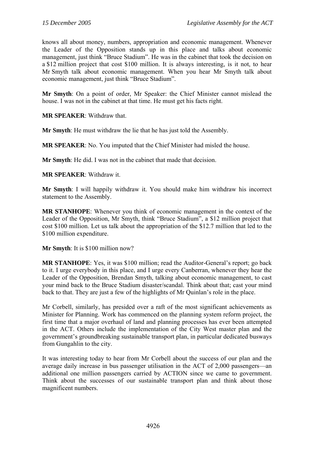knows all about money, numbers, appropriation and economic management. Whenever the Leader of the Opposition stands up in this place and talks about economic management, just think "Bruce Stadium". He was in the cabinet that took the decision on a \$12 million project that cost \$100 million. It is always interesting, is it not, to hear Mr Smyth talk about economic management. When you hear Mr Smyth talk about economic management, just think "Bruce Stadium".

**Mr Smyth**: On a point of order, Mr Speaker: the Chief Minister cannot mislead the house. I was not in the cabinet at that time. He must get his facts right.

**MR SPEAKER**: Withdraw that.

**Mr Smyth**: He must withdraw the lie that he has just told the Assembly.

**MR SPEAKER**: No. You imputed that the Chief Minister had misled the house.

**Mr Smyth**: He did. I was not in the cabinet that made that decision.

**MR SPEAKER**: Withdraw it.

**Mr Smyth**: I will happily withdraw it. You should make him withdraw his incorrect statement to the Assembly.

**MR STANHOPE**: Whenever you think of economic management in the context of the Leader of the Opposition, Mr Smyth, think "Bruce Stadium", a \$12 million project that cost \$100 million. Let us talk about the appropriation of the \$12.7 million that led to the \$100 million expenditure.

**Mr Smyth**: It is \$100 million now?

**MR STANHOPE**: Yes, it was \$100 million; read the Auditor-General's report; go back to it. I urge everybody in this place, and I urge every Canberran, whenever they hear the Leader of the Opposition, Brendan Smyth, talking about economic management, to cast your mind back to the Bruce Stadium disaster/scandal. Think about that; cast your mind back to that. They are just a few of the highlights of Mr Quinlan's role in the place.

Mr Corbell, similarly, has presided over a raft of the most significant achievements as Minister for Planning. Work has commenced on the planning system reform project, the first time that a major overhaul of land and planning processes has ever been attempted in the ACT. Others include the implementation of the City West master plan and the government's groundbreaking sustainable transport plan, in particular dedicated busways from Gungahlin to the city.

It was interesting today to hear from Mr Corbell about the success of our plan and the average daily increase in bus passenger utilisation in the ACT of 2,000 passengers—an additional one million passengers carried by ACTION since we came to government. Think about the successes of our sustainable transport plan and think about those magnificent numbers.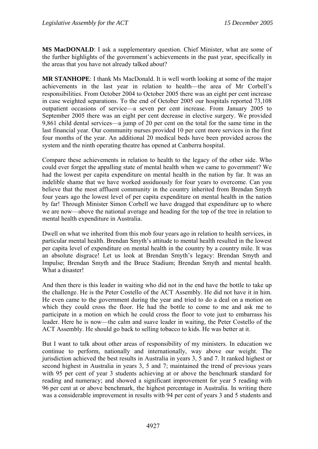**MS MacDONALD**: I ask a supplementary question. Chief Minister, what are some of the further highlights of the government's achievements in the past year, specifically in the areas that you have not already talked about?

**MR STANHOPE**: I thank Ms MacDonald. It is well worth looking at some of the major achievements in the last year in relation to health—the area of Mr Corbell's responsibilities. From October 2004 to October 2005 there was an eight per cent increase in case weighted separations. To the end of October 2005 our hospitals reported 73,108 outpatient occasions of service—a seven per cent increase. From January 2005 to September 2005 there was an eight per cent decrease in elective surgery. We provided 9,861 child dental services—a jump of 20 per cent on the total for the same time in the last financial year. Our community nurses provided 10 per cent more services in the first four months of the year. An additional 20 medical beds have been provided across the system and the ninth operating theatre has opened at Canberra hospital.

Compare these achievements in relation to health to the legacy of the other side. Who could ever forget the appalling state of mental health when we came to government? We had the lowest per capita expenditure on mental health in the nation by far. It was an indelible shame that we have worked assiduously for four years to overcome. Can you believe that the most affluent community in the country inherited from Brendan Smyth four years ago the lowest level of per capita expenditure on mental health in the nation by far! Through Minister Simon Corbell we have dragged that expenditure up to where we are now—above the national average and heading for the top of the tree in relation to mental health expenditure in Australia.

Dwell on what we inherited from this mob four years ago in relation to health services, in particular mental health. Brendan Smyth's attitude to mental health resulted in the lowest per capita level of expenditure on mental health in the country by a country mile. It was an absolute disgrace! Let us look at Brendan Smyth's legacy: Brendan Smyth and Impulse; Brendan Smyth and the Bruce Stadium; Brendan Smyth and mental health. What a disaster!

And then there is this leader in waiting who did not in the end have the bottle to take up the challenge. He is the Peter Costello of the ACT Assembly. He did not have it in him. He even came to the government during the year and tried to do a deal on a motion on which they could cross the floor. He had the bottle to come to me and ask me to participate in a motion on which he could cross the floor to vote just to embarrass his leader. Here he is now—the calm and suave leader in waiting, the Peter Costello of the ACT Assembly. He should go back to selling tobacco to kids. He was better at it.

But I want to talk about other areas of responsibility of my ministers. In education we continue to perform, nationally and internationally, way above our weight. The jurisdiction achieved the best results in Australia in years 3, 5 and 7. It ranked highest or second highest in Australia in years 3, 5 and 7; maintained the trend of previous years with 95 per cent of year 3 students achieving at or above the benchmark standard for reading and numeracy; and showed a significant improvement for year 5 reading with 96 per cent at or above benchmark, the highest percentage in Australia. In writing there was a considerable improvement in results with 94 per cent of years 3 and 5 students and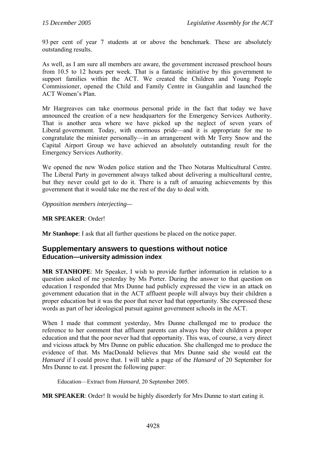93 per cent of year 7 students at or above the benchmark. These are absolutely outstanding results.

As well, as I am sure all members are aware, the government increased preschool hours from 10.5 to 12 hours per week. That is a fantastic initiative by this government to support families within the ACT. We created the Children and Young People Commissioner, opened the Child and Family Centre in Gungahlin and launched the ACT Women's Plan.

Mr Hargreaves can take enormous personal pride in the fact that today we have announced the creation of a new headquarters for the Emergency Services Authority. That is another area where we have picked up the neglect of seven years of Liberal government. Today, with enormous pride—and it is appropriate for me to congratulate the minister personally—in an arrangement with Mr Terry Snow and the Capital Airport Group we have achieved an absolutely outstanding result for the Emergency Services Authority.

We opened the new Woden police station and the Theo Notaras Multicultural Centre. The Liberal Party in government always talked about delivering a multicultural centre, but they never could get to do it. There is a raft of amazing achievements by this government that it would take me the rest of the day to deal with.

*Opposition members interjecting—* 

## **MR SPEAKER**: Order!

**Mr Stanhope**: I ask that all further questions be placed on the notice paper.

# **Supplementary answers to questions without notice Education—university admission index**

**MR STANHOPE**: Mr Speaker, I wish to provide further information in relation to a question asked of me yesterday by Ms Porter. During the answer to that question on education I responded that Mrs Dunne had publicly expressed the view in an attack on government education that in the ACT affluent people will always buy their children a proper education but it was the poor that never had that opportunity. She expressed these words as part of her ideological pursuit against government schools in the ACT.

When I made that comment yesterday, Mrs Dunne challenged me to produce the reference to her comment that affluent parents can always buy their children a proper education and that the poor never had that opportunity. This was, of course, a very direct and vicious attack by Mrs Dunne on public education. She challenged me to produce the evidence of that. Ms MacDonald believes that Mrs Dunne said she would eat the *Hansard* if I could prove that. I will table a page of the *Hansard* of 20 September for Mrs Dunne to eat. I present the following paper:

Education—Extract from *Hansard*, 20 September 2005.

**MR SPEAKER**: Order! It would be highly disorderly for Mrs Dunne to start eating it.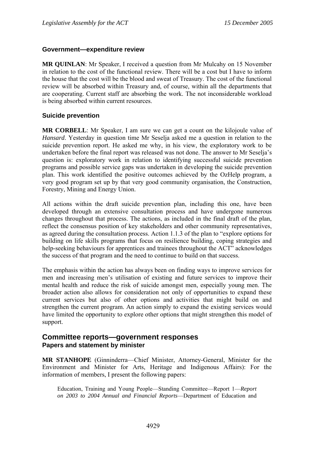### **Government—expenditure review**

**MR QUINLAN**: Mr Speaker, I received a question from Mr Mulcahy on 15 November in relation to the cost of the functional review. There will be a cost but I have to inform the house that the cost will be the blood and sweat of Treasury. The cost of the functional review will be absorbed within Treasury and, of course, within all the departments that are cooperating. Current staff are absorbing the work. The not inconsiderable workload is being absorbed within current resources.

## **Suicide prevention**

**MR CORBELL**: Mr Speaker, I am sure we can get a count on the kilojoule value of *Hansard*. Yesterday in question time Mr Seselja asked me a question in relation to the suicide prevention report. He asked me why, in his view, the exploratory work to be undertaken before the final report was released was not done. The answer to Mr Seselja's question is: exploratory work in relation to identifying successful suicide prevention programs and possible service gaps was undertaken in developing the suicide prevention plan. This work identified the positive outcomes achieved by the OzHelp program, a very good program set up by that very good community organisation, the Construction, Forestry, Mining and Energy Union.

All actions within the draft suicide prevention plan, including this one, have been developed through an extensive consultation process and have undergone numerous changes throughout that process. The actions, as included in the final draft of the plan, reflect the consensus position of key stakeholders and other community representatives, as agreed during the consultation process. Action 1.1.3 of the plan to "explore options for building on life skills programs that focus on resilience building, coping strategies and help-seeking behaviours for apprentices and trainees throughout the ACT" acknowledges the success of that program and the need to continue to build on that success.

The emphasis within the action has always been on finding ways to improve services for men and increasing men's utilisation of existing and future services to improve their mental health and reduce the risk of suicide amongst men, especially young men. The broader action also allows for consideration not only of opportunities to expand these current services but also of other options and activities that might build on and strengthen the current program. An action simply to expand the existing services would have limited the opportunity to explore other options that might strengthen this model of support.

# **Committee reports—government responses Papers and statement by minister**

**MR STANHOPE** (Ginninderra—Chief Minister, Attorney-General, Minister for the Environment and Minister for Arts, Heritage and Indigenous Affairs): For the information of members, I present the following papers:

Education, Training and Young People—Standing Committee—Report 1—*Report on 2003 to 2004 Annual and Financial Reports*—Department of Education and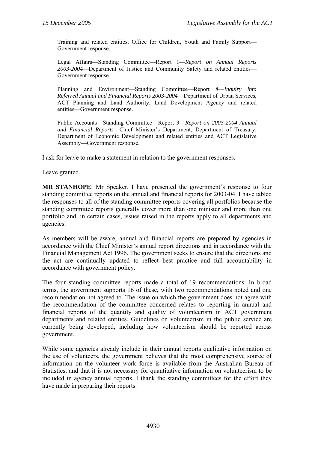Training and related entities, Office for Children, Youth and Family Support— Government response.

Legal Affairs—Standing Committee—Report 1—*Report on Annual Reports 2003-2004*—Department of Justice and Community Safety and related entities— Government response.

Planning and Environment—Standing Committee—Report 8—*Inquiry into Referred Annual and Financial Reports 2003-2004*—Department of Urban Services, ACT Planning and Land Authority, Land Development Agency and related entities—Government response.

Public Accounts—Standing Committee—Report 3—*Report on 2003-2004 Annual and Financial Reports*—Chief Minister's Department, Department of Treasury, Department of Economic Development and related entities and ACT Legislative Assembly—Government response.

I ask for leave to make a statement in relation to the government responses.

Leave granted.

**MR STANHOPE**: Mr Speaker, I have presented the government's response to four standing committee reports on the annual and financial reports for 2003-04. I have tabled the responses to all of the standing committee reports covering all portfolios because the standing committee reports generally cover more than one minister and more than one portfolio and, in certain cases, issues raised in the reports apply to all departments and agencies.

As members will be aware, annual and financial reports are prepared by agencies in accordance with the Chief Minister's annual report directions and in accordance with the Financial Management Act 1996. The government seeks to ensure that the directions and the act are continually updated to reflect best practice and full accountability in accordance with government policy.

The four standing committee reports made a total of 19 recommendations. In broad terms, the government supports 16 of these, with two recommendations noted and one recommendation not agreed to. The issue on which the government does not agree with the recommendation of the committee concerned relates to reporting in annual and financial reports of the quantity and quality of volunteerism in ACT government departments and related entities. Guidelines on volunteerism in the public service are currently being developed, including how volunteerism should be reported across government.

While some agencies already include in their annual reports qualitative information on the use of volunteers, the government believes that the most comprehensive source of information on the volunteer work force is available from the Australian Bureau of Statistics, and that it is not necessary for quantitative information on volunteerism to be included in agency annual reports. I thank the standing committees for the effort they have made in preparing their reports.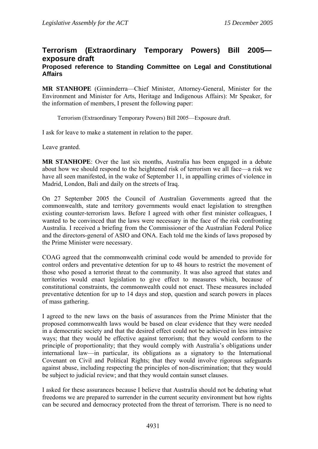# **Terrorism (Extraordinary Temporary Powers) Bill 2005 exposure draft**

### **Proposed reference to Standing Committee on Legal and Constitutional Affairs**

**MR STANHOPE** (Ginninderra—Chief Minister, Attorney-General, Minister for the Environment and Minister for Arts, Heritage and Indigenous Affairs): Mr Speaker, for the information of members, I present the following paper:

Terrorism (Extraordinary Temporary Powers) Bill 2005—Exposure draft.

I ask for leave to make a statement in relation to the paper.

Leave granted.

**MR STANHOPE**: Over the last six months, Australia has been engaged in a debate about how we should respond to the heightened risk of terrorism we all face—a risk we have all seen manifested, in the wake of September 11, in appalling crimes of violence in Madrid, London, Bali and daily on the streets of Iraq.

On 27 September 2005 the Council of Australian Governments agreed that the commonwealth, state and territory governments would enact legislation to strengthen existing counter-terrorism laws. Before I agreed with other first minister colleagues, I wanted to be convinced that the laws were necessary in the face of the risk confronting Australia. I received a briefing from the Commissioner of the Australian Federal Police and the directors-general of ASIO and ONA. Each told me the kinds of laws proposed by the Prime Minister were necessary.

COAG agreed that the commonwealth criminal code would be amended to provide for control orders and preventative detention for up to 48 hours to restrict the movement of those who posed a terrorist threat to the community. It was also agreed that states and territories would enact legislation to give effect to measures which, because of constitutional constraints, the commonwealth could not enact. These measures included preventative detention for up to 14 days and stop, question and search powers in places of mass gathering.

I agreed to the new laws on the basis of assurances from the Prime Minister that the proposed commonwealth laws would be based on clear evidence that they were needed in a democratic society and that the desired effect could not be achieved in less intrusive ways; that they would be effective against terrorism; that they would conform to the principle of proportionality; that they would comply with Australia's obligations under international law—in particular, its obligations as a signatory to the International Covenant on Civil and Political Rights; that they would involve rigorous safeguards against abuse, including respecting the principles of non-discrimination; that they would be subject to judicial review; and that they would contain sunset clauses.

I asked for these assurances because I believe that Australia should not be debating what freedoms we are prepared to surrender in the current security environment but how rights can be secured and democracy protected from the threat of terrorism. There is no need to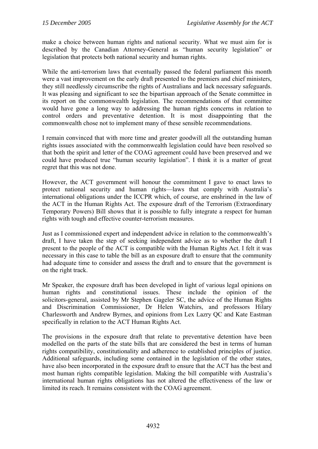make a choice between human rights and national security. What we must aim for is described by the Canadian Attorney-General as "human security legislation" or legislation that protects both national security and human rights.

While the anti-terrorism laws that eventually passed the federal parliament this month were a vast improvement on the early draft presented to the premiers and chief ministers, they still needlessly circumscribe the rights of Australians and lack necessary safeguards. It was pleasing and significant to see the bipartisan approach of the Senate committee in its report on the commonwealth legislation. The recommendations of that committee would have gone a long way to addressing the human rights concerns in relation to control orders and preventative detention. It is most disappointing that the commonwealth chose not to implement many of these sensible recommendations.

I remain convinced that with more time and greater goodwill all the outstanding human rights issues associated with the commonwealth legislation could have been resolved so that both the spirit and letter of the COAG agreement could have been preserved and we could have produced true "human security legislation". I think it is a matter of great regret that this was not done.

However, the ACT government will honour the commitment I gave to enact laws to protect national security and human rights—laws that comply with Australia's international obligations under the ICCPR which, of course, are enshrined in the law of the ACT in the Human Rights Act. The exposure draft of the Terrorism (Extraordinary Temporary Powers) Bill shows that it is possible to fully integrate a respect for human rights with tough and effective counter-terrorism measures.

Just as I commissioned expert and independent advice in relation to the commonwealth's draft, I have taken the step of seeking independent advice as to whether the draft I present to the people of the ACT is compatible with the Human Rights Act. I felt it was necessary in this case to table the bill as an exposure draft to ensure that the community had adequate time to consider and assess the draft and to ensure that the government is on the right track.

Mr Speaker, the exposure draft has been developed in light of various legal opinions on human rights and constitutional issues. These include the opinion of the solicitors-general, assisted by Mr Stephen Gageler SC, the advice of the Human Rights and Discrimination Commissioner, Dr Helen Watchirs, and professors Hilary Charlesworth and Andrew Byrnes, and opinions from Lex Lazry QC and Kate Eastman specifically in relation to the ACT Human Rights Act.

The provisions in the exposure draft that relate to preventative detention have been modelled on the parts of the state bills that are considered the best in terms of human rights compatibility, constitutionality and adherence to established principles of justice. Additional safeguards, including some contained in the legislation of the other states, have also been incorporated in the exposure draft to ensure that the ACT has the best and most human rights compatible legislation. Making the bill compatible with Australia's international human rights obligations has not altered the effectiveness of the law or limited its reach. It remains consistent with the COAG agreement.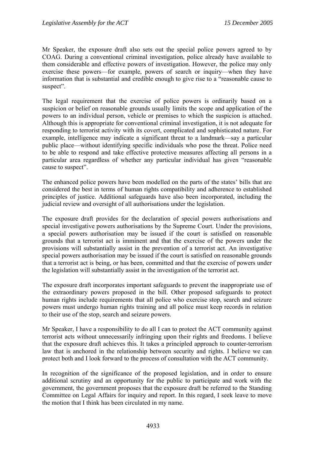Mr Speaker, the exposure draft also sets out the special police powers agreed to by COAG. During a conventional criminal investigation, police already have available to them considerable and effective powers of investigation. However, the police may only exercise these powers—for example, powers of search or inquiry—when they have information that is substantial and credible enough to give rise to a "reasonable cause to suspect".

The legal requirement that the exercise of police powers is ordinarily based on a suspicion or belief on reasonable grounds usually limits the scope and application of the powers to an individual person, vehicle or premises to which the suspicion is attached. Although this is appropriate for conventional criminal investigation, it is not adequate for responding to terrorist activity with its covert, complicated and sophisticated nature. For example, intelligence may indicate a significant threat to a landmark—say a particular public place—without identifying specific individuals who pose the threat. Police need to be able to respond and take effective protective measures affecting all persons in a particular area regardless of whether any particular individual has given "reasonable cause to suspect".

The enhanced police powers have been modelled on the parts of the states' bills that are considered the best in terms of human rights compatibility and adherence to established principles of justice. Additional safeguards have also been incorporated, including the judicial review and oversight of all authorisations under the legislation.

The exposure draft provides for the declaration of special powers authorisations and special investigative powers authorisations by the Supreme Court. Under the provisions, a special powers authorisation may be issued if the court is satisfied on reasonable grounds that a terrorist act is imminent and that the exercise of the powers under the provisions will substantially assist in the prevention of a terrorist act. An investigative special powers authorisation may be issued if the court is satisfied on reasonable grounds that a terrorist act is being, or has been, committed and that the exercise of powers under the legislation will substantially assist in the investigation of the terrorist act.

The exposure draft incorporates important safeguards to prevent the inappropriate use of the extraordinary powers proposed in the bill. Other proposed safeguards to protect human rights include requirements that all police who exercise stop, search and seizure powers must undergo human rights training and all police must keep records in relation to their use of the stop, search and seizure powers.

Mr Speaker, I have a responsibility to do all I can to protect the ACT community against terrorist acts without unnecessarily infringing upon their rights and freedoms. I believe that the exposure draft achieves this. It takes a principled approach to counter-terrorism law that is anchored in the relationship between security and rights. I believe we can protect both and I look forward to the process of consultation with the ACT community.

In recognition of the significance of the proposed legislation, and in order to ensure additional scrutiny and an opportunity for the public to participate and work with the government, the government proposes that the exposure draft be referred to the Standing Committee on Legal Affairs for inquiry and report. In this regard, I seek leave to move the motion that I think has been circulated in my name.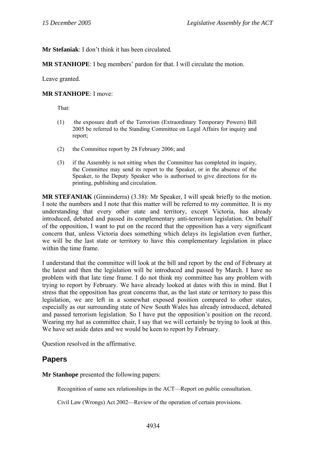**Mr Stefaniak**: I don't think it has been circulated.

**MR STANHOPE**: I beg members' pardon for that. I will circulate the motion.

Leave granted.

#### **MR STANHOPE**: I move:

That:

- (1) the exposure draft of the Terrorism (Extraordinary Temporary Powers) Bill 2005 be referred to the Standing Committee on Legal Affairs for inquiry and report;
- (2) the Committee report by 28 February 2006; and
- (3) if the Assembly is not sitting when the Committee has completed its inquiry, the Committee may send its report to the Speaker, or in the absence of the Speaker, to the Deputy Speaker who is authorised to give directions for its printing, publishing and circulation.

**MR STEFANIAK** (Ginninderra) (3.38): Mr Speaker, I will speak briefly to the motion. I note the numbers and I note that this matter will be referred to my committee. It is my understanding that every other state and territory, except Victoria, has already introduced, debated and passed its complementary anti-terrorism legislation. On behalf of the opposition, I want to put on the record that the opposition has a very significant concern that, unless Victoria does something which delays its legislation even further, we will be the last state or territory to have this complementary legislation in place within the time frame.

I understand that the committee will look at the bill and report by the end of February at the latest and then the legislation will be introduced and passed by March. I have no problem with that late time frame. I do not think my committee has any problem with trying to report by February. We have already looked at dates with this in mind. But I stress that the opposition has great concerns that, as the last state or territory to pass this legislation, we are left in a somewhat exposed position compared to other states, especially as our surrounding state of New South Wales has already introduced, debated and passed terrorism legislation. So I have put the opposition's position on the record. Wearing my hat as committee chair, I say that we will certainly be trying to look at this. We have set aside dates and we would be keen to report by February.

Question resolved in the affirmative.

# **Papers**

**Mr Stanhope** presented the following papers:

Recognition of same sex relationships in the ACT—Report on public consultation.

Civil Law (Wrongs) Act 2002—Review of the operation of certain provisions.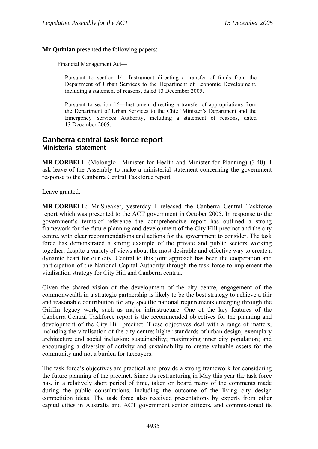**Mr Quinlan** presented the following papers:

Financial Management Act—

Pursuant to section 14—Instrument directing a transfer of funds from the Department of Urban Services to the Department of Economic Development, including a statement of reasons, dated 13 December 2005.

Pursuant to section 16—Instrument directing a transfer of appropriations from the Department of Urban Services to the Chief Minister's Department and the Emergency Services Authority, including a statement of reasons, dated 13 December 2005.

## **Canberra central task force report Ministerial statement**

**MR CORBELL** (Molonglo—Minister for Health and Minister for Planning) (3.40): I ask leave of the Assembly to make a ministerial statement concerning the government response to the Canberra Central Taskforce report.

Leave granted.

**MR CORBELL**: Mr Speaker, yesterday I released the Canberra Central Taskforce report which was presented to the ACT government in October 2005. In response to the government's terms of reference the comprehensive report has outlined a strong framework for the future planning and development of the City Hill precinct and the city centre, with clear recommendations and actions for the government to consider. The task force has demonstrated a strong example of the private and public sectors working together, despite a variety of views about the most desirable and effective way to create a dynamic heart for our city. Central to this joint approach has been the cooperation and participation of the National Capital Authority through the task force to implement the vitalisation strategy for City Hill and Canberra central.

Given the shared vision of the development of the city centre, engagement of the commonwealth in a strategic partnership is likely to be the best strategy to achieve a fair and reasonable contribution for any specific national requirements emerging through the Griffin legacy work, such as major infrastructure. One of the key features of the Canberra Central Taskforce report is the recommended objectives for the planning and development of the City Hill precinct. These objectives deal with a range of matters, including the vitalisation of the city centre; higher standards of urban design; exemplary architecture and social inclusion; sustainability; maximising inner city population; and encouraging a diversity of activity and sustainability to create valuable assets for the community and not a burden for taxpayers.

The task force's objectives are practical and provide a strong framework for considering the future planning of the precinct. Since its restructuring in May this year the task force has, in a relatively short period of time, taken on board many of the comments made during the public consultations, including the outcome of the living city design competition ideas. The task force also received presentations by experts from other capital cities in Australia and ACT government senior officers, and commissioned its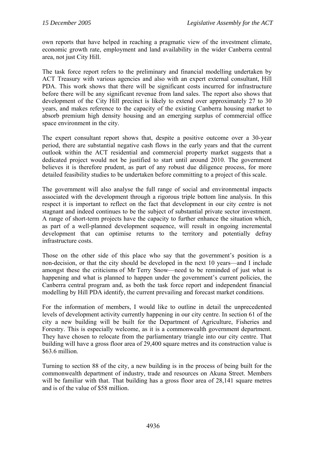own reports that have helped in reaching a pragmatic view of the investment climate, economic growth rate, employment and land availability in the wider Canberra central area, not just City Hill.

The task force report refers to the preliminary and financial modelling undertaken by ACT Treasury with various agencies and also with an expert external consultant, Hill PDA. This work shows that there will be significant costs incurred for infrastructure before there will be any significant revenue from land sales. The report also shows that development of the City Hill precinct is likely to extend over approximately 27 to 30 years, and makes reference to the capacity of the existing Canberra housing market to absorb premium high density housing and an emerging surplus of commercial office space environment in the city.

The expert consultant report shows that, despite a positive outcome over a 30-year period, there are substantial negative cash flows in the early years and that the current outlook within the ACT residential and commercial property market suggests that a dedicated project would not be justified to start until around 2010. The government believes it is therefore prudent, as part of any robust due diligence process, for more detailed feasibility studies to be undertaken before committing to a project of this scale.

The government will also analyse the full range of social and environmental impacts associated with the development through a rigorous triple bottom line analysis. In this respect it is important to reflect on the fact that development in our city centre is not stagnant and indeed continues to be the subject of substantial private sector investment. A range of short-term projects have the capacity to further enhance the situation which, as part of a well-planned development sequence, will result in ongoing incremental development that can optimise returns to the territory and potentially defray infrastructure costs.

Those on the other side of this place who say that the government's position is a non-decision, or that the city should be developed in the next 10 years—and I include amongst these the criticisms of Mr Terry Snow—need to be reminded of just what is happening and what is planned to happen under the government's current policies, the Canberra central program and, as both the task force report and independent financial modelling by Hill PDA identify, the current prevailing and forecast market conditions.

For the information of members, I would like to outline in detail the unprecedented levels of development activity currently happening in our city centre. In section 61 of the city a new building will be built for the Department of Agriculture, Fisheries and Forestry. This is especially welcome, as it is a commonwealth government department. They have chosen to relocate from the parliamentary triangle into our city centre. That building will have a gross floor area of 29,400 square metres and its construction value is \$63.6 million.

Turning to section 88 of the city, a new building is in the process of being built for the commonwealth department of industry, trade and resources on Akuna Street. Members will be familiar with that. That building has a gross floor area of 28,141 square metres and is of the value of \$58 million.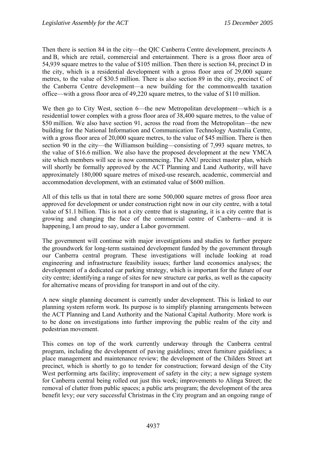Then there is section 84 in the city—the QIC Canberra Centre development, precincts A and B, which are retail, commercial and entertainment. There is a gross floor area of 54,939 square metres to the value of \$105 million. Then there is section 84, precinct D in the city, which is a residential development with a gross floor area of 29,000 square metres, to the value of \$30.5 million. There is also section 89 in the city, precinct C of the Canberra Centre development—a new building for the commonwealth taxation office—with a gross floor area of 49,220 square metres, to the value of \$110 million.

We then go to City West, section 6—the new Metropolitan development—which is a residential tower complex with a gross floor area of 38,400 square metres, to the value of \$50 million. We also have section 91, across the road from the Metropolitan—the new building for the National Information and Communication Technology Australia Centre, with a gross floor area of 20,000 square metres, to the value of \$45 million. There is then section 90 in the city—the Williamson building—consisting of 7,993 square metres, to the value of \$16.6 million. We also have the proposed development at the new YMCA site which members will see is now commencing. The ANU precinct master plan, which will shortly be formally approved by the ACT Planning and Land Authority, will have approximately 180,000 square metres of mixed-use research, academic, commercial and accommodation development, with an estimated value of \$600 million.

All of this tells us that in total there are some 500,000 square metres of gross floor area approved for development or under construction right now in our city centre, with a total value of \$1.1 billion. This is not a city centre that is stagnating, it is a city centre that is growing and changing the face of the commercial centre of Canberra—and it is happening, I am proud to say, under a Labor government.

The government will continue with major investigations and studies to further prepare the groundwork for long-term sustained development funded by the government through our Canberra central program. These investigations will include looking at road engineering and infrastructure feasibility issues; further land economics analyses; the development of a dedicated car parking strategy, which is important for the future of our city centre; identifying a range of sites for new structure car parks, as well as the capacity for alternative means of providing for transport in and out of the city.

A new single planning document is currently under development. This is linked to our planning system reform work. Its purpose is to simplify planning arrangements between the ACT Planning and Land Authority and the National Capital Authority. More work is to be done on investigations into further improving the public realm of the city and pedestrian movement.

This comes on top of the work currently underway through the Canberra central program, including the development of paving guidelines; street furniture guidelines; a place management and maintenance review; the development of the Childers Street art precinct, which is shortly to go to tender for construction; forward design of the City West performing arts facility; improvement of safety in the city; a new signage system for Canberra central being rolled out just this week; improvements to Alinga Street; the removal of clutter from public spaces; a public arts program; the development of the area benefit levy; our very successful Christmas in the City program and an ongoing range of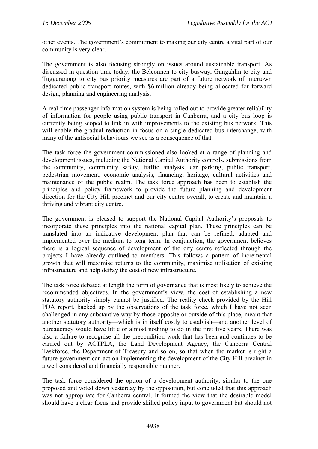other events. The government's commitment to making our city centre a vital part of our community is very clear.

The government is also focusing strongly on issues around sustainable transport. As discussed in question time today, the Belconnen to city busway, Gungahlin to city and Tuggeranong to city bus priority measures are part of a future network of intertown dedicated public transport routes, with \$6 million already being allocated for forward design, planning and engineering analysis.

A real-time passenger information system is being rolled out to provide greater reliability of information for people using public transport in Canberra, and a city bus loop is currently being scoped to link in with improvements to the existing bus network. This will enable the gradual reduction in focus on a single dedicated bus interchange, with many of the antisocial behaviours we see as a consequence of that.

The task force the government commissioned also looked at a range of planning and development issues, including the National Capital Authority controls, submissions from the community, community safety, traffic analysis, car parking, public transport, pedestrian movement, economic analysis, financing, heritage, cultural activities and maintenance of the public realm. The task force approach has been to establish the principles and policy framework to provide the future planning and development direction for the City Hill precinct and our city centre overall, to create and maintain a thriving and vibrant city centre.

The government is pleased to support the National Capital Authority's proposals to incorporate these principles into the national capital plan. These principles can be translated into an indicative development plan that can be refined, adapted and implemented over the medium to long term. In conjunction, the government believes there is a logical sequence of development of the city centre reflected through the projects I have already outlined to members. This follows a pattern of incremental growth that will maximise returns to the community, maximise utilisation of existing infrastructure and help defray the cost of new infrastructure.

The task force debated at length the form of governance that is most likely to achieve the recommended objectives. In the government's view, the cost of establishing a new statutory authority simply cannot be justified. The reality check provided by the Hill PDA report, backed up by the observations of the task force, which I have not seen challenged in any substantive way by those opposite or outside of this place, meant that another statutory authority—which is in itself costly to establish—and another level of bureaucracy would have little or almost nothing to do in the first five years. There was also a failure to recognise all the precondition work that has been and continues to be carried out by ACTPLA, the Land Development Agency, the Canberra Central Taskforce, the Department of Treasury and so on, so that when the market is right a future government can act on implementing the development of the City Hill precinct in a well considered and financially responsible manner.

The task force considered the option of a development authority, similar to the one proposed and voted down yesterday by the opposition, but concluded that this approach was not appropriate for Canberra central. It formed the view that the desirable model should have a clear focus and provide skilled policy input to government but should not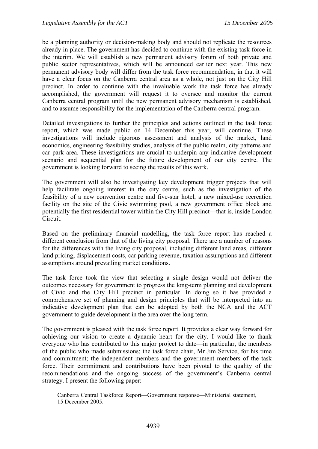be a planning authority or decision-making body and should not replicate the resources already in place. The government has decided to continue with the existing task force in the interim. We will establish a new permanent advisory forum of both private and public sector representatives, which will be announced earlier next year. This new permanent advisory body will differ from the task force recommendation, in that it will have a clear focus on the Canberra central area as a whole, not just on the City Hill precinct. In order to continue with the invaluable work the task force has already accomplished, the government will request it to oversee and monitor the current Canberra central program until the new permanent advisory mechanism is established, and to assume responsibility for the implementation of the Canberra central program.

Detailed investigations to further the principles and actions outlined in the task force report, which was made public on 14 December this year, will continue. These investigations will include rigorous assessment and analysis of the market, land economics, engineering feasibility studies, analysis of the public realm, city patterns and car park area. These investigations are crucial to underpin any indicative development scenario and sequential plan for the future development of our city centre. The government is looking forward to seeing the results of this work.

The government will also be investigating key development trigger projects that will help facilitate ongoing interest in the city centre, such as the investigation of the feasibility of a new convention centre and five-star hotel, a new mixed-use recreation facility on the site of the Civic swimming pool, a new government office block and potentially the first residential tower within the City Hill precinct—that is, inside London Circuit.

Based on the preliminary financial modelling, the task force report has reached a different conclusion from that of the living city proposal. There are a number of reasons for the differences with the living city proposal, including different land areas, different land pricing, displacement costs, car parking revenue, taxation assumptions and different assumptions around prevailing market conditions.

The task force took the view that selecting a single design would not deliver the outcomes necessary for government to progress the long-term planning and development of Civic and the City Hill precinct in particular. In doing so it has provided a comprehensive set of planning and design principles that will be interpreted into an indicative development plan that can be adopted by both the NCA and the ACT government to guide development in the area over the long term.

The government is pleased with the task force report. It provides a clear way forward for achieving our vision to create a dynamic heart for the city. I would like to thank everyone who has contributed to this major project to date—in particular, the members of the public who made submissions; the task force chair, Mr Jim Service, for his time and commitment; the independent members and the government members of the task force. Their commitment and contributions have been pivotal to the quality of the recommendations and the ongoing success of the government's Canberra central strategy. I present the following paper:

Canberra Central Taskforce Report—Government response—Ministerial statement, 15 December 2005.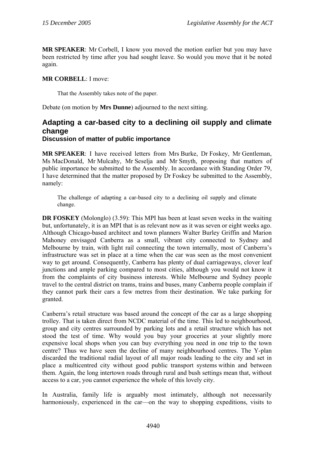**MR SPEAKER**: Mr Corbell, I know you moved the motion earlier but you may have been restricted by time after you had sought leave. So would you move that it be noted again.

# **MR CORBELL**: I move:

That the Assembly takes note of the paper.

Debate (on motion by **Mrs Dunne**) adjourned to the next sitting.

# **Adapting a car-based city to a declining oil supply and climate change Discussion of matter of public importance**

**MR SPEAKER**: I have received letters from Mrs Burke, Dr Foskey, Mr Gentleman, Ms MacDonald, Mr Mulcahy, Mr Seselja and Mr Smyth, proposing that matters of public importance be submitted to the Assembly. In accordance with Standing Order 79, I have determined that the matter proposed by Dr Foskey be submitted to the Assembly, namely:

The challenge of adapting a car-based city to a declining oil supply and climate change.

**DR FOSKEY** (Molonglo) (3.59): This MPI has been at least seven weeks in the waiting but, unfortunately, it is an MPI that is as relevant now as it was seven or eight weeks ago. Although Chicago-based architect and town planners Walter Burley Griffin and Marion Mahoney envisaged Canberra as a small, vibrant city connected to Sydney and Melbourne by train, with light rail connecting the town internally, most of Canberra's infrastructure was set in place at a time when the car was seen as the most convenient way to get around. Consequently, Canberra has plenty of dual carriageways, clover leaf junctions and ample parking compared to most cities, although you would not know it from the complaints of city business interests. While Melbourne and Sydney people travel to the central district on trams, trains and buses, many Canberra people complain if they cannot park their cars a few metres from their destination. We take parking for granted.

Canberra's retail structure was based around the concept of the car as a large shopping trolley. That is taken direct from NCDC material of the time. This led to neighbourhood, group and city centres surrounded by parking lots and a retail structure which has not stood the test of time. Why would you buy your groceries at your slightly more expensive local shops when you can buy everything you need in one trip to the town centre? Thus we have seen the decline of many neighbourhood centres. The Y-plan discarded the traditional radial layout of all major roads leading to the city and set in place a multicentred city without good public transport systems within and between them. Again, the long intertown roads through rural and bush settings mean that, without access to a car, you cannot experience the whole of this lovely city.

In Australia, family life is arguably most intimately, although not necessarily harmoniously, experienced in the car—on the way to shopping expeditions, visits to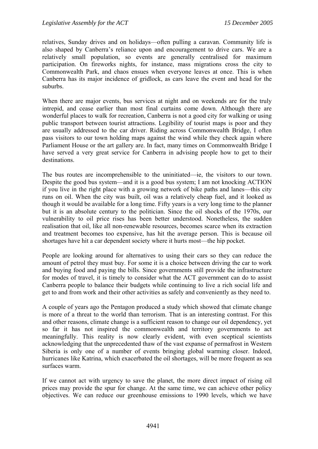relatives, Sunday drives and on holidays—often pulling a caravan. Community life is also shaped by Canberra's reliance upon and encouragement to drive cars. We are a relatively small population, so events are generally centralised for maximum participation. On fireworks nights, for instance, mass migrations cross the city to Commonwealth Park, and chaos ensues when everyone leaves at once. This is when Canberra has its major incidence of gridlock, as cars leave the event and head for the suburbs.

When there are major events, bus services at night and on weekends are for the truly intrepid, and cease earlier than most final curtains come down. Although there are wonderful places to walk for recreation, Canberra is not a good city for walking or using public transport between tourist attractions. Legibility of tourist maps is poor and they are usually addressed to the car driver. Riding across Commonwealth Bridge, I often pass visitors to our town holding maps against the wind while they check again where Parliament House or the art gallery are. In fact, many times on Commonwealth Bridge I have served a very great service for Canberra in advising people how to get to their destinations.

The bus routes are incomprehensible to the uninitiated—ie, the visitors to our town. Despite the good bus system—and it is a good bus system; I am not knocking ACTION if you live in the right place with a growing network of bike paths and lanes—this city runs on oil. When the city was built, oil was a relatively cheap fuel, and it looked as though it would be available for a long time. Fifty years is a very long time to the planner but it is an absolute century to the politician. Since the oil shocks of the 1970s, our vulnerability to oil price rises has been better understood. Nonetheless, the sudden realisation that oil, like all non-renewable resources, becomes scarce when its extraction and treatment becomes too expensive, has hit the average person. This is because oil shortages have hit a car dependent society where it hurts most—the hip pocket.

People are looking around for alternatives to using their cars so they can reduce the amount of petrol they must buy. For some it is a choice between driving the car to work and buying food and paying the bills. Since governments still provide the infrastructure for modes of travel, it is timely to consider what the ACT government can do to assist Canberra people to balance their budgets while continuing to live a rich social life and get to and from work and their other activities as safely and conveniently as they need to.

A couple of years ago the Pentagon produced a study which showed that climate change is more of a threat to the world than terrorism. That is an interesting contrast. For this and other reasons, climate change is a sufficient reason to change our oil dependency, yet so far it has not inspired the commonwealth and territory governments to act meaningfully. This reality is now clearly evident, with even sceptical scientists acknowledging that the unprecedented thaw of the vast expanse of permafrost in Western Siberia is only one of a number of events bringing global warming closer. Indeed, hurricanes like Katrina, which exacerbated the oil shortages, will be more frequent as sea surfaces warm.

If we cannot act with urgency to save the planet, the more direct impact of rising oil prices may provide the spur for change. At the same time, we can achieve other policy objectives. We can reduce our greenhouse emissions to 1990 levels, which we have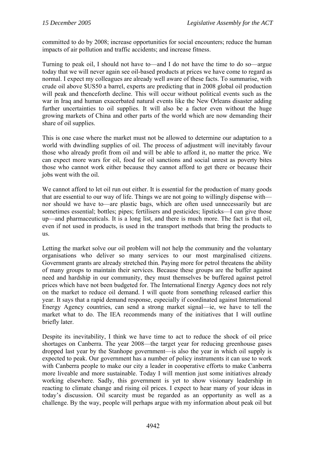committed to do by 2008; increase opportunities for social encounters; reduce the human impacts of air pollution and traffic accidents; and increase fitness.

Turning to peak oil, I should not have to—and I do not have the time to do so—argue today that we will never again see oil-based products at prices we have come to regard as normal. I expect my colleagues are already well aware of these facts. To summarise, with crude oil above \$US50 a barrel, experts are predicting that in 2008 global oil production will peak and thenceforth decline. This will occur without political events such as the war in Iraq and human exacerbated natural events like the New Orleans disaster adding further uncertainties to oil supplies. It will also be a factor even without the huge growing markets of China and other parts of the world which are now demanding their share of oil supplies.

This is one case where the market must not be allowed to determine our adaptation to a world with dwindling supplies of oil. The process of adjustment will inevitably favour those who already profit from oil and will be able to afford it, no matter the price. We can expect more wars for oil, food for oil sanctions and social unrest as poverty bites those who cannot work either because they cannot afford to get there or because their jobs went with the oil.

We cannot afford to let oil run out either. It is essential for the production of many goods that are essential to our way of life. Things we are not going to willingly dispense with nor should we have to—are plastic bags, which are often used unnecessarily but are sometimes essential; bottles; pipes; fertilisers and pesticides; lipsticks—I can give those up—and pharmaceuticals. It is a long list, and there is much more. The fact is that oil, even if not used in products, is used in the transport methods that bring the products to us.

Letting the market solve our oil problem will not help the community and the voluntary organisations who deliver so many services to our most marginalised citizens. Government grants are already stretched thin. Paying more for petrol threatens the ability of many groups to maintain their services. Because these groups are the buffer against need and hardship in our community, they must themselves be buffered against petrol prices which have not been budgeted for. The International Energy Agency does not rely on the market to reduce oil demand. I will quote from something released earlier this year. It says that a rapid demand response, especially if coordinated against International Energy Agency countries, can send a strong market signal—ie, we have to tell the market what to do. The IEA recommends many of the initiatives that I will outline briefly later.

Despite its inevitability, I think we have time to act to reduce the shock of oil price shortages on Canberra. The year 2008—the target year for reducing greenhouse gases dropped last year by the Stanhope government—is also the year in which oil supply is expected to peak. Our government has a number of policy instruments it can use to work with Canberra people to make our city a leader in cooperative efforts to make Canberra more liveable and more sustainable. Today I will mention just some initiatives already working elsewhere. Sadly, this government is yet to show visionary leadership in reacting to climate change and rising oil prices. I expect to hear many of your ideas in today's discussion. Oil scarcity must be regarded as an opportunity as well as a challenge. By the way, people will perhaps argue with my information about peak oil but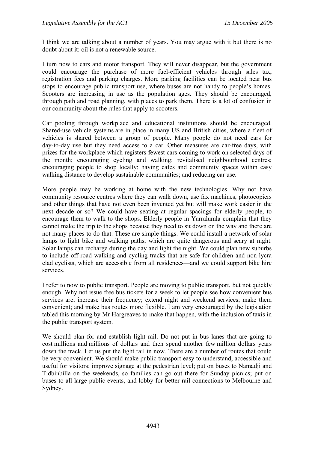I think we are talking about a number of years. You may argue with it but there is no doubt about it: oil is not a renewable source.

I turn now to cars and motor transport. They will never disappear, but the government could encourage the purchase of more fuel-efficient vehicles through sales tax, registration fees and parking charges. More parking facilities can be located near bus stops to encourage public transport use, where buses are not handy to people's homes. Scooters are increasing in use as the population ages. They should be encouraged, through path and road planning, with places to park them. There is a lot of confusion in our community about the rules that apply to scooters.

Car pooling through workplace and educational institutions should be encouraged. Shared-use vehicle systems are in place in many US and British cities, where a fleet of vehicles is shared between a group of people. Many people do not need cars for day-to-day use but they need access to a car. Other measures are car-free days, with prizes for the workplace which registers fewest cars coming to work on selected days of the month; encouraging cycling and walking; revitalised neighbourhood centres; encouraging people to shop locally; having cafes and community spaces within easy walking distance to develop sustainable communities; and reducing car use.

More people may be working at home with the new technologies. Why not have community resource centres where they can walk down, use fax machines, photocopiers and other things that have not even been invented yet but will make work easier in the next decade or so? We could have seating at regular spacings for elderly people, to encourage them to walk to the shops. Elderly people in Yarralumla complain that they cannot make the trip to the shops because they need to sit down on the way and there are not many places to do that. These are simple things. We could install a network of solar lamps to light bike and walking paths, which are quite dangerous and scary at night. Solar lamps can recharge during the day and light the night. We could plan new suburbs to include off-road walking and cycling tracks that are safe for children and non-lycra clad cyclists, which are accessible from all residences—and we could support bike hire services.

I refer to now to public transport. People are moving to public transport, but not quickly enough. Why not issue free bus tickets for a week to let people see how convenient bus services are; increase their frequency; extend night and weekend services; make them convenient; and make bus routes more flexible. I am very encouraged by the legislation tabled this morning by Mr Hargreaves to make that happen, with the inclusion of taxis in the public transport system.

We should plan for and establish light rail. Do not put in bus lanes that are going to cost millions and millions of dollars and then spend another few million dollars years down the track. Let us put the light rail in now. There are a number of routes that could be very convenient. We should make public transport easy to understand, accessible and useful for visitors; improve signage at the pedestrian level; put on buses to Namadji and Tidbinbilla on the weekends, so families can go out there for Sunday picnics; put on buses to all large public events, and lobby for better rail connections to Melbourne and Sydney.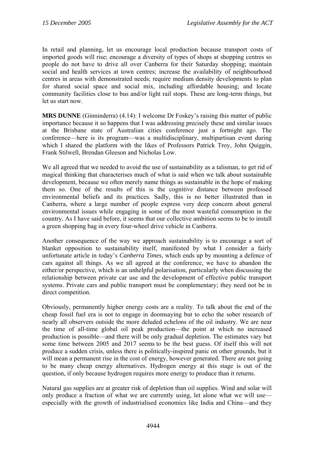In retail and planning, let us encourage local production because transport costs of imported goods will rise; encourage a diversity of types of shops at shopping centres so people do not have to drive all over Canberra for their Saturday shopping; maintain social and health services at town centres; increase the availability of neighbourhood centres in areas with demonstrated needs; require medium density developments to plan for shared social space and social mix, including affordable housing; and locate community facilities close to bus and/or light rail stops. These are long-term things, but let us start now.

**MRS DUNNE** (Ginninderra) (4.14): I welcome Dr Foskey's raising this matter of public importance because it so happens that I was addressing precisely these and similar issues at the Brisbane state of Australian cities conference just a fortnight ago. The conference—here is its program—was a multidisciplinary, multipartisan event during which I shared the platform with the likes of Professors Patrick Troy, John Quiggin, Frank Stilwell, Brendan Gleeson and Nicholas Low.

We all agreed that we needed to avoid the use of sustainability as a talisman, to get rid of magical thinking that characterises much of what is said when we talk about sustainable development, because we often merely name things as sustainable in the hope of making them so. One of the results of this is the cognitive distance between professed environmental beliefs and its practices. Sadly, this is no better illustrated than in Canberra, where a large number of people express very deep concern about general environmental issues while engaging in some of the most wasteful consumption in the country. As I have said before, it seems that our collective ambition seems to be to install a green shopping bag in every four-wheel drive vehicle in Canberra.

Another consequence of the way we approach sustainability is to encourage a sort of blanket opposition to sustainability itself, manifested by what I consider a fairly unfortunate article in today's *Canberra Times*, which ends up by mounting a defence of cars against all things. As we all agreed at the conference, we have to abandon the either/or perspective, which is an unhelpful polarisation, particularly when discussing the relationship between private car use and the development of effective public transport systems. Private cars and public transport must be complementary; they need not be in direct competition.

Obviously, permanently higher energy costs are a reality. To talk about the end of the cheap fossil fuel era is not to engage in doomsaying but to echo the sober research of nearly all observers outside the more deluded echelons of the oil industry. We are near the time of all-time global oil peak production—the point at which no increased production is possible—and there will be only gradual depletion. The estimates vary but some time between 2005 and 2017 seems to be the best guess. Of itself this will not produce a sudden crisis, unless there is politically-inspired panic on other grounds, but it will mean a permanent rise in the cost of energy, however generated. There are not going to be many cheap energy alternatives. Hydrogen energy at this stage is out of the question, if only because hydrogen requires more energy to produce than it returns.

Natural gas supplies are at greater risk of depletion than oil supplies. Wind and solar will only produce a fraction of what we are currently using, let alone what we will use especially with the growth of industrialised economies like India and China—and they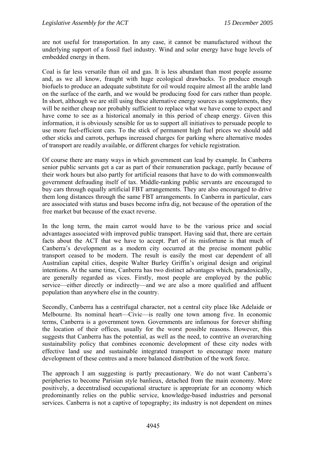are not useful for transportation. In any case, it cannot be manufactured without the underlying support of a fossil fuel industry. Wind and solar energy have huge levels of embedded energy in them.

Coal is far less versatile than oil and gas. It is less abundant than most people assume and, as we all know, fraught with huge ecological drawbacks. To produce enough biofuels to produce an adequate substitute for oil would require almost all the arable land on the surface of the earth, and we would be producing food for cars rather than people. In short, although we are still using these alternative energy sources as supplements, they will be neither cheap nor probably sufficient to replace what we have come to expect and have come to see as a historical anomaly in this period of cheap energy. Given this information, it is obviously sensible for us to support all initiatives to persuade people to use more fuel-efficient cars. To the stick of permanent high fuel prices we should add other sticks and carrots, perhaps increased charges for parking where alternative modes of transport are readily available, or different charges for vehicle registration.

Of course there are many ways in which government can lead by example. In Canberra senior public servants get a car as part of their remuneration package, partly because of their work hours but also partly for artificial reasons that have to do with commonwealth government defrauding itself of tax. Middle-ranking public servants are encouraged to buy cars through equally artificial FBT arrangements. They are also encouraged to drive them long distances through the same FBT arrangements. In Canberra in particular, cars are associated with status and buses become infra dig, not because of the operation of the free market but because of the exact reverse.

In the long term, the main carrot would have to be the various price and social advantages associated with improved public transport. Having said that, there are certain facts about the ACT that we have to accept. Part of its misfortune is that much of Canberra's development as a modern city occurred at the precise moment public transport ceased to be modern. The result is easily the most car dependent of all Australian capital cities, despite Walter Burley Griffin's original design and original intentions. At the same time, Canberra has two distinct advantages which, paradoxically, are generally regarded as vices. Firstly, most people are employed by the public service—either directly or indirectly—and we are also a more qualified and affluent population than anywhere else in the country.

Secondly, Canberra has a centrifugal character, not a central city place like Adelaide or Melbourne. Its nominal heart—Civic—is really one town among five. In economic terms, Canberra is a government town. Governments are infamous for forever shifting the location of their offices, usually for the worst possible reasons. However, this suggests that Canberra has the potential, as well as the need, to contrive an overarching sustainability policy that combines economic development of these city nodes with effective land use and sustainable integrated transport to encourage more mature development of these centres and a more balanced distribution of the work force.

The approach I am suggesting is partly precautionary. We do not want Canberra's peripheries to become Parisian style banlieux, detached from the main economy. More positively, a decentralised occupational structure is appropriate for an economy which predominantly relies on the public service, knowledge-based industries and personal services. Canberra is not a captive of topography; its industry is not dependent on mines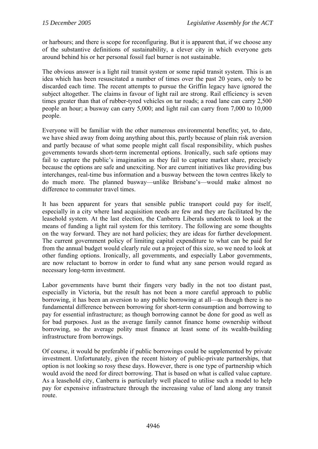or harbours; and there is scope for reconfiguring. But it is apparent that, if we choose any of the substantive definitions of sustainability, a clever city in which everyone gets around behind his or her personal fossil fuel burner is not sustainable.

The obvious answer is a light rail transit system or some rapid transit system. This is an idea which has been resuscitated a number of times over the past 20 years, only to be discarded each time. The recent attempts to pursue the Griffin legacy have ignored the subject altogether. The claims in favour of light rail are strong. Rail efficiency is seven times greater than that of rubber-tyred vehicles on tar roads; a road lane can carry 2,500 people an hour; a busway can carry 5,000; and light rail can carry from 7,000 to 10,000 people.

Everyone will be familiar with the other numerous environmental benefits; yet, to date, we have shied away from doing anything about this, partly because of plain risk aversion and partly because of what some people might call fiscal responsibility, which pushes governments towards short-term incremental options. Ironically, such safe options may fail to capture the public's imagination as they fail to capture market share, precisely because the options are safe and unexciting. Nor are current initiatives like providing bus interchanges, real-time bus information and a busway between the town centres likely to do much more. The planned busway—unlike Brisbane's—would make almost no difference to commuter travel times.

It has been apparent for years that sensible public transport could pay for itself, especially in a city where land acquisition needs are few and they are facilitated by the leasehold system. At the last election, the Canberra Liberals undertook to look at the means of funding a light rail system for this territory. The following are some thoughts on the way forward. They are not hard policies; they are ideas for further development. The current government policy of limiting capital expenditure to what can be paid for from the annual budget would clearly rule out a project of this size, so we need to look at other funding options. Ironically, all governments, and especially Labor governments, are now reluctant to borrow in order to fund what any sane person would regard as necessary long-term investment.

Labor governments have burnt their fingers very badly in the not too distant past, especially in Victoria, but the result has not been a more careful approach to public borrowing, it has been an aversion to any public borrowing at all—as though there is no fundamental difference between borrowing for short-term consumption and borrowing to pay for essential infrastructure; as though borrowing cannot be done for good as well as for bad purposes. Just as the average family cannot finance home ownership without borrowing, so the average polity must finance at least some of its wealth-building infrastructure from borrowings.

Of course, it would be preferable if public borrowings could be supplemented by private investment. Unfortunately, given the recent history of public-private partnerships, that option is not looking so rosy these days. However, there is one type of partnership which would avoid the need for direct borrowing. That is based on what is called value capture. As a leasehold city, Canberra is particularly well placed to utilise such a model to help pay for expensive infrastructure through the increasing value of land along any transit route.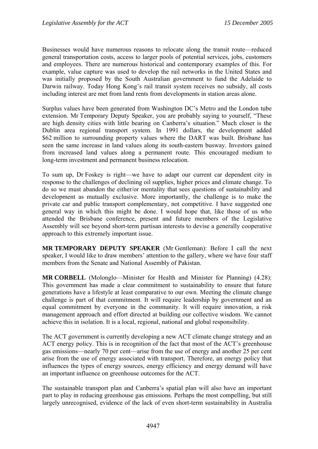Businesses would have numerous reasons to relocate along the transit route—reduced general transportation costs, access to larger pools of potential services, jobs, customers and employees. There are numerous historical and contemporary examples of this. For example, value capture was used to develop the rail networks in the United States and was initially proposed by the South Australian government to fund the Adelaide to Darwin railway. Today Hong Kong's rail transit system receives no subsidy, all costs including interest are met from land rents from developments in station areas alone.

Surplus values have been generated from Washington DC's Metro and the London tube extension. Mr Temporary Deputy Speaker, you are probably saying to yourself, "These are high density cities with little bearing on Canberra's situation." Much closer is the Dublin area regional transport system. In 1991 dollars, the development added \$62 million to surrounding property values where the DART was built. Brisbane has seen the same increase in land values along its south-eastern busway. Investors gained from increased land values along a permanent route. This encouraged medium to long-term investment and permanent business relocation.

To sum up, Dr Foskey is right—we have to adapt our current car dependent city in response to the challenges of declining oil supplies, higher prices and climate change. To do so we must abandon the either/or mentality that sees questions of sustainability and development as mutually exclusive. More importantly, the challenge is to make the private car and public transport complementary, not competitive. I have suggested one general way in which this might be done. I would hope that, like those of us who attended the Brisbane conference, present and future members of the Legislative Assembly will see beyond short-term partisan interests to devise a generally cooperative approach to this extremely important issue.

**MR TEMPORARY DEPUTY SPEAKER** (Mr Gentleman): Before I call the next speaker, I would like to draw members' attention to the gallery, where we have four staff members from the Senate and National Assembly of Pakistan.

**MR CORBELL** (Molonglo—Minister for Health and Minister for Planning) (4.28): This government has made a clear commitment to sustainability to ensure that future generations have a lifestyle at least comparative to our own. Meeting the climate change challenge is part of that commitment. It will require leadership by government and an equal commitment by everyone in the community. It will require innovation, a risk management approach and effort directed at building our collective wisdom. We cannot achieve this in isolation. It is a local, regional, national and global responsibility.

The ACT government is currently developing a new ACT climate change strategy and an ACT energy policy. This is in recognition of the fact that most of the ACT's greenhouse gas emissions—nearly 70 per cent—arise from the use of energy and another 25 per cent arise from the use of energy associated with transport. Therefore, an energy policy that influences the types of energy sources, energy efficiency and energy demand will have an important influence on greenhouse outcomes for the ACT.

The sustainable transport plan and Canberra's spatial plan will also have an important part to play in reducing greenhouse gas emissions. Perhaps the most compelling, but still largely unrecognised, evidence of the lack of even short-term sustainability in Australia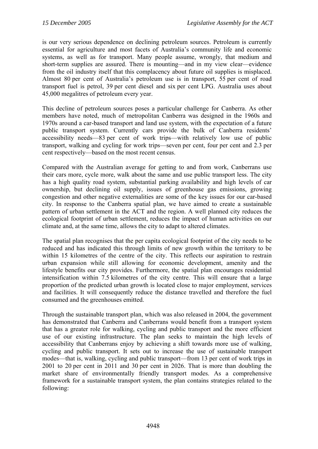is our very serious dependence on declining petroleum sources. Petroleum is currently essential for agriculture and most facets of Australia's community life and economic systems, as well as for transport. Many people assume, wrongly, that medium and short-term supplies are assured. There is mounting—and in my view clear—evidence from the oil industry itself that this complacency about future oil supplies is misplaced. Almost 80 per cent of Australia's petroleum use is in transport, 55 per cent of road transport fuel is petrol, 39 per cent diesel and six per cent LPG. Australia uses about 45,000 megalitres of petroleum every year.

This decline of petroleum sources poses a particular challenge for Canberra. As other members have noted, much of metropolitan Canberra was designed in the 1960s and 1970s around a car-based transport and land use system, with the expectation of a future public transport system. Currently cars provide the bulk of Canberra residents' accessibility needs—83 per cent of work trips—with relatively low use of public transport, walking and cycling for work trips—seven per cent, four per cent and 2.3 per cent respectively—based on the most recent census.

Compared with the Australian average for getting to and from work, Canberrans use their cars more, cycle more, walk about the same and use public transport less. The city has a high quality road system, substantial parking availability and high levels of car ownership, but declining oil supply, issues of greenhouse gas emissions, growing congestion and other negative externalities are some of the key issues for our car-based city. In response to the Canberra spatial plan, we have aimed to create a sustainable pattern of urban settlement in the ACT and the region. A well planned city reduces the ecological footprint of urban settlement, reduces the impact of human activities on our climate and, at the same time, allows the city to adapt to altered climates.

The spatial plan recognises that the per capita ecological footprint of the city needs to be reduced and has indicated this through limits of new growth within the territory to be within 15 kilometres of the centre of the city. This reflects our aspiration to restrain urban expansion while still allowing for economic development, amenity and the lifestyle benefits our city provides. Furthermore, the spatial plan encourages residential intensification within 7.5 kilometres of the city centre. This will ensure that a large proportion of the predicted urban growth is located close to major employment, services and facilities. It will consequently reduce the distance travelled and therefore the fuel consumed and the greenhouses emitted.

Through the sustainable transport plan, which was also released in 2004, the government has demonstrated that Canberra and Canberrans would benefit from a transport system that has a greater role for walking, cycling and public transport and the more efficient use of our existing infrastructure. The plan seeks to maintain the high levels of accessibility that Canberrans enjoy by achieving a shift towards more use of walking, cycling and public transport. It sets out to increase the use of sustainable transport modes—that is, walking, cycling and public transport—from 13 per cent of work trips in 2001 to 20 per cent in 2011 and 30 per cent in 2026. That is more than doubling the market share of environmentally friendly transport modes. As a comprehensive framework for a sustainable transport system, the plan contains strategies related to the following: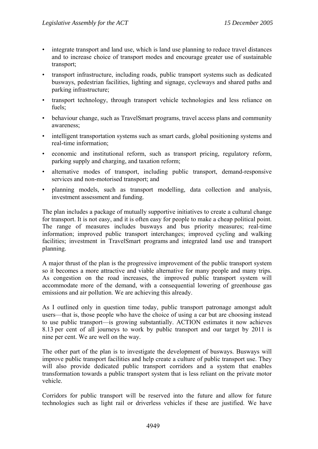- integrate transport and land use, which is land use planning to reduce travel distances and to increase choice of transport modes and encourage greater use of sustainable transport;
- transport infrastructure, including roads, public transport systems such as dedicated busways, pedestrian facilities, lighting and signage, cycleways and shared paths and parking infrastructure;
- transport technology, through transport vehicle technologies and less reliance on fuels;
- behaviour change, such as TravelSmart programs, travel access plans and community awareness;
- intelligent transportation systems such as smart cards, global positioning systems and real-time information;
- economic and institutional reform, such as transport pricing, regulatory reform, parking supply and charging, and taxation reform;
- alternative modes of transport, including public transport, demand-responsive services and non-motorised transport; and
- planning models, such as transport modelling, data collection and analysis, investment assessment and funding.

The plan includes a package of mutually supportive initiatives to create a cultural change for transport. It is not easy, and it is often easy for people to make a cheap political point. The range of measures includes busways and bus priority measures; real-time information; improved public transport interchanges; improved cycling and walking facilities; investment in TravelSmart programs and integrated land use and transport planning.

A major thrust of the plan is the progressive improvement of the public transport system so it becomes a more attractive and viable alternative for many people and many trips. As congestion on the road increases, the improved public transport system will accommodate more of the demand, with a consequential lowering of greenhouse gas emissions and air pollution. We are achieving this already.

As I outlined only in question time today, public transport patronage amongst adult users—that is, those people who have the choice of using a car but are choosing instead to use public transport—is growing substantially. ACTION estimates it now achieves 8.13 per cent of all journeys to work by public transport and our target by 2011 is nine per cent. We are well on the way.

The other part of the plan is to investigate the development of busways. Busways will improve public transport facilities and help create a culture of public transport use. They will also provide dedicated public transport corridors and a system that enables transformation towards a public transport system that is less reliant on the private motor vehicle.

Corridors for public transport will be reserved into the future and allow for future technologies such as light rail or driverless vehicles if these are justified. We have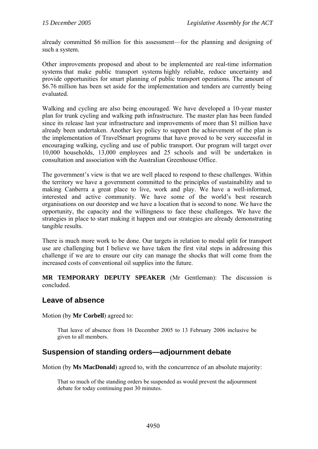already committed \$6 million for this assessment—for the planning and designing of such a system.

Other improvements proposed and about to be implemented are real-time information systems that make public transport systems highly reliable, reduce uncertainty and provide opportunities for smart planning of public transport operations. The amount of \$6.76 million has been set aside for the implementation and tenders are currently being evaluated.

Walking and cycling are also being encouraged. We have developed a 10-year master plan for trunk cycling and walking path infrastructure. The master plan has been funded since its release last year infrastructure and improvements of more than \$1 million have already been undertaken. Another key policy to support the achievement of the plan is the implementation of TravelSmart programs that have proved to be very successful in encouraging walking, cycling and use of public transport. Our program will target over 10,000 households, 13,000 employees and 25 schools and will be undertaken in consultation and association with the Australian Greenhouse Office.

The government's view is that we are well placed to respond to these challenges. Within the territory we have a government committed to the principles of sustainability and to making Canberra a great place to live, work and play. We have a well-informed, interested and active community. We have some of the world's best research organisations on our doorstep and we have a location that is second to none. We have the opportunity, the capacity and the willingness to face these challenges. We have the strategies in place to start making it happen and our strategies are already demonstrating tangible results.

There is much more work to be done. Our targets in relation to modal split for transport use are challenging but I believe we have taken the first vital steps in addressing this challenge if we are to ensure our city can manage the shocks that will come from the increased costs of conventional oil supplies into the future.

**MR TEMPORARY DEPUTY SPEAKER** (Mr Gentleman): The discussion is concluded.

# **Leave of absence**

Motion (by **Mr Corbell**) agreed to:

That leave of absence from 16 December 2005 to 13 February 2006 inclusive be given to all members.

# **Suspension of standing orders—adjournment debate**

Motion (by **Ms MacDonald**) agreed to, with the concurrence of an absolute majority:

That so much of the standing orders be suspended as would prevent the adjournment debate for today continuing past 30 minutes.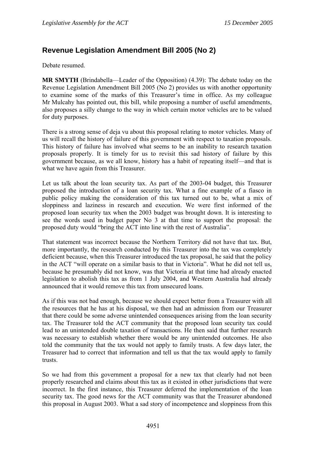# **Revenue Legislation Amendment Bill 2005 (No 2)**

Debate resumed.

**MR SMYTH** (Brindabella—Leader of the Opposition) (4.39): The debate today on the Revenue Legislation Amendment Bill 2005 (No 2) provides us with another opportunity to examine some of the marks of this Treasurer's time in office. As my colleague Mr Mulcahy has pointed out, this bill, while proposing a number of useful amendments, also proposes a silly change to the way in which certain motor vehicles are to be valued for duty purposes.

There is a strong sense of deja vu about this proposal relating to motor vehicles. Many of us will recall the history of failure of this government with respect to taxation proposals. This history of failure has involved what seems to be an inability to research taxation proposals properly. It is timely for us to revisit this sad history of failure by this government because, as we all know, history has a habit of repeating itself—and that is what we have again from this Treasurer.

Let us talk about the loan security tax. As part of the 2003-04 budget, this Treasurer proposed the introduction of a loan security tax. What a fine example of a fiasco in public policy making the consideration of this tax turned out to be, what a mix of sloppiness and laziness in research and execution. We were first informed of the proposed loan security tax when the 2003 budget was brought down. It is interesting to see the words used in budget paper No 3 at that time to support the proposal: the proposed duty would "bring the ACT into line with the rest of Australia".

That statement was incorrect because the Northern Territory did not have that tax. But, more importantly, the research conducted by this Treasurer into the tax was completely deficient because, when this Treasurer introduced the tax proposal, he said that the policy in the ACT "will operate on a similar basis to that in Victoria". What he did not tell us, because he presumably did not know, was that Victoria at that time had already enacted legislation to abolish this tax as from 1 July 2004, and Western Australia had already announced that it would remove this tax from unsecured loans.

As if this was not bad enough, because we should expect better from a Treasurer with all the resources that he has at his disposal, we then had an admission from our Treasurer that there could be some adverse unintended consequences arising from the loan security tax. The Treasurer told the ACT community that the proposed loan security tax could lead to an unintended double taxation of transactions. He then said that further research was necessary to establish whether there would be any unintended outcomes. He also told the community that the tax would not apply to family trusts. A few days later, the Treasurer had to correct that information and tell us that the tax would apply to family trusts.

So we had from this government a proposal for a new tax that clearly had not been properly researched and claims about this tax as it existed in other jurisdictions that were incorrect. In the first instance, this Treasurer deferred the implementation of the loan security tax. The good news for the ACT community was that the Treasurer abandoned this proposal in August 2003. What a sad story of incompetence and sloppiness from this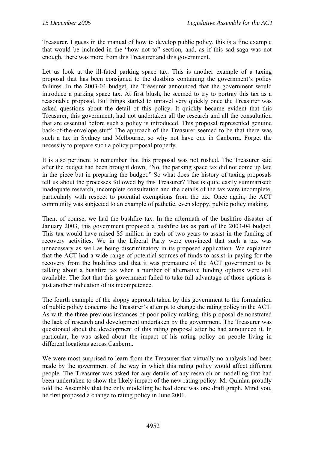Treasurer. I guess in the manual of how to develop public policy, this is a fine example that would be included in the "how not to" section, and, as if this sad saga was not enough, there was more from this Treasurer and this government.

Let us look at the ill-fated parking space tax. This is another example of a taxing proposal that has been consigned to the dustbins containing the government's policy failures. In the 2003-04 budget, the Treasurer announced that the government would introduce a parking space tax. At first blush, he seemed to try to portray this tax as a reasonable proposal. But things started to unravel very quickly once the Treasurer was asked questions about the detail of this policy. It quickly became evident that this Treasurer, this government, had not undertaken all the research and all the consultation that are essential before such a policy is introduced. This proposal represented genuine back-of-the-envelope stuff. The approach of the Treasurer seemed to be that there was such a tax in Sydney and Melbourne, so why not have one in Canberra. Forget the necessity to prepare such a policy proposal properly.

It is also pertinent to remember that this proposal was not rushed. The Treasurer said after the budget had been brought down, "No, the parking space tax did not come up late in the piece but in preparing the budget." So what does the history of taxing proposals tell us about the processes followed by this Treasurer? That is quite easily summarised: inadequate research, incomplete consultation and the details of the tax were incomplete, particularly with respect to potential exemptions from the tax. Once again, the ACT community was subjected to an example of pathetic, even sloppy, public policy making.

Then, of course, we had the bushfire tax. In the aftermath of the bushfire disaster of January 2003, this government proposed a bushfire tax as part of the 2003-04 budget. This tax would have raised \$5 million in each of two years to assist in the funding of recovery activities. We in the Liberal Party were convinced that such a tax was unnecessary as well as being discriminatory in its proposed application. We explained that the ACT had a wide range of potential sources of funds to assist in paying for the recovery from the bushfires and that it was premature of the ACT government to be talking about a bushfire tax when a number of alternative funding options were still available. The fact that this government failed to take full advantage of those options is just another indication of its incompetence.

The fourth example of the sloppy approach taken by this government to the formulation of public policy concerns the Treasurer's attempt to change the rating policy in the ACT. As with the three previous instances of poor policy making, this proposal demonstrated the lack of research and development undertaken by the government. The Treasurer was questioned about the development of this rating proposal after he had announced it. In particular, he was asked about the impact of his rating policy on people living in different locations across Canberra.

We were most surprised to learn from the Treasurer that virtually no analysis had been made by the government of the way in which this rating policy would affect different people. The Treasurer was asked for any details of any research or modelling that had been undertaken to show the likely impact of the new rating policy. Mr Quinlan proudly told the Assembly that the only modelling he had done was one draft graph. Mind you, he first proposed a change to rating policy in June 2001.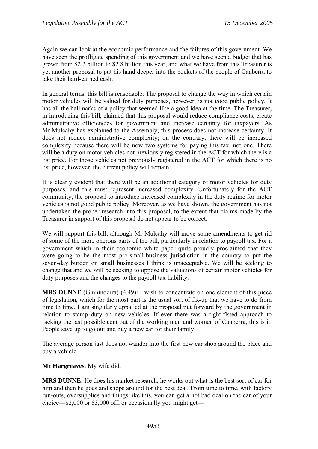Again we can look at the economic performance and the failures of this government. We have seen the profligate spending of this government and we have seen a budget that has grown from \$2.2 billion to \$2.8 billion this year, and what we have from this Treasurer is yet another proposal to put his hand deeper into the pockets of the people of Canberra to take their hard-earned cash.

In general terms, this bill is reasonable. The proposal to change the way in which certain motor vehicles will be valued for duty purposes, however, is not good public policy. It has all the hallmarks of a policy that seemed like a good idea at the time. The Treasurer, in introducing this bill, claimed that this proposal would reduce compliance costs, create administrative efficiencies for government and increase certainty for taxpayers. As Mr Mulcahy has explained to the Assembly, this process does not increase certainty. It does not reduce administrative complexity; on the contrary, there will be increased complexity because there will be now two systems for paying this tax, not one. There will be a duty on motor vehicles not previously registered in the ACT for which there is a list price. For those vehicles not previously registered in the ACT for which there is no list price, however, the current policy will remain.

It is clearly evident that there will be an additional category of motor vehicles for duty purposes, and this must represent increased complexity. Unfortunately for the ACT community, the proposal to introduce increased complexity in the duty regime for motor vehicles is not good public policy. Moreover, as we have shown, the government has not undertaken the proper research into this proposal, to the extent that claims made by the Treasurer in support of this proposal do not appear to be correct.

We will support this bill, although Mr Mulcahy will move some amendments to get rid of some of the more onerous parts of the bill, particularly in relation to payroll tax. For a government which in their economic white paper quite proudly proclaimed that they were going to be the most pro-small-business jurisdiction in the country to put the seven-day burden on small businesses I think is unacceptable. We will be seeking to change that and we will be seeking to oppose the valuations of certain motor vehicles for duty purposes and the changes to the payroll tax liability.

**MRS DUNNE** (Ginninderra) (4.49): I wish to concentrate on one element of this piece of legislation, which for the most part is the usual sort of fix-up that we have to do from time to time. I am singularly appalled at the proposal put forward by the government in relation to stamp duty on new vehicles. If ever there was a tight-fisted approach to racking the last possible cent out of the working men and women of Canberra, this is it. People save up to go out and buy a new car for their family.

The average person just does not wander into the first new car shop around the place and buy a vehicle.

#### **Mr Hargreaves**: My wife did.

**MRS DUNNE**: He does his market research, he works out what is the best sort of car for him and then he goes and shops around for the best deal. From time to time, with factory run-outs, oversupplies and things like this, you can get a not bad deal on the car of your choice—\$2,000 or \$3,000 off, or occasionally you might get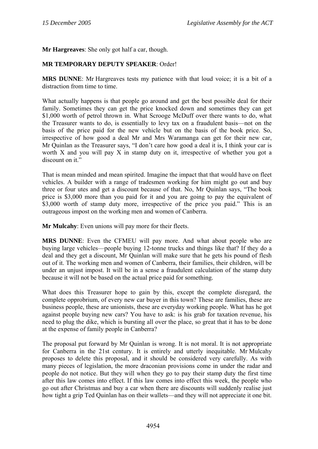**Mr Hargreaves**: She only got half a car, though.

# **MR TEMPORARY DEPUTY SPEAKER**: Order!

**MRS DUNNE**: Mr Hargreaves tests my patience with that loud voice; it is a bit of a distraction from time to time.

What actually happens is that people go around and get the best possible deal for their family. Sometimes they can get the price knocked down and sometimes they can get \$1,000 worth of petrol thrown in. What Scrooge McDuff over there wants to do, what the Treasurer wants to do, is essentially to levy tax on a fraudulent basis—not on the basis of the price paid for the new vehicle but on the basis of the book price. So, irrespective of how good a deal Mr and Mrs Waramanga can get for their new car, Mr Quinlan as the Treasurer says, "I don't care how good a deal it is, I think your car is worth  $X$  and you will pay  $X$  in stamp duty on it, irrespective of whether you got a discount on it."

That is mean minded and mean spirited. Imagine the impact that that would have on fleet vehicles. A builder with a range of tradesmen working for him might go out and buy three or four utes and get a discount because of that. No, Mr Quinlan says, "The book price is \$3,000 more than you paid for it and you are going to pay the equivalent of \$3,000 worth of stamp duty more, irrespective of the price you paid." This is an outrageous impost on the working men and women of Canberra.

**Mr Mulcahy**: Even unions will pay more for their fleets.

**MRS DUNNE**: Even the CFMEU will pay more. And what about people who are buying large vehicles—people buying 12-tonne trucks and things like that? If they do a deal and they get a discount, Mr Quinlan will make sure that he gets his pound of flesh out of it. The working men and women of Canberra, their families, their children, will be under an unjust impost. It will be in a sense a fraudulent calculation of the stamp duty because it will not be based on the actual price paid for something.

What does this Treasurer hope to gain by this, except the complete disregard, the complete opprobrium, of every new car buyer in this town? These are families, these are business people, these are unionists, these are everyday working people. What has he got against people buying new cars? You have to ask: is his grab for taxation revenue, his need to plug the dike, which is bursting all over the place, so great that it has to be done at the expense of family people in Canberra?

The proposal put forward by Mr Quinlan is wrong. It is not moral. It is not appropriate for Canberra in the 21st century. It is entirely and utterly inequitable. Mr Mulcahy proposes to delete this proposal, and it should be considered very carefully. As with many pieces of legislation, the more draconian provisions come in under the radar and people do not notice. But they will when they go to pay their stamp duty the first time after this law comes into effect. If this law comes into effect this week, the people who go out after Christmas and buy a car when there are discounts will suddenly realise just how tight a grip Ted Quinlan has on their wallets—and they will not appreciate it one bit.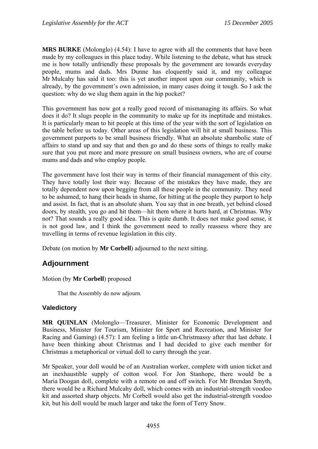**MRS BURKE** (Molonglo) (4.54): I have to agree with all the comments that have been made by my colleagues in this place today. While listening to the debate, what has struck me is how totally unfriendly these proposals by the government are towards everyday people, mums and dads. Mrs Dunne has eloquently said it, and my colleague Mr Mulcahy has said it too: this is yet another impost upon our community, which is already, by the government's own admission, in many cases doing it tough. So I ask the question: why do we slug them again in the hip pocket?

This government has now got a really good record of mismanaging its affairs. So what does it do? It slugs people in the community to make up for its ineptitude and mistakes. It is particularly mean to hit people at this time of the year with the sort of legislation on the table before us today. Other areas of this legislation will hit at small business. This government purports to be small business friendly. What an absolute shambolic state of affairs to stand up and say that and then go and do these sorts of things to really make sure that you put more and more pressure on small business owners, who are of course mums and dads and who employ people.

The government have lost their way in terms of their financial management of this city. They have totally lost their way. Because of the mistakes they have made, they are totally dependent now upon begging from all these people in the community. They need to be ashamed, to hang their heads in shame, for hitting at the people they purport to help and assist. In fact, that is an absolute sham. You say that in one breath, yet behind closed doors, by stealth, you go and hit them—hit them where it hurts hard, at Christmas. Why not? That sounds a really good idea. This is quite dumb. It does not make good sense, it is not good law, and I think the government need to really reassess where they are travelling in terms of revenue legislation in this city.

Debate (on motion by **Mr Corbell**) adjourned to the next sitting.

# **Adjournment**

Motion (by **Mr Corbell**) proposed

That the Assembly do now adjourn.

#### **Valedictory**

**MR QUINLAN** (Molonglo—Treasurer, Minister for Economic Development and Business, Minister for Tourism, Minister for Sport and Recreation, and Minister for Racing and Gaming) (4.57): I am feeling a little un-Christmassy after that last debate. I have been thinking about Christmas and I had decided to give each member for Christmas a metaphorical or virtual doll to carry through the year.

Mr Speaker, your doll would be of an Australian worker, complete with union ticket and an inexhaustible supply of cotton wool. For Jon Stanhope, there would be a Maria Doogan doll, complete with a remote on and off switch. For Mr Brendan Smyth, there would be a Richard Mulcahy doll, which comes with an industrial-strength voodoo kit and assorted sharp objects. Mr Corbell would also get the industrial-strength voodoo kit, but his doll would be much larger and take the form of Terry Snow.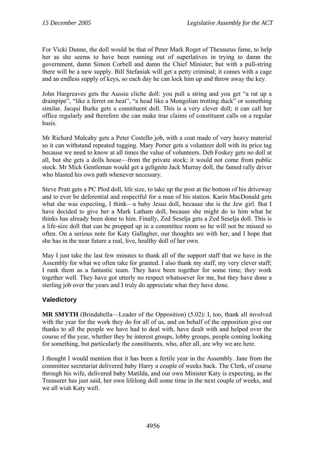For Vicki Dunne, the doll would be that of Peter Mark Roget of Thesaurus fame, to help her as she seems to have been running out of superlatives in trying to damn the government, damn Simon Corbell and damn the Chief Minister; but with a pull-string there will be a new supply. Bill Stefaniak will get a petty criminal; it comes with a cage and an endless supply of keys, so each day he can lock him up and throw away the key.

John Hargreaves gets the Aussie cliche doll: you pull a string and you get "a rat up a drainpipe", "like a ferret on heat", "a head like a Mongolian trotting duck" or something similar. Jacqui Burke gets a constituent doll. This is a very clever doll; it can call her office regularly and therefore she can make true claims of constituent calls on a regular basis.

Mr Richard Mulcahy gets a Peter Costello job, with a coat made of very heavy material so it can withstand repeated tugging. Mary Porter gets a volunteer doll with its price tag because we need to know at all times the value of volunteers. Deb Foskey gets no doll at all, but she gets a dolls house—from the private stock; it would not come from public stock. Mr Mick Gentleman would get a gelignite Jack Murray doll, the famed rally driver who blasted his own path whenever necessary.

Steve Pratt gets a PC Plod doll, life size, to take up the post at the bottom of his driveway and to ever be deferential and respectful for a man of his station. Karin MacDonald gets what she was expecting, I think—a baby Jesus doll, because she is the Jew girl. But I have decided to give her a Mark Latham doll, because she might do to him what he thinks has already been done to him. Finally, Zed Seselja gets a Zed Seselja doll. This is a life-size doll that can be propped up in a committee room so he will not be missed so often. On a serious note for Katy Gallagher, our thoughts are with her, and I hope that she has in the near future a real, live, healthy doll of her own.

May I just take the last few minutes to thank all of the support staff that we have in the Assembly for what we often take for granted. I also thank my staff, my very clever staff; I rank them as a fantastic team. They have been together for some time; they work together well. They have got utterly no respect whatsoever for me, but they have done a sterling job over the years and I truly do appreciate what they have done.

# **Valedictory**

**MR SMYTH** (Brindabella—Leader of the Opposition) (5.02): I, too, thank all involved with the year for the work they do for all of us, and on behalf of the opposition give our thanks to all the people we have had to deal with, have dealt with and helped over the course of the year, whether they be interest groups, lobby groups, people coming looking for something, but particularly the constituents, who, after all, are why we are here.

I thought I would mention that it has been a fertile year in the Assembly. Jane from the committee secretariat delivered baby Harry a couple of weeks back. The Clerk, of course through his wife, delivered baby Matilda, and our own Minister Katy is expecting, as the Treasurer has just said, her own lifelong doll some time in the next couple of weeks, and we all wish Katy well.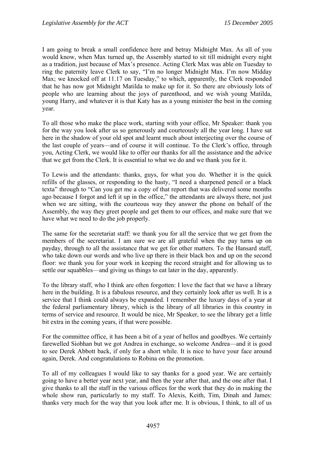I am going to break a small confidence here and betray Midnight Max. As all of you would know, when Max turned up, the Assembly started to sit till midnight every night as a tradition, just because of Max's presence. Acting Clerk Max was able on Tuesday to ring the paternity leave Clerk to say, "I'm no longer Midnight Max. I'm now Midday Max; we knocked off at 11.17 on Tuesday," to which, apparently, the Clerk responded that he has now got Midnight Matilda to make up for it. So there are obviously lots of people who are learning about the joys of parenthood, and we wish young Matilda, young Harry, and whatever it is that Katy has as a young minister the best in the coming year.

To all those who make the place work, starting with your office, Mr Speaker: thank you for the way you look after us so generously and courteously all the year long. I have sat here in the shadow of your old spot and learnt much about interjecting over the course of the last couple of years—and of course it will continue. To the Clerk's office, through you, Acting Clerk, we would like to offer our thanks for all the assistance and the advice that we get from the Clerk. It is essential to what we do and we thank you for it.

To Lewis and the attendants: thanks, guys, for what you do. Whether it is the quick refills of the glasses, or responding to the hasty, "I need a sharpened pencil or a black texta" through to "Can you get me a copy of that report that was delivered some months ago because I forgot and left it up in the office," the attendants are always there, not just when we are sitting, with the courteous way they answer the phone on behalf of the Assembly, the way they greet people and get them to our offices, and make sure that we have what we need to do the job properly.

The same for the secretariat staff: we thank you for all the service that we get from the members of the secretariat. I am sure we are all grateful when the pay turns up on payday, through to all the assistance that we get for other matters. To the Hansard staff, who take down our words and who live up there in their black box and up on the second floor: we thank you for your work in keeping the record straight and for allowing us to settle our squabbles—and giving us things to eat later in the day, apparently.

To the library staff, who I think are often forgotten: I love the fact that we have a library here in the building. It is a fabulous resource, and they certainly look after us well. It is a service that I think could always be expanded. I remember the luxury days of a year at the federal parliamentary library, which is the library of all libraries in this country in terms of service and resource. It would be nice, Mr Speaker, to see the library get a little bit extra in the coming years, if that were possible.

For the committee office, it has been a bit of a year of hellos and goodbyes. We certainly farewelled Siobhan but we got Andrea in exchange, so welcome Andrea—and it is good to see Derek Abbott back, if only for a short while. It is nice to have your face around again, Derek. And congratulations to Robina on the promotion.

To all of my colleagues I would like to say thanks for a good year. We are certainly going to have a better year next year, and then the year after that, and the one after that. I give thanks to all the staff in the various offices for the work that they do in making the whole show run, particularly to my staff. To Alexis, Keith, Tim, Dinah and James: thanks very much for the way that you look after me. It is obvious, I think, to all of us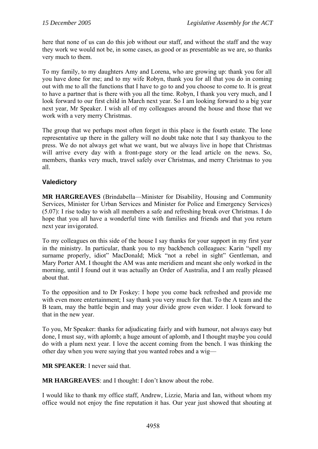here that none of us can do this job without our staff, and without the staff and the way they work we would not be, in some cases, as good or as presentable as we are, so thanks very much to them.

To my family, to my daughters Amy and Lorena, who are growing up: thank you for all you have done for me; and to my wife Robyn, thank you for all that you do in coming out with me to all the functions that I have to go to and you choose to come to. It is great to have a partner that is there with you all the time. Robyn, I thank you very much, and I look forward to our first child in March next year. So I am looking forward to a big year next year, Mr Speaker. I wish all of my colleagues around the house and those that we work with a very merry Christmas.

The group that we perhaps most often forget in this place is the fourth estate. The lone representative up there in the gallery will no doubt take note that I say thankyou to the press. We do not always get what we want, but we always live in hope that Christmas will arrive every day with a front-page story or the lead article on the news. So, members, thanks very much, travel safely over Christmas, and merry Christmas to you all.

# **Valedictory**

**MR HARGREAVES** (Brindabella—Minister for Disability, Housing and Community Services, Minister for Urban Services and Minister for Police and Emergency Services) (5.07): I rise today to wish all members a safe and refreshing break over Christmas. I do hope that you all have a wonderful time with families and friends and that you return next year invigorated.

To my colleagues on this side of the house I say thanks for your support in my first year in the ministry. In particular, thank you to my backbench colleagues: Karin "spell my surname properly, idiot" MacDonald; Mick "not a rebel in sight" Gentleman, and Mary Porter AM. I thought the AM was ante meridiem and meant she only worked in the morning, until I found out it was actually an Order of Australia, and I am really pleased about that.

To the opposition and to Dr Foskey: I hope you come back refreshed and provide me with even more entertainment; I say thank you very much for that. To the A team and the B team, may the battle begin and may your divide grow even wider. I look forward to that in the new year.

To you, Mr Speaker: thanks for adjudicating fairly and with humour, not always easy but done, I must say, with aplomb; a huge amount of aplomb, and I thought maybe you could do with a plum next year. I love the accent coming from the bench. I was thinking the other day when you were saying that you wanted robes and a wig—

**MR SPEAKER**: I never said that.

**MR HARGREAVES**: and I thought: I don't know about the robe.

I would like to thank my office staff, Andrew, Lizzie, Maria and Ian, without whom my office would not enjoy the fine reputation it has. Our year just showed that shouting at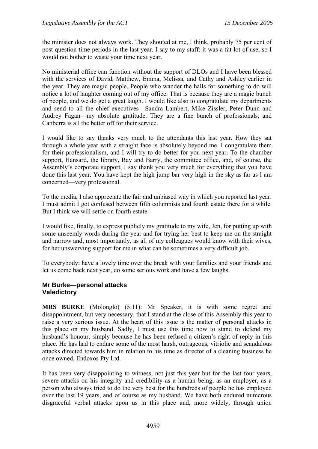the minister does not always work. They shouted at me, I think, probably 75 per cent of post question time periods in the last year. I say to my staff: it was a fat lot of use, so I would not bother to waste your time next year.

No ministerial office can function without the support of DLOs and I have been blessed with the services of David, Matthew, Emma, Melissa, and Cathy and Ashley earlier in the year. They are magic people. People who wander the halls for something to do will notice a lot of laughter coming out of my office. That is because they are a magic bunch of people, and we do get a great laugh. I would like also to congratulate my departments and send to all the chief executives—Sandra Lambert, Mike Zissler, Peter Dunn and Audrey Fagan—my absolute gratitude. They are a fine bunch of professionals, and Canberra is all the better off for their service.

I would like to say thanks very much to the attendants this last year. How they sat through a whole year with a straight face is absolutely beyond me. I congratulate them for their professionalism, and I will try to do better for you next year. To the chamber support, Hansard, the library, Ray and Barry, the committee office, and, of course, the Assembly's corporate support, I say thank you very much for everything that you have done this last year. You have kept the high jump bar very high in the sky as far as I am concerned—very professional.

To the media, I also appreciate the fair and unbiased way in which you reported last year. I must admit I got confused between fifth columnists and fourth estate there for a while. But I think we will settle on fourth estate.

I would like, finally, to express publicly my gratitude to my wife, Jen, for putting up with some unseemly words during the year and for trying her best to keep me on the straight and narrow and, most importantly, as all of my colleagues would know with their wives, for her unswerving support for me in what can be sometimes a very difficult job.

To everybody: have a lovely time over the break with your families and your friends and let us come back next year, do some serious work and have a few laughs.

## **Mr Burke—personal attacks Valedictory**

**MRS BURKE** (Molonglo) (5.11): Mr Speaker, it is with some regret and disappointment, but very necessary, that I stand at the close of this Assembly this year to raise a very serious issue. At the heart of this issue is the matter of personal attacks in this place on my husband. Sadly, I must use this time now to stand to defend my husband's honour, simply because he has been refused a citizen's right of reply in this place. He has had to endure some of the most harsh, outrageous, vitriolic and scandalous attacks directed towards him in relation to his time as director of a cleaning business he once owned, Endoxos Pty Ltd.

It has been very disappointing to witness, not just this year but for the last four years, severe attacks on his integrity and credibility as a human being, as an employer, as a person who always tried to do the very best for the hundreds of people he has employed over the last 19 years, and of course as my husband. We have both endured numerous disgraceful verbal attacks upon us in this place and, more widely, through union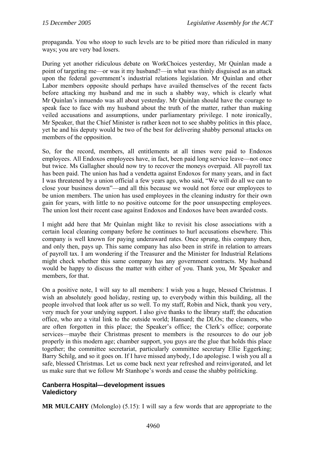propaganda. You who stoop to such levels are to be pitied more than ridiculed in many ways; you are very bad losers.

During yet another ridiculous debate on WorkChoices yesterday, Mr Quinlan made a point of targeting me—or was it my husband?—in what was thinly disguised as an attack upon the federal government's industrial relations legislation. Mr Quinlan and other Labor members opposite should perhaps have availed themselves of the recent facts before attacking my husband and me in such a shabby way, which is clearly what Mr Quinlan's innuendo was all about yesterday. Mr Quinlan should have the courage to speak face to face with my husband about the truth of the matter, rather than making veiled accusations and assumptions, under parliamentary privilege. I note ironically, Mr Speaker, that the Chief Minister is rather keen not to see shabby politics in this place, yet he and his deputy would be two of the best for delivering shabby personal attacks on members of the opposition.

So, for the record, members, all entitlements at all times were paid to Endoxos employees. All Endoxos employees have, in fact, been paid long service leave—not once but twice. Ms Gallagher should now try to recover the moneys overpaid. All payroll tax has been paid. The union has had a vendetta against Endoxos for many years, and in fact I was threatened by a union official a few years ago, who said, "We will do all we can to close your business down"—and all this because we would not force our employees to be union members. The union has used employees in the cleaning industry for their own gain for years, with little to no positive outcome for the poor unsuspecting employees. The union lost their recent case against Endoxos and Endoxos have been awarded costs.

I might add here that Mr Quinlan might like to revisit his close associations with a certain local cleaning company before he continues to hurl accusations elsewhere. This company is well known for paying underaward rates. Once sprung, this company then, and only then, pays up. This same company has also been in strife in relation to arrears of payroll tax. I am wondering if the Treasurer and the Minister for Industrial Relations might check whether this same company has any government contracts. My husband would be happy to discuss the matter with either of you. Thank you, Mr Speaker and members, for that.

On a positive note, I will say to all members: I wish you a huge, blessed Christmas. I wish an absolutely good holiday, resting up, to everybody within this building, all the people involved that look after us so well. To my staff, Robin and Nick, thank you very, very much for your undying support. I also give thanks to the library staff; the education office, who are a vital link to the outside world; Hansard; the DLOs; the cleaners, who are often forgotten in this place; the Speaker's office; the Clerk's office; corporate services—maybe their Christmas present to members is the resources to do our job properly in this modern age; chamber support, you guys are the glue that holds this place together; the committee secretariat, particularly committee secretary Ellie Eggerking; Barry Schilg, and so it goes on. If I have missed anybody, I do apologise. I wish you all a safe, blessed Christmas. Let us come back next year refreshed and reinvigorated, and let us make sure that we follow Mr Stanhope's words and cease the shabby politicking.

## **Canberra Hospital—development issues Valedictory**

**MR MULCAHY** (Molonglo) (5.15): I will say a few words that are appropriate to the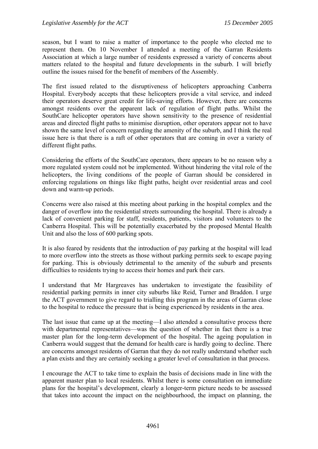season, but I want to raise a matter of importance to the people who elected me to represent them. On 10 November I attended a meeting of the Garran Residents Association at which a large number of residents expressed a variety of concerns about matters related to the hospital and future developments in the suburb. I will briefly outline the issues raised for the benefit of members of the Assembly.

The first issued related to the disruptiveness of helicopters approaching Canberra Hospital. Everybody accepts that these helicopters provide a vital service, and indeed their operators deserve great credit for life-saving efforts. However, there are concerns amongst residents over the apparent lack of regulation of flight paths. Whilst the SouthCare helicopter operators have shown sensitivity to the presence of residential areas and directed flight paths to minimise disruption, other operators appear not to have shown the same level of concern regarding the amenity of the suburb, and I think the real issue here is that there is a raft of other operators that are coming in over a variety of different flight paths.

Considering the efforts of the SouthCare operators, there appears to be no reason why a more regulated system could not be implemented. Without hindering the vital role of the helicopters, the living conditions of the people of Garran should be considered in enforcing regulations on things like flight paths, height over residential areas and cool down and warm-up periods.

Concerns were also raised at this meeting about parking in the hospital complex and the danger of overflow into the residential streets surrounding the hospital. There is already a lack of convenient parking for staff, residents, patients, visitors and volunteers to the Canberra Hospital. This will be potentially exacerbated by the proposed Mental Health Unit and also the loss of 600 parking spots.

It is also feared by residents that the introduction of pay parking at the hospital will lead to more overflow into the streets as those without parking permits seek to escape paying for parking. This is obviously detrimental to the amenity of the suburb and presents difficulties to residents trying to access their homes and park their cars.

I understand that Mr Hargreaves has undertaken to investigate the feasibility of residential parking permits in inner city suburbs like Reid, Turner and Braddon. I urge the ACT government to give regard to trialling this program in the areas of Garran close to the hospital to reduce the pressure that is being experienced by residents in the area.

The last issue that came up at the meeting—I also attended a consultative process there with departmental representatives—was the question of whether in fact there is a true master plan for the long-term development of the hospital. The ageing population in Canberra would suggest that the demand for health care is hardly going to decline. There are concerns amongst residents of Garran that they do not really understand whether such a plan exists and they are certainly seeking a greater level of consultation in that process.

I encourage the ACT to take time to explain the basis of decisions made in line with the apparent master plan to local residents. Whilst there is some consultation on immediate plans for the hospital's development, clearly a longer-term picture needs to be assessed that takes into account the impact on the neighbourhood, the impact on planning, the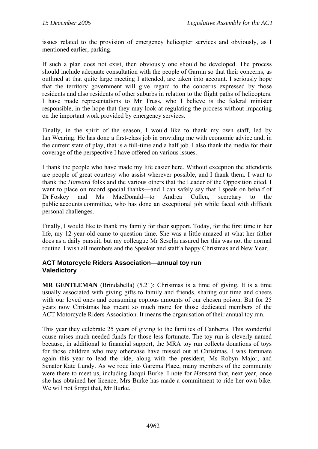issues related to the provision of emergency helicopter services and obviously, as I mentioned earlier, parking.

If such a plan does not exist, then obviously one should be developed. The process should include adequate consultation with the people of Garran so that their concerns, as outlined at that quite large meeting I attended, are taken into account. I seriously hope that the territory government will give regard to the concerns expressed by those residents and also residents of other suburbs in relation to the flight paths of helicopters. I have made representations to Mr Truss, who I believe is the federal minister responsible, in the hope that they may look at regulating the process without impacting on the important work provided by emergency services.

Finally, in the spirit of the season, I would like to thank my own staff, led by Ian Wearing. He has done a first-class job in providing me with economic advice and, in the current state of play, that is a full-time and a half job. I also thank the media for their coverage of the perspective I have offered on various issues.

I thank the people who have made my life easier here. Without exception the attendants are people of great courtesy who assist wherever possible, and I thank them. I want to thank the *Hansard* folks and the various others that the Leader of the Opposition cited. I want to place on record special thanks—and I can safely say that I speak on behalf of Dr Foskey and Ms MacDonald—to Andrea Cullen, secretary to the public accounts committee, who has done an exceptional job while faced with difficult personal challenges.

Finally, I would like to thank my family for their support. Today, for the first time in her life, my 12-year-old came to question time. She was a little amazed at what her father does as a daily pursuit, but my colleague Mr Seselja assured her this was not the normal routine. I wish all members and the Speaker and staff a happy Christmas and New Year.

## **ACT Motorcycle Riders Association—annual toy run Valedictory**

**MR GENTLEMAN** (Brindabella) (5.21): Christmas is a time of giving. It is a time usually associated with giving gifts to family and friends, sharing our time and cheers with our loved ones and consuming copious amounts of our chosen poison. But for 25 years now Christmas has meant so much more for those dedicated members of the ACT Motorcycle Riders Association. It means the organisation of their annual toy run.

This year they celebrate 25 years of giving to the families of Canberra. This wonderful cause raises much-needed funds for those less fortunate. The toy run is cleverly named because, in additional to financial support, the MRA toy run collects donations of toys for those children who may otherwise have missed out at Christmas. I was fortunate again this year to lead the ride, along with the president, Ms Robyn Major, and Senator Kate Lundy. As we rode into Garema Place, many members of the community were there to meet us, including Jacqui Burke. I note for *Hansard* that, next year, once she has obtained her licence, Mrs Burke has made a commitment to ride her own bike. We will not forget that, Mr Burke.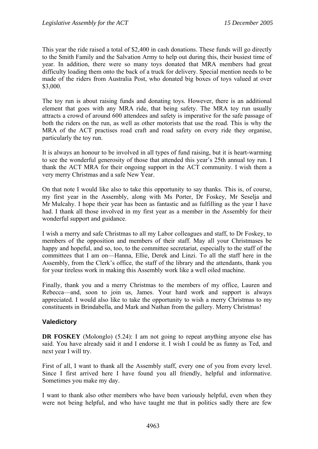This year the ride raised a total of \$2,400 in cash donations. These funds will go directly to the Smith Family and the Salvation Army to help out during this, their busiest time of year. In addition, there were so many toys donated that MRA members had great difficulty loading them onto the back of a truck for delivery. Special mention needs to be made of the riders from Australia Post, who donated big boxes of toys valued at over \$3,000.

The toy run is about raising funds and donating toys. However, there is an additional element that goes with any MRA ride, that being safety. The MRA toy run usually attracts a crowd of around 600 attendees and safety is imperative for the safe passage of both the riders on the run, as well as other motorists that use the road. This is why the MRA of the ACT practises road craft and road safety on every ride they organise, particularly the toy run.

It is always an honour to be involved in all types of fund raising, but it is heart-warming to see the wonderful generosity of those that attended this year's 25th annual toy run. I thank the ACT MRA for their ongoing support in the ACT community. I wish them a very merry Christmas and a safe New Year.

On that note I would like also to take this opportunity to say thanks. This is, of course, my first year in the Assembly, along with Ms Porter, Dr Foskey, Mr Seselja and Mr Mulcahy. I hope their year has been as fantastic and as fulfilling as the year I have had. I thank all those involved in my first year as a member in the Assembly for their wonderful support and guidance.

I wish a merry and safe Christmas to all my Labor colleagues and staff, to Dr Foskey, to members of the opposition and members of their staff. May all your Christmases be happy and hopeful, and so, too, to the committee secretariat, especially to the staff of the committees that I am on—Hanna, Ellie, Derek and Linzi. To all the staff here in the Assembly, from the Clerk's office, the staff of the library and the attendants, thank you for your tireless work in making this Assembly work like a well oiled machine.

Finally, thank you and a merry Christmas to the members of my office, Lauren and Rebecca—and, soon to join us, James. Your hard work and support is always appreciated. I would also like to take the opportunity to wish a merry Christmas to my constituents in Brindabella, and Mark and Nathan from the gallery. Merry Christmas!

#### **Valedictory**

**DR FOSKEY** (Molonglo) (5.24): I am not going to repeat anything anyone else has said. You have already said it and I endorse it. I wish I could be as funny as Ted, and next year I will try.

First of all, I want to thank all the Assembly staff, every one of you from every level. Since I first arrived here I have found you all friendly, helpful and informative. Sometimes you make my day.

I want to thank also other members who have been variously helpful, even when they were not being helpful, and who have taught me that in politics sadly there are few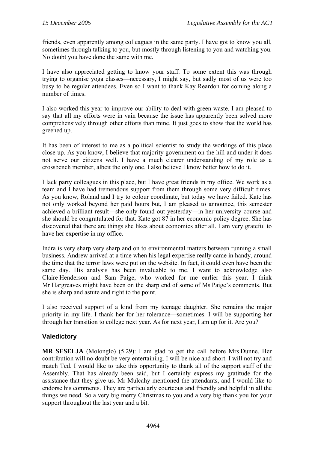friends, even apparently among colleagues in the same party. I have got to know you all, sometimes through talking to you, but mostly through listening to you and watching you. No doubt you have done the same with me.

I have also appreciated getting to know your staff. To some extent this was through trying to organise yoga classes—necessary, I might say, but sadly most of us were too busy to be regular attendees. Even so I want to thank Kay Reardon for coming along a number of times.

I also worked this year to improve our ability to deal with green waste. I am pleased to say that all my efforts were in vain because the issue has apparently been solved more comprehensively through other efforts than mine. It just goes to show that the world has greened up.

It has been of interest to me as a political scientist to study the workings of this place close up. As you know, I believe that majority government on the hill and under it does not serve our citizens well. I have a much clearer understanding of my role as a crossbench member, albeit the only one. I also believe I know better how to do it.

I lack party colleagues in this place, but I have great friends in my office. We work as a team and I have had tremendous support from them through some very difficult times. As you know, Roland and I try to colour coordinate, but today we have failed. Kate has not only worked beyond her paid hours but, I am pleased to announce, this semester achieved a brilliant result—she only found out yesterday—in her university course and she should be congratulated for that. Kate got 87 in her economic policy degree. She has discovered that there are things she likes about economics after all. I am very grateful to have her expertise in my office.

Indra is very sharp very sharp and on to environmental matters between running a small business. Andrew arrived at a time when his legal expertise really came in handy, around the time that the terror laws were put on the website. In fact, it could even have been the same day. His analysis has been invaluable to me. I want to acknowledge also Claire Henderson and Sam Paige, who worked for me earlier this year. I think Mr Hargreaves might have been on the sharp end of some of Ms Paige's comments. But she is sharp and astute and right to the point.

I also received support of a kind from my teenage daughter. She remains the major priority in my life. I thank her for her tolerance—sometimes. I will be supporting her through her transition to college next year. As for next year, I am up for it. Are you?

# **Valedictory**

**MR SESELJA** (Molonglo) (5.29): I am glad to get the call before Mrs Dunne. Her contribution will no doubt be very entertaining. I will be nice and short. I will not try and match Ted. I would like to take this opportunity to thank all of the support staff of the Assembly. That has already been said, but I certainly express my gratitude for the assistance that they give us. Mr Mulcahy mentioned the attendants, and I would like to endorse his comments. They are particularly courteous and friendly and helpful in all the things we need. So a very big merry Christmas to you and a very big thank you for your support throughout the last year and a bit.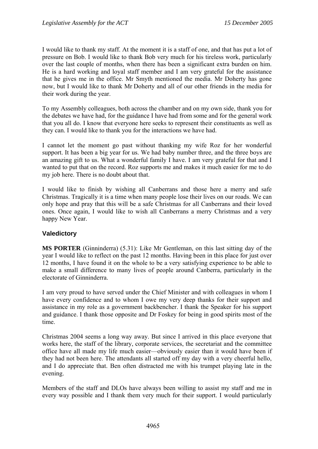I would like to thank my staff. At the moment it is a staff of one, and that has put a lot of pressure on Bob. I would like to thank Bob very much for his tireless work, particularly over the last couple of months, when there has been a significant extra burden on him. He is a hard working and loyal staff member and I am very grateful for the assistance that he gives me in the office. Mr Smyth mentioned the media. Mr Doherty has gone now, but I would like to thank Mr Doherty and all of our other friends in the media for their work during the year.

To my Assembly colleagues, both across the chamber and on my own side, thank you for the debates we have had, for the guidance I have had from some and for the general work that you all do. I know that everyone here seeks to represent their constituents as well as they can. I would like to thank you for the interactions we have had.

I cannot let the moment go past without thanking my wife Roz for her wonderful support. It has been a big year for us. We had baby number three, and the three boys are an amazing gift to us. What a wonderful family I have. I am very grateful for that and I wanted to put that on the record. Roz supports me and makes it much easier for me to do my job here. There is no doubt about that.

I would like to finish by wishing all Canberrans and those here a merry and safe Christmas. Tragically it is a time when many people lose their lives on our roads. We can only hope and pray that this will be a safe Christmas for all Canberrans and their loved ones. Once again, I would like to wish all Canberrans a merry Christmas and a very happy New Year.

#### **Valedictory**

**MS PORTER** (Ginninderra) (5.31): Like Mr Gentleman, on this last sitting day of the year I would like to reflect on the past 12 months. Having been in this place for just over 12 months, I have found it on the whole to be a very satisfying experience to be able to make a small difference to many lives of people around Canberra, particularly in the electorate of Ginninderra.

I am very proud to have served under the Chief Minister and with colleagues in whom I have every confidence and to whom I owe my very deep thanks for their support and assistance in my role as a government backbencher. I thank the Speaker for his support and guidance. I thank those opposite and Dr Foskey for being in good spirits most of the time.

Christmas 2004 seems a long way away. But since I arrived in this place everyone that works here, the staff of the library, corporate services, the secretariat and the committee office have all made my life much easier—obviously easier than it would have been if they had not been here. The attendants all started off my day with a very cheerful hello, and I do appreciate that. Ben often distracted me with his trumpet playing late in the evening.

Members of the staff and DLOs have always been willing to assist my staff and me in every way possible and I thank them very much for their support. I would particularly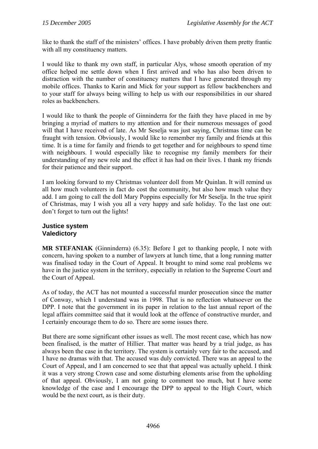like to thank the staff of the ministers' offices. I have probably driven them pretty frantic with all my constituency matters.

I would like to thank my own staff, in particular Alys, whose smooth operation of my office helped me settle down when I first arrived and who has also been driven to distraction with the number of constituency matters that I have generated through my mobile offices. Thanks to Karin and Mick for your support as fellow backbenchers and to your staff for always being willing to help us with our responsibilities in our shared roles as backbenchers.

I would like to thank the people of Ginninderra for the faith they have placed in me by bringing a myriad of matters to my attention and for their numerous messages of good will that I have received of late. As Mr Seselja was just saying, Christmas time can be fraught with tension. Obviously, I would like to remember my family and friends at this time. It is a time for family and friends to get together and for neighbours to spend time with neighbours. I would especially like to recognise my family members for their understanding of my new role and the effect it has had on their lives. I thank my friends for their patience and their support.

I am looking forward to my Christmas volunteer doll from Mr Quinlan. It will remind us all how much volunteers in fact do cost the community, but also how much value they add. I am going to call the doll Mary Poppins especially for Mr Seselja. In the true spirit of Christmas, may I wish you all a very happy and safe holiday. To the last one out: don't forget to turn out the lights!

#### **Justice system Valedictory**

**MR STEFANIAK** (Ginninderra) (6.35): Before I get to thanking people, I note with concern, having spoken to a number of lawyers at lunch time, that a long running matter was finalised today in the Court of Appeal. It brought to mind some real problems we have in the justice system in the territory, especially in relation to the Supreme Court and the Court of Appeal.

As of today, the ACT has not mounted a successful murder prosecution since the matter of Conway, which I understand was in 1998. That is no reflection whatsoever on the DPP. I note that the government in its paper in relation to the last annual report of the legal affairs committee said that it would look at the offence of constructive murder, and I certainly encourage them to do so. There are some issues there.

But there are some significant other issues as well. The most recent case, which has now been finalised, is the matter of Hillier. That matter was heard by a trial judge, as has always been the case in the territory. The system is certainly very fair to the accused, and I have no dramas with that. The accused was duly convicted. There was an appeal to the Court of Appeal, and I am concerned to see that that appeal was actually upheld. I think it was a very strong Crown case and some disturbing elements arise from the upholding of that appeal. Obviously, I am not going to comment too much, but I have some knowledge of the case and I encourage the DPP to appeal to the High Court, which would be the next court, as is their duty.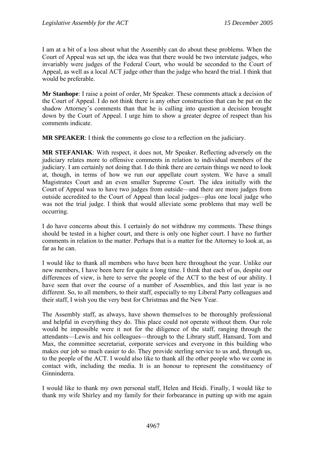I am at a bit of a loss about what the Assembly can do about these problems. When the Court of Appeal was set up, the idea was that there would be two interstate judges, who invariably were judges of the Federal Court, who would be seconded to the Court of Appeal, as well as a local ACT judge other than the judge who heard the trial. I think that would be preferable.

**Mr Stanhope**: I raise a point of order, Mr Speaker. These comments attack a decision of the Court of Appeal. I do not think there is any other construction that can be put on the shadow Attorney's comments than that he is calling into question a decision brought down by the Court of Appeal. I urge him to show a greater degree of respect than his comments indicate.

**MR SPEAKER**: I think the comments go close to a reflection on the judiciary.

**MR STEFANIAK**: With respect, it does not, Mr Speaker. Reflecting adversely on the judiciary relates more to offensive comments in relation to individual members of the judiciary. I am certainly not doing that. I do think there are certain things we need to look at, though, in terms of how we run our appellate court system. We have a small Magistrates Court and an even smaller Supreme Court. The idea initially with the Court of Appeal was to have two judges from outside—and there are more judges from outside accredited to the Court of Appeal than local judges—plus one local judge who was not the trial judge. I think that would alleviate some problems that may well be occurring.

I do have concerns about this. I certainly do not withdraw my comments. These things should be tested in a higher court, and there is only one higher court. I have no further comments in relation to the matter. Perhaps that is a matter for the Attorney to look at, as far as he can.

I would like to thank all members who have been here throughout the year. Unlike our new members, I have been here for quite a long time. I think that each of us, despite our differences of view, is here to serve the people of the ACT to the best of our ability. I have seen that over the course of a number of Assemblies, and this last year is no different. So, to all members, to their staff, especially to my Liberal Party colleagues and their staff, I wish you the very best for Christmas and the New Year.

The Assembly staff, as always, have shown themselves to be thoroughly professional and helpful in everything they do. This place could not operate without them. Our role would be impossible were it not for the diligence of the staff, ranging through the attendants—Lewis and his colleagues—through to the Library staff, Hansard, Tom and Max, the committee secretariat, corporate services and everyone in this building who makes our job so much easier to do. They provide sterling service to us and, through us, to the people of the ACT. I would also like to thank all the other people who we come in contact with, including the media. It is an honour to represent the constituency of Ginninderra.

I would like to thank my own personal staff, Helen and Heidi. Finally, I would like to thank my wife Shirley and my family for their forbearance in putting up with me again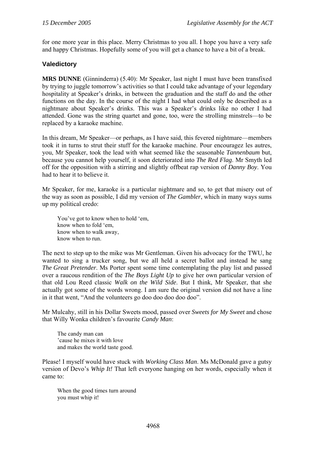for one more year in this place. Merry Christmas to you all. I hope you have a very safe and happy Christmas. Hopefully some of you will get a chance to have a bit of a break.

# **Valedictory**

**MRS DUNNE** (Ginninderra) (5.40): Mr Speaker, last night I must have been transfixed by trying to juggle tomorrow's activities so that I could take advantage of your legendary hospitality at Speaker's drinks, in between the graduation and the staff do and the other functions on the day. In the course of the night I had what could only be described as a nightmare about Speaker's drinks. This was a Speaker's drinks like no other I had attended. Gone was the string quartet and gone, too, were the strolling minstrels—to be replaced by a karaoke machine.

In this dream, Mr Speaker—or perhaps, as I have said, this fevered nightmare—members took it in turns to strut their stuff for the karaoke machine. Pour encouragez les autres, you, Mr Speaker, took the lead with what seemed like the seasonable *Tannenbaum* but, because you cannot help yourself, it soon deteriorated into *The Red Flag*. Mr Smyth led off for the opposition with a stirring and slightly offbeat rap version of *Danny Boy*. You had to hear it to believe it.

Mr Speaker, for me, karaoke is a particular nightmare and so, to get that misery out of the way as soon as possible, I did my version of *The Gambler*, which in many ways sums up my political credo:

You've got to know when to hold 'em, know when to fold 'em, know when to walk away, know when to run.

The next to step up to the mike was Mr Gentleman. Given his advocacy for the TWU, he wanted to sing a trucker song, but we all held a secret ballot and instead he sang *The Great Pretender*. Ms Porter spent some time contemplating the play list and passed over a raucous rendition of the *The Boys Light Up* to give her own particular version of that old Lou Reed classic *Walk on the Wild Side*. But I think, Mr Speaker, that she actually got some of the words wrong. I am sure the original version did not have a line in it that went, "And the volunteers go doo doo doo doo doo".

Mr Mulcahy, still in his Dollar Sweets mood, passed over *Sweets for My Sweet* and chose that Willy Wonka children's favourite *Candy Man*:

The candy man can 'cause he mixes it with love and makes the world taste good.

Please! I myself would have stuck with *Working Class Man*. Ms McDonald gave a gutsy version of Devo's *Whip It!* That left everyone hanging on her words, especially when it came to:

When the good times turn around you must whip it!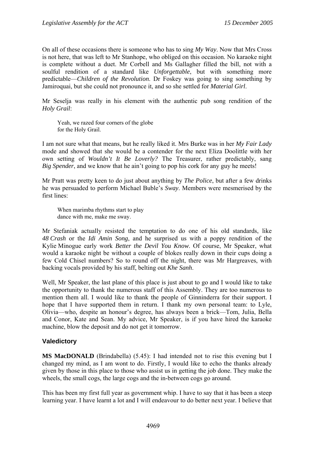On all of these occasions there is someone who has to sing *My Way*. Now that Mrs Cross is not here, that was left to Mr Stanhope, who obliged on this occasion. No karaoke night is complete without a duet. Mr Corbell and Ms Gallagher filled the bill, not with a soulful rendition of a standard like *Unforgettable*, but with something more predictable—*Children of the Revolution*. Dr Foskey was going to sing something by Jamiroquai, but she could not pronounce it, and so she settled for *Material Girl*.

Mr Seselja was really in his element with the authentic pub song rendition of the *Holy Grail*:

Yeah, we razed four corners of the globe for the Holy Grail.

I am not sure what that means, but he really liked it. Mrs Burke was in her *My Fair Lady* mode and showed that she would be a contender for the next Eliza Doolittle with her own setting of *Wouldn't It Be Loverly?* The Treasurer, rather predictably, sang *Big Spender*, and we know that he ain't going to pop his cork for any guy he meets!

Mr Pratt was pretty keen to do just about anything by *The Police*, but after a few drinks he was persuaded to perform Michael Buble's *Sway*. Members were mesmerised by the first lines:

When marimba rhythms start to play dance with me, make me sway.

Mr Stefaniak actually resisted the temptation to do one of his old standards, like *48 Crash* or the *Idi Amin Song*, and he surprised us with a poppy rendition of the Kylie Minogue early work *Better the Devil You Know*. Of course, Mr Speaker, what would a karaoke night be without a couple of blokes really down in their cups doing a few Cold Chisel numbers? So to round off the night, there was Mr Hargreaves, with backing vocals provided by his staff, belting out *Khe Sanh*.

Well, Mr Speaker, the last plane of this place is just about to go and I would like to take the opportunity to thank the numerous staff of this Assembly. They are too numerous to mention them all. I would like to thank the people of Ginninderra for their support. I hope that I have supported them in return. I thank my own personal team: to Lyle, Olivia—who, despite an honour's degree, has always been a brick—Tom, Julia, Bella and Conor, Kate and Sean. My advice, Mr Speaker, is if you have hired the karaoke machine, blow the deposit and do not get it tomorrow.

# **Valedictory**

**MS MacDONALD** (Brindabella) (5.45): I had intended not to rise this evening but I changed my mind, as I am wont to do. Firstly, I would like to echo the thanks already given by those in this place to those who assist us in getting the job done. They make the wheels, the small cogs, the large cogs and the in-between cogs go around.

This has been my first full year as government whip. I have to say that it has been a steep learning year. I have learnt a lot and I will endeavour to do better next year. I believe that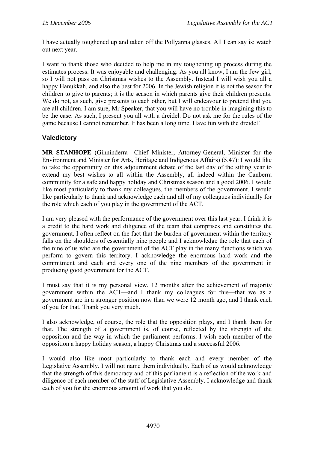I have actually toughened up and taken off the Pollyanna glasses. All I can say is: watch out next year.

I want to thank those who decided to help me in my toughening up process during the estimates process. It was enjoyable and challenging. As you all know, I am the Jew girl, so I will not pass on Christmas wishes to the Assembly. Instead I will wish you all a happy Hanukkah, and also the best for 2006. In the Jewish religion it is not the season for children to give to parents; it is the season in which parents give their children presents. We do not, as such, give presents to each other, but I will endeavour to pretend that you are all children. I am sure, Mr Speaker, that you will have no trouble in imagining this to be the case. As such, I present you all with a dreidel. Do not ask me for the rules of the game because I cannot remember. It has been a long time. Have fun with the dreidel!

# **Valedictory**

**MR STANHOPE** (Ginninderra—Chief Minister, Attorney-General, Minister for the Environment and Minister for Arts, Heritage and Indigenous Affairs) (5.47): I would like to take the opportunity on this adjournment debate of the last day of the sitting year to extend my best wishes to all within the Assembly, all indeed within the Canberra community for a safe and happy holiday and Christmas season and a good 2006. I would like most particularly to thank my colleagues, the members of the government. I would like particularly to thank and acknowledge each and all of my colleagues individually for the role which each of you play in the government of the ACT.

I am very pleased with the performance of the government over this last year. I think it is a credit to the hard work and diligence of the team that comprises and constitutes the government. I often reflect on the fact that the burden of government within the territory falls on the shoulders of essentially nine people and I acknowledge the role that each of the nine of us who are the government of the ACT play in the many functions which we perform to govern this territory. I acknowledge the enormous hard work and the commitment and each and every one of the nine members of the government in producing good government for the ACT.

I must say that it is my personal view, 12 months after the achievement of majority government within the ACT—and I thank my colleagues for this—that we as a government are in a stronger position now than we were 12 month ago, and I thank each of you for that. Thank you very much.

I also acknowledge, of course, the role that the opposition plays, and I thank them for that. The strength of a government is, of course, reflected by the strength of the opposition and the way in which the parliament performs. I wish each member of the opposition a happy holiday season, a happy Christmas and a successful 2006.

I would also like most particularly to thank each and every member of the Legislative Assembly. I will not name them individually. Each of us would acknowledge that the strength of this democracy and of this parliament is a reflection of the work and diligence of each member of the staff of Legislative Assembly. I acknowledge and thank each of you for the enormous amount of work that you do.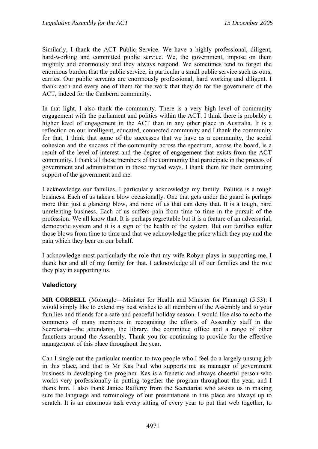Similarly, I thank the ACT Public Service. We have a highly professional, diligent, hard-working and committed public service. We, the government, impose on them mightily and enormously and they always respond. We sometimes tend to forget the enormous burden that the public service, in particular a small public service such as ours, carries. Our public servants are enormously professional, hard working and diligent. I thank each and every one of them for the work that they do for the government of the ACT, indeed for the Canberra community.

In that light, I also thank the community. There is a very high level of community engagement with the parliament and politics within the ACT. I think there is probably a higher level of engagement in the ACT than in any other place in Australia. It is a reflection on our intelligent, educated, connected community and I thank the community for that. I think that some of the successes that we have as a community, the social cohesion and the success of the community across the spectrum, across the board, is a result of the level of interest and the degree of engagement that exists from the ACT community. I thank all those members of the community that participate in the process of government and administration in those myriad ways. I thank them for their continuing support of the government and me.

I acknowledge our families. I particularly acknowledge my family. Politics is a tough business. Each of us takes a blow occasionally. One that gets under the guard is perhaps more than just a glancing blow, and none of us that can deny that. It is a tough, hard unrelenting business. Each of us suffers pain from time to time in the pursuit of the profession. We all know that. It is perhaps regrettable but it is a feature of an adversarial, democratic system and it is a sign of the health of the system. But our families suffer those blows from time to time and that we acknowledge the price which they pay and the pain which they bear on our behalf.

I acknowledge most particularly the role that my wife Robyn plays in supporting me. I thank her and all of my family for that. I acknowledge all of our families and the role they play in supporting us.

#### **Valedictory**

**MR CORBELL** (Molonglo—Minister for Health and Minister for Planning) (5.53): I would simply like to extend my best wishes to all members of the Assembly and to your families and friends for a safe and peaceful holiday season. I would like also to echo the comments of many members in recognising the efforts of Assembly staff in the Secretariat—the attendants, the library, the committee office and a range of other functions around the Assembly. Thank you for continuing to provide for the effective management of this place throughout the year.

Can I single out the particular mention to two people who I feel do a largely unsung job in this place, and that is Mr Kas Paul who supports me as manager of government business in developing the program. Kas is a frenetic and always cheerful person who works very professionally in putting together the program throughout the year, and I thank him. I also thank Janice Rafferty from the Secretariat who assists us in making sure the language and terminology of our presentations in this place are always up to scratch. It is an enormous task every sitting of every year to put that web together, to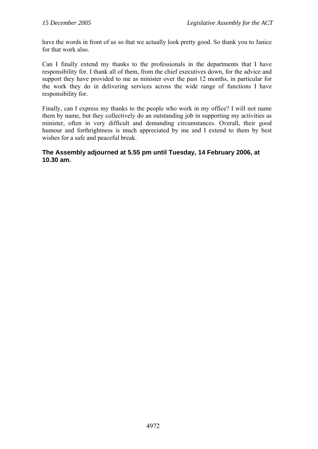have the words in front of us so that we actually look pretty good. So thank you to Janice for that work also.

Can I finally extend my thanks to the professionals in the departments that I have responsibility for. I thank all of them, from the chief executives down, for the advice and support they have provided to me as minister over the past 12 months, in particular for the work they do in delivering services across the wide range of functions I have responsibility for.

Finally, can I express my thanks to the people who work in my office? I will not name them by name, but they collectively do an outstanding job in supporting my activities as minister, often in very difficult and demanding circumstances. Overall, their good humour and forthrightness is much appreciated by me and I extend to them by best wishes for a safe and peaceful break.

# **The Assembly adjourned at 5.55 pm until Tuesday, 14 February 2006, at 10.30 am.**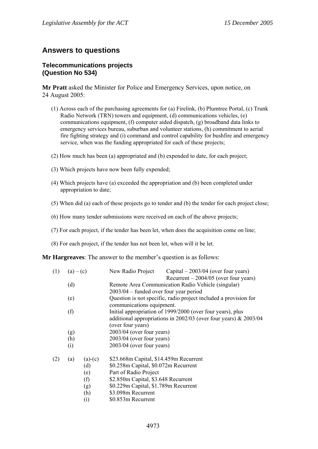# **Answers to questions**

#### **Telecommunications projects (Question No 534)**

**Mr Pratt** asked the Minister for Police and Emergency Services, upon notice, on 24 August 2005:

- (1) Across each of the purchasing agreements for (a) Firelink, (b) Plumtree Portal, (c) Trunk Radio Network (TRN) towers and equipment, (d) communications vehicles, (e) communications equipment, (f) computer aided dispatch, (g) broadband data links to emergency services bureau, suburban and volunteer stations, (h) commitment to aerial fire fighting strategy and (i) command and control capability for bushfire and emergency service, when was the funding appropriated for each of these projects;
- (2) How much has been (a) appropriated and (b) expended to date, for each project;
- (3) Which projects have now been fully expended;
- (4) Which projects have (a) exceeded the appropriation and (b) been completed under appropriation to date;
- (5) When did (a) each of these projects go to tender and (b) the tender for each project close;
- (6) How many tender submissions were received on each of the above projects;
- (7) For each project, if the tender has been let, when does the acquisition come on line;
- (8) For each project, if the tender has not been let, when will it be let.

**Mr Hargreaves**: The answer to the member's question is as follows:

| (1) | $(a) - (c)$ |           | New Radio Project                                                                                                                                                                               | Capital $-2003/04$ (over four years)<br>Recurrent $-2004/05$ (over four years) |  |  |
|-----|-------------|-----------|-------------------------------------------------------------------------------------------------------------------------------------------------------------------------------------------------|--------------------------------------------------------------------------------|--|--|
|     | (d)         |           | Remote Area Communication Radio Vehicle (singular)<br>$2003/04$ – funded over four year period<br>Question is not specific, radio project included a provision for<br>communications equipment. |                                                                                |  |  |
|     |             |           |                                                                                                                                                                                                 |                                                                                |  |  |
|     | (e)         |           |                                                                                                                                                                                                 |                                                                                |  |  |
|     | (f)         |           | Initial appropriation of 1999/2000 (over four years), plus                                                                                                                                      |                                                                                |  |  |
|     |             |           | additional appropriations in 2002/03 (over four years) $& 2003/04$<br>(over four years)                                                                                                         |                                                                                |  |  |
|     | (g)         |           | $2003/04$ (over four years)                                                                                                                                                                     |                                                                                |  |  |
|     |             |           | $2003/04$ (over four years)                                                                                                                                                                     |                                                                                |  |  |
|     | (h)         |           |                                                                                                                                                                                                 |                                                                                |  |  |
|     | (i)         |           | $2003/04$ (over four years)                                                                                                                                                                     |                                                                                |  |  |
| (2) | (a)         | $(a)-(c)$ | \$23.668m Capital, \$14.459m Recurrent                                                                                                                                                          |                                                                                |  |  |
|     |             | (d)       | \$0.258m Capital, \$0.072m Recurrent                                                                                                                                                            |                                                                                |  |  |
|     |             | (e)       | Part of Radio Project                                                                                                                                                                           |                                                                                |  |  |
|     |             | (f)       | \$2.850m Capital, \$3.648 Recurrent                                                                                                                                                             |                                                                                |  |  |
|     |             | (g)       | \$0.229m Capital, \$1.789m Recurrent                                                                                                                                                            |                                                                                |  |  |
|     |             | (h)       | \$3.098m Recurrent                                                                                                                                                                              |                                                                                |  |  |
|     |             |           |                                                                                                                                                                                                 |                                                                                |  |  |

(i) \$0.853m Recurrent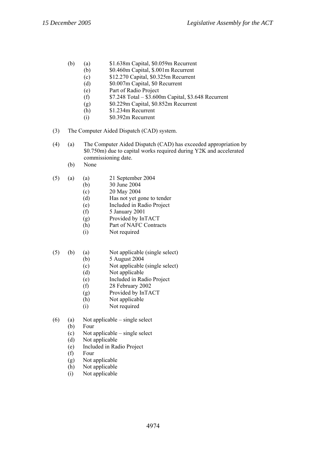- (b) (a) \$1.638m Capital, \$0.059m Recurrent
	- (b) \$0.460m Capital, \$.001m Recurrent
	- (c) \$12.270 Capital, \$0.325m Recurrent
	- (d) \$0.007m Capital, \$0 Recurrent
	- (e) Part of Radio Project
	- (f)  $$7.248$  Total \$3.600m Capital, \$3.648 Recurrent
	- (g) \$0.229m Capital, \$0.852m Recurrent
	- (h) \$1.234m Recurrent
	- (i) \$0.392m Recurrent
- (3) The Computer Aided Dispatch (CAD) system.
- (4) (a) The Computer Aided Dispatch (CAD) has exceeded appropriation by \$0.750m) due to capital works required during Y2K and accelerated commissioning date.
	- (b) None
- (5) (a) (a) 21 September 2004
	- (b) 30 June 2004
	- (c) 20 May 2004
	- (d) Has not yet gone to tender
	- (e) Included in Radio Project
	- (f) 5 January 2001
	- (g) Provided by InTACT
	- (h) Part of NAFC Contracts
	- (i) Not required
- (5) (b) (a) Not applicable (single select)
	- (b) 5 August 2004
	- (c) Not applicable (single select)
	- (d) Not applicable
	- (e) Included in Radio Project
	- (f) 28 February 2002
	- (g) Provided by InTACT
	- (h) Not applicable
	- (i) Not required
- (6) (a) Not applicable single select
	- (b) Four
	- (c) Not applicable single select
	- (d) Not applicable
	- (e) Included in Radio Project
	- (f) Four
	- (g) Not applicable
	- (h) Not applicable
	- (i) Not applicable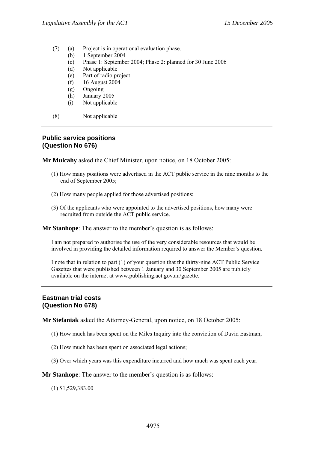- (7) (a) Project is in operational evaluation phase.
	- (b) 1 September 2004
	- (c) Phase 1: September 2004; Phase 2: planned for 30 June 2006
	- (d) Not applicable
	- (e) Part of radio project
	- (f) 16 August 2004
	- (g) Ongoing
	- (h) January 2005
	- (i) Not applicable
- (8) Not applicable

#### **Public service positions (Question No 676)**

**Mr Mulcahy** asked the Chief Minister, upon notice, on 18 October 2005:

- (1) How many positions were advertised in the ACT public service in the nine months to the end of September 2005;
- (2) How many people applied for those advertised positions;
- (3) Of the applicants who were appointed to the advertised positions, how many were recruited from outside the ACT public service.

**Mr Stanhope**: The answer to the member's question is as follows:

I am not prepared to authorise the use of the very considerable resources that would be involved in providing the detailed information required to answer the Member's question.

I note that in relation to part (1) of your question that the thirty-nine ACT Public Service Gazettes that were published between 1 January and 30 September 2005 are publicly available on the internet at www.publishing.act.gov.au/gazette.

#### **Eastman trial costs (Question No 678)**

**Mr Stefaniak** asked the Attorney-General, upon notice, on 18 October 2005:

- (1) How much has been spent on the Miles Inquiry into the conviction of David Eastman;
- (2) How much has been spent on associated legal actions;
- (3) Over which years was this expenditure incurred and how much was spent each year.

**Mr Stanhope**: The answer to the member's question is as follows:

(1) \$1,529,383.00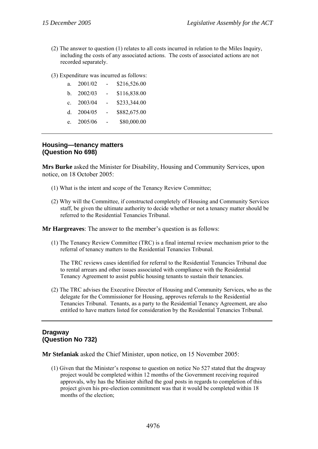- (2) The answer to question (1) relates to all costs incurred in relation to the Miles Inquiry, including the costs of any associated actions. The costs of associated actions are not recorded separately.
- (3) Expenditure was incurred as follows:

| a.           | 2001/02 |                | \$216,526.00 |
|--------------|---------|----------------|--------------|
| b.           | 2002/03 | $\sim$ $^{-1}$ | \$116,838.00 |
| $\mathbf{c}$ | 2003/04 | $\sim$         | \$233,344.00 |
| d.           | 2004/05 | $\sim$         | \$882,675.00 |
| $e^{-}$      | 2005/06 |                | \$80,000.00  |

## **Housing—tenancy matters (Question No 698)**

**Mrs Burke** asked the Minister for Disability, Housing and Community Services, upon notice, on 18 October 2005:

- (1) What is the intent and scope of the Tenancy Review Committee;
- (2) Why will the Committee, if constructed completely of Housing and Community Services staff, be given the ultimate authority to decide whether or not a tenancy matter should be referred to the Residential Tenancies Tribunal.

**Mr Hargreaves**: The answer to the member's question is as follows:

(1) The Tenancy Review Committee (TRC) is a final internal review mechanism prior to the referral of tenancy matters to the Residential Tenancies Tribunal.

The TRC reviews cases identified for referral to the Residential Tenancies Tribunal due to rental arrears and other issues associated with compliance with the Residential Tenancy Agreement to assist public housing tenants to sustain their tenancies.

(2) The TRC advises the Executive Director of Housing and Community Services, who as the delegate for the Commissioner for Housing, approves referrals to the Residential Tenancies Tribunal. Tenants, as a party to the Residential Tenancy Agreement, are also entitled to have matters listed for consideration by the Residential Tenancies Tribunal.

# **Dragway (Question No 732)**

**Mr Stefaniak** asked the Chief Minister, upon notice, on 15 November 2005:

(1) Given that the Minister's response to question on notice No 527 stated that the dragway project would be completed within 12 months of the Government receiving required approvals, why has the Minister shifted the goal posts in regards to completion of this project given his pre-election commitment was that it would be completed within 18 months of the election;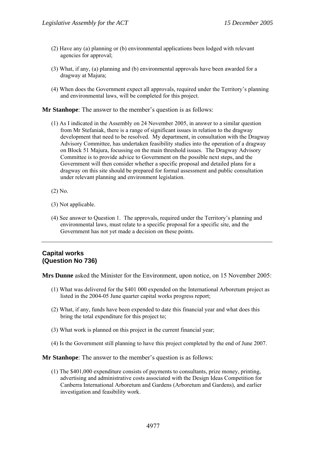- (2) Have any (a) planning or (b) environmental applications been lodged with relevant agencies for approval;
- (3) What, if any, (a) planning and (b) environmental approvals have been awarded for a dragway at Majura;
- (4) When does the Government expect all approvals, required under the Territory's planning and environmental laws, will be completed for this project.

**Mr Stanhope**: The answer to the member's question is as follows:

- (1) As I indicated in the Assembly on 24 November 2005, in answer to a similar question from Mr Stefaniak, there is a range of significant issues in relation to the dragway development that need to be resolved. My department, in consultation with the Dragway Advisory Committee, has undertaken feasibility studies into the operation of a dragway on Block 51 Majura, focussing on the main threshold issues. The Dragway Advisory Committee is to provide advice to Government on the possible next steps, and the Government will then consider whether a specific proposal and detailed plans for a dragway on this site should be prepared for formal assessment and public consultation under relevant planning and environment legislation.
- (2) No.
- (3) Not applicable.
- (4) See answer to Question 1. The approvals, required under the Territory's planning and environmental laws, must relate to a specific proposal for a specific site, and the Government has not yet made a decision on these points.

## **Capital works (Question No 736)**

**Mrs Dunne** asked the Minister for the Environment, upon notice, on 15 November 2005:

- (1) What was delivered for the \$401 000 expended on the International Arboretum project as listed in the 2004-05 June quarter capital works progress report;
- (2) What, if any, funds have been expended to date this financial year and what does this bring the total expenditure for this project to;
- (3) What work is planned on this project in the current financial year;
- (4) Is the Government still planning to have this project completed by the end of June 2007.

**Mr Stanhope**: The answer to the member's question is as follows:

(1) The \$401,000 expenditure consists of payments to consultants, prize money, printing, advertising and administrative costs associated with the Design Ideas Competition for Canberra International Arboretum and Gardens (Arboretum and Gardens), and earlier investigation and feasibility work.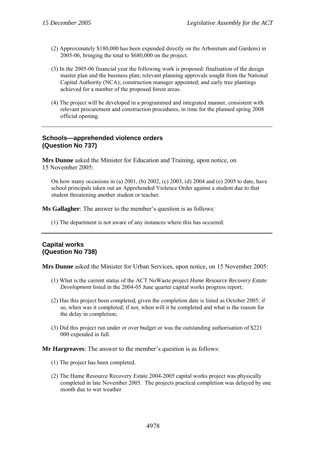- (2) Approximately \$180,000 has been expended directly on the Arboretum and Gardens) in 2005-06, bringing the total to \$680,000 on the project.
- (3) In the 2005-06 financial year the following work is proposed: finalisation of the design master plan and the business plan; relevant planning approvals sought from the National Capital Authority (NCA); construction manager appointed; and early tree plantings achieved for a number of the proposed forest areas.
- (4) The project will be developed in a programmed and integrated manner, consistent with relevant procurement and construction procedures, in time for the planned spring 2008 official opening.

#### **Schools—apprehended violence orders (Question No 737)**

**Mrs Dunne** asked the Minister for Education and Training, upon notice, on 15 November 2005:

On how many occasions in (a) 2001, (b) 2002, (c) 2003, (d) 2004 and (e) 2005 to date, have school principals taken out an Apprehended Violence Order against a student due to that student threatening another student or teacher.

**Ms Gallagher**: The answer to the member's question is as follows:

(1) The department is not aware of any instances where this has occurred.

#### **Capital works (Question No 738)**

**Mrs Dunne** asked the Minister for Urban Services, upon notice, on 15 November 2005:

- (1) What is the current status of the ACT NoWaste project *Hume Resource Recovery Estate Development* listed in the 2004-05 June quarter capital works progress report;
- (2) Has this project been completed, given the completion date is listed as October 2005; if so, when was it completed; if not, when will it be completed and what is the reason for the delay in completion;
- (3) Did this project run under or over budget or was the outstanding authorisation of \$221 000 expended in full.

- (1) The project has been completed.
- (2) The Hume Resource Recovery Estate 2004-2005 capital works project was physically completed in late November 2005. The projects practical completion was delayed by one month due to wet weather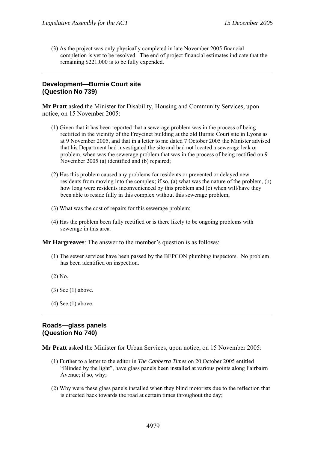(3) As the project was only physically completed in late November 2005 financial completion is yet to be resolved. The end of project financial estimates indicate that the remaining \$221,000 is to be fully expended.

#### **Development—Burnie Court site (Question No 739)**

**Mr Pratt** asked the Minister for Disability, Housing and Community Services, upon notice, on 15 November 2005:

- (1) Given that it has been reported that a sewerage problem was in the process of being rectified in the vicinity of the Freycinet building at the old Burnie Court site in Lyons as at 9 November 2005, and that in a letter to me dated 7 October 2005 the Minister advised that his Department had investigated the site and had not located a sewerage leak or problem, when was the sewerage problem that was in the process of being rectified on 9 November 2005 (a) identified and (b) repaired;
- (2) Has this problem caused any problems for residents or prevented or delayed new residents from moving into the complex; if so, (a) what was the nature of the problem, (b) how long were residents inconvenienced by this problem and (c) when will/have they been able to reside fully in this complex without this sewerage problem;
- (3) What was the cost of repairs for this sewerage problem;
- (4) Has the problem been fully rectified or is there likely to be ongoing problems with sewerage in this area.

**Mr Hargreaves**: The answer to the member's question is as follows:

- (1) The sewer services have been passed by the BEPCON plumbing inspectors. No problem has been identified on inspection.
- (2) No.
- (3) See (1) above.
- $(4)$  See  $(1)$  above.

#### **Roads—glass panels (Question No 740)**

**Mr Pratt** asked the Minister for Urban Services, upon notice, on 15 November 2005:

- (1) Further to a letter to the editor in *The Canberra Times* on 20 October 2005 entitled "Blinded by the light", have glass panels been installed at various points along Fairbairn Avenue; if so, why;
- (2) Why were these glass panels installed when they blind motorists due to the reflection that is directed back towards the road at certain times throughout the day;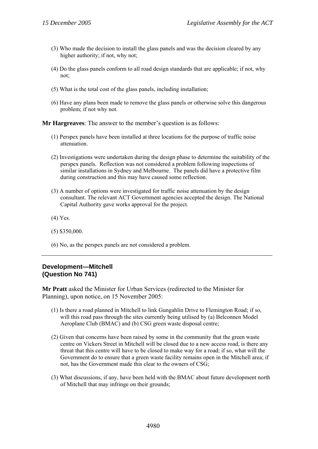- (3) Who made the decision to install the glass panels and was the decision cleared by any higher authority; if not, why not;
- (4) Do the glass panels conform to all road design standards that are applicable; if not, why not;
- (5) What is the total cost of the glass panels, including installation;
- (6) Have any plans been made to remove the glass panels or otherwise solve this dangerous problem; if not why not.

**Mr Hargreaves**: The answer to the member's question is as follows:

- (1) Perspex panels have been installed at three locations for the purpose of traffic noise attenuation.
- (2) Investigations were undertaken during the design phase to determine the suitability of the perspex panels. Reflection was not considered a problem following inspections of similar installations in Sydney and Melbourne. The panels did have a protective film during construction and this may have caused some reflection.
- (3) A number of options were investigated for traffic noise attenuation by the design consultant. The relevant ACT Government agencies accepted the design. The National Capital Authority gave works approval for the project.
- (4) Yes.
- (5) \$350,000.
- (6) No, as the perspex panels are not considered a problem.

#### **Development—Mitchell (Question No 741)**

**Mr Pratt** asked the Minister for Urban Services (redirected to the Minister for Planning), upon notice, on 15 November 2005:

- (1) Is there a road planned in Mitchell to link Gungahlin Drive to Flemington Road; if so, will this road pass through the sites currently being utilised by (a) Belconnen Model Aeroplane Club (BMAC) and (b) CSG green waste disposal centre;
- (2) Given that concerns have been raised by some in the community that the green waste centre on Vickers Street in Mitchell will be closed due to a new access road, is there any threat that this centre will have to be closed to make way for a road; if so, what will the Government do to ensure that a green waste facility remains open in the Mitchell area; if not, has the Government made this clear to the owners of CSG;
- (3) What discussions, if any, have been held with the BMAC about future development north of Mitchell that may infringe on their grounds;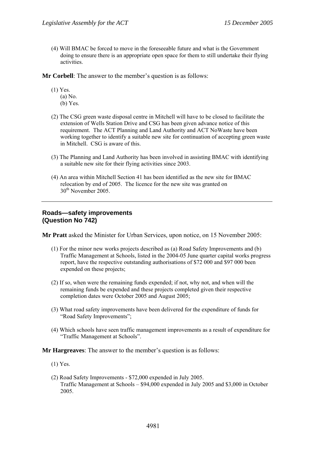(4) Will BMAC be forced to move in the foreseeable future and what is the Government doing to ensure there is an appropriate open space for them to still undertake their flying activities.

**Mr Corbell**: The answer to the member's question is as follows:

- (1) Yes.
	- (a) No.
	- (b) Yes.
- (2) The CSG green waste disposal centre in Mitchell will have to be closed to facilitate the extension of Wells Station Drive and CSG has been given advance notice of this requirement. The ACT Planning and Land Authority and ACT NoWaste have been working together to identify a suitable new site for continuation of accepting green waste in Mitchell. CSG is aware of this.
- (3) The Planning and Land Authority has been involved in assisting BMAC with identifying a suitable new site for their flying activities since 2003.
- (4) An area within Mitchell Section 41 has been identified as the new site for BMAC relocation by end of 2005. The licence for the new site was granted on 30th November 2005.

#### **Roads—safety improvements (Question No 742)**

**Mr Pratt** asked the Minister for Urban Services, upon notice, on 15 November 2005:

- (1) For the minor new works projects described as (a) Road Safety Improvements and (b) Traffic Management at Schools, listed in the 2004-05 June quarter capital works progress report, have the respective outstanding authorisations of \$72 000 and \$97 000 been expended on these projects;
- (2) If so, when were the remaining funds expended; if not, why not, and when will the remaining funds be expended and these projects completed given their respective completion dates were October 2005 and August 2005;
- (3) What road safety improvements have been delivered for the expenditure of funds for "Road Safety Improvements";
- (4) Which schools have seen traffic management improvements as a result of expenditure for "Traffic Management at Schools".

- (1) Yes.
- (2) Road Safety Improvements \$72,000 expended in July 2005. Traffic Management at Schools – \$94,000 expended in July 2005 and \$3,000 in October 2005.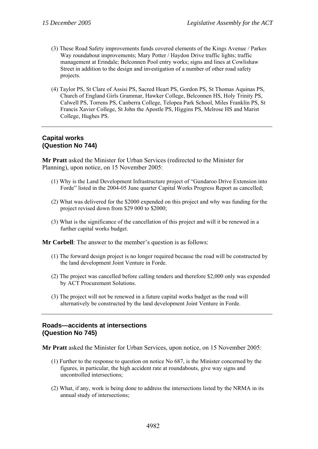- (3) These Road Safety improvements funds covered elements of the Kings Avenue / Parkes Way roundabout improvements; Mary Potter / Haydon Drive traffic lights; traffic management at Erindale; Belconnen Pool entry works; signs and lines at Cowlishaw Street in addition to the design and investigation of a number of other road safety projects.
- (4) Taylor PS, St Clare of Assisi PS, Sacred Heart PS, Gordon PS, St Thomas Aquinas PS, Church of England Girls Grammar, Hawker College, Belconnen HS, Holy Trinity PS, Calwell PS, Torrens PS, Canberra College, Telopea Park School, Miles Franklin PS, St Francis Xavier College, St John the Apostle PS, Higgins PS, Melrose HS and Marist College, Hughes PS.

#### **Capital works (Question No 744)**

**Mr Pratt** asked the Minister for Urban Services (redirected to the Minister for Planning), upon notice, on 15 November 2005:

- (1) Why is the Land Development Infrastructure project of "Gundaroo Drive Extension into Forde" listed in the 2004-05 June quarter Capital Works Progress Report as cancelled;
- (2) What was delivered for the \$2000 expended on this project and why was funding for the project revised down from \$29 000 to \$2000;
- (3) What is the significance of the cancellation of this project and will it be renewed in a further capital works budget.

**Mr Corbell**: The answer to the member's question is as follows:

- (1) The forward design project is no longer required because the road will be constructed by the land development Joint Venture in Forde.
- (2) The project was cancelled before calling tenders and therefore \$2,000 only was expended by ACT Procurement Solutions.
- (3) The project will not be renewed in a future capital works budget as the road will alternatively be constructed by the land development Joint Venture in Forde.

#### **Roads—accidents at intersections (Question No 745)**

**Mr Pratt** asked the Minister for Urban Services, upon notice, on 15 November 2005:

- (1) Further to the response to question on notice No 687, is the Minister concerned by the figures, in particular, the high accident rate at roundabouts, give way signs and uncontrolled intersections;
- (2) What, if any, work is being done to address the intersections listed by the NRMA in its annual study of intersections;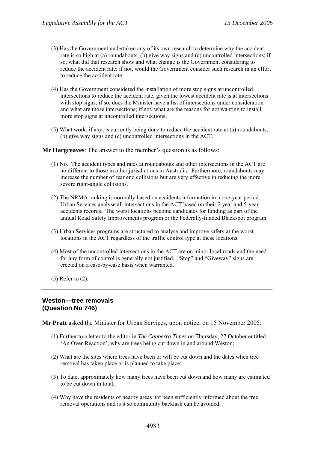- (3) Has the Government undertaken any of its own research to determine why the accident rate is so high at (a) roundabouts, (b) give way signs and (c) uncontrolled intersections; if so, what did that research show and what change is the Government considering to reduce the accident rate; if not, would the Government consider such research in an effort to reduce the accident rate;
- (4) Has the Government considered the installation of more stop signs at uncontrolled intersections to reduce the accident rate, given the lowest accident rate is at intersections with stop signs; if so, does the Minister have a list of intersections under consideration and what are those intersections; if not, what are the reasons for not wanting to install more stop signs at uncontrolled intersections;
- (5) What work, if any, is currently being done to reduce the accident rate at (a) roundabouts, (b) give way signs and (c) uncontrolled intersections in the ACT.

**Mr Hargreaves**: The answer to the member's question is as follows:

- (1) No. The accident types and rates at roundabouts and other intersections in the ACT are no different to those in other jurisdictions in Australia. Furthermore, roundabouts may increase the number of rear end collisions but are very effective in reducing the more severe right-angle collisions.
- (2) The NRMA ranking is normally based on accidents information in a one-year period. Urban Services analyse all intersections in the ACT based on their 2 year and 5-year accidents records. The worst locations become candidates for funding as part of the annual Road Safety Improvements program or the Federally-funded Blackspot program.
- (3) Urban Services programs are structured to analyse and improve safety at the worst locations in the ACT regardless of the traffic control type at these locations.
- (4) Most of the uncontrolled intersections in the ACT are on minor local roads and the need for any form of control is generally not justified. "Stop" and "Giveway" signs are erected on a case-by-case basis when warranted.
- (5) Refer to (2).

#### **Weston—tree removals (Question No 746)**

**Mr Pratt** asked the Minister for Urban Services, upon notice, on 15 November 2005:

- (1) Further to a letter to the editor in *The Canberra Times* on Thursday, 27 October entitled 'An Over-Reaction', why are trees being cut down in and around Weston;
- (2) What are the sites where trees have been or will be cut down and the dates when tree removal has taken place or is planned to take place;
- (3) To date, approximately how many trees have been cut down and how many are estimated to be cut down in total;
- (4) Why have the residents of nearby areas not been sufficiently informed about the tree removal operations and is it so community backlash can be avoided;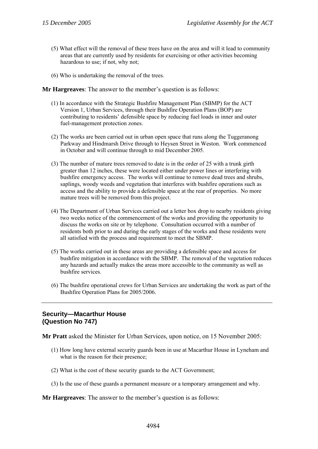- (5) What effect will the removal of these trees have on the area and will it lead to community areas that are currently used by residents for exercising or other activities becoming hazardous to use; if not, why not;
- (6) Who is undertaking the removal of the trees.

**Mr Hargreaves**: The answer to the member's question is as follows:

- (1) In accordance with the Strategic Bushfire Management Plan (SBMP) for the ACT Version 1, Urban Services, through their Bushfire Operation Plans (BOP) are contributing to residents' defensible space by reducing fuel loads in inner and outer fuel-management protection zones.
- (2) The works are been carried out in urban open space that runs along the Tuggeranong Parkway and Hindmarsh Drive through to Heysen Street in Weston. Work commenced in October and will continue through to mid December 2005.
- (3) The number of mature trees removed to date is in the order of 25 with a trunk girth greater than 12 inches, these were located either under power lines or interfering with bushfire emergency access. The works will continue to remove dead trees and shrubs, saplings, woody weeds and vegetation that interferes with bushfire operations such as access and the ability to provide a defensible space at the rear of properties. No more mature trees will be removed from this project.
- (4) The Department of Urban Services carried out a letter box drop to nearby residents giving two weeks notice of the commencement of the works and providing the opportunity to discuss the works on site or by telephone. Consultation occurred with a number of residents both prior to and during the early stages of the works and these residents were all satisfied with the process and requirement to meet the SBMP.
- (5) The works carried out in these areas are providing a defensible space and access for bushfire mitigation in accordance with the SBMP. The removal of the vegetation reduces any hazards and actually makes the areas more accessible to the community as well as bushfire services.
- (6) The bushfire operational crews for Urban Services are undertaking the work as part of the Bushfire Operation Plans for 2005/2006.

# **Security—Macarthur House (Question No 747)**

**Mr Pratt** asked the Minister for Urban Services, upon notice, on 15 November 2005:

- (1) How long have external security guards been in use at Macarthur House in Lyneham and what is the reason for their presence;
- (2) What is the cost of these security guards to the ACT Government;
- (3) Is the use of these guards a permanent measure or a temporary arrangement and why.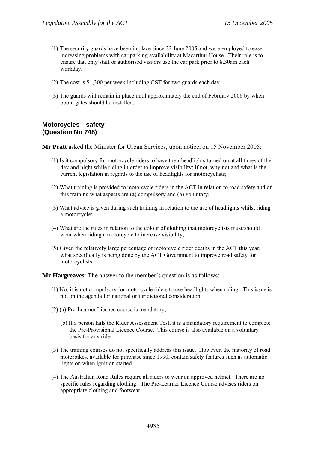- (1) The security guards have been in place since 22 June 2005 and were employed to ease increasing problems with car parking availability at Macarthur House. Their role is to ensure that only staff or authorised visitors use the car park prior to 8.30am each workday.
- (2) The cost is \$1,300 per week including GST for two guards each day.
- (3) The guards will remain in place until approximately the end of February 2006 by when boom gates should be installed.

#### **Motorcycles—safety (Question No 748)**

**Mr Pratt** asked the Minister for Urban Services, upon notice, on 15 November 2005:

- (1) Is it compulsory for motorcycle riders to have their headlights turned on at all times of the day and night while riding in order to improve visibility; if not, why not and what is the current legislation in regards to the use of headlights for motorcyclists;
- (2) What training is provided to motorcycle riders in the ACT in relation to road safety and of this training what aspects are (a) compulsory and (b) voluntary;
- (3) What advice is given during such training in relation to the use of headlights whilst riding a motorcycle;
- (4) What are the rules in relation to the colour of clothing that motorcyclists must/should wear when riding a motorcycle to increase visibility;
- (5) Given the relatively large percentage of motorcycle rider deaths in the ACT this year, what specifically is being done by the ACT Government to improve road safety for motorcyclists.

- (1) No, it is not compulsory for motorcycle riders to use headlights when riding. This issue is not on the agenda for national or juridictional consideration.
- (2) (a) Pre-Learner Licence course is mandatory;
	- (b) If a person fails the Rider Assessment Test, it is a mandatory requirement to complete the Pre-Provisional Licence Course. This course is also available on a voluntary basis for any rider.
- (3) The training courses do not specifically address this issue. However, the majority of road motorbikes, available for purchase since 1990, contain safety features such as automatic lights on when ignition started.
- (4) The Australian Road Rules require all riders to wear an approved helmet. There are no specific rules regarding clothing. The Pre-Learner Licence Course advises riders on appropriate clothing and footwear.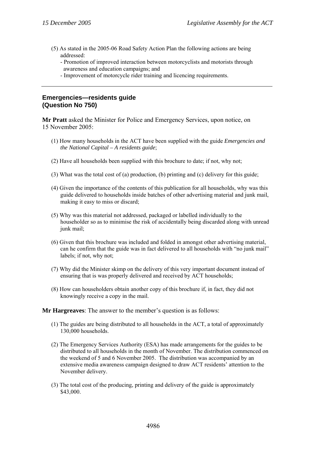- (5) As stated in the 2005-06 Road Safety Action Plan the following actions are being addressed:
	- Promotion of improved interaction between motorcyclists and motorists through awareness and education campaigns; and
	- Improvement of motorcycle rider training and licencing requirements.

#### **Emergencies—residents guide (Question No 750)**

**Mr Pratt** asked the Minister for Police and Emergency Services, upon notice, on 15 November 2005:

- (1) How many households in the ACT have been supplied with the guide *Emergencies and the National Capital – A residents guide*;
- (2) Have all households been supplied with this brochure to date; if not, why not;
- (3) What was the total cost of (a) production, (b) printing and (c) delivery for this guide;
- (4) Given the importance of the contents of this publication for all households, why was this guide delivered to households inside batches of other advertising material and junk mail, making it easy to miss or discard;
- (5) Why was this material not addressed, packaged or labelled individually to the householder so as to minimise the risk of accidentally being discarded along with unread junk mail;
- (6) Given that this brochure was included and folded in amongst other advertising material, can he confirm that the guide was in fact delivered to all households with "no junk mail" labels; if not, why not;
- (7) Why did the Minister skimp on the delivery of this very important document instead of ensuring that is was properly delivered and received by ACT households;
- (8) How can householders obtain another copy of this brochure if, in fact, they did not knowingly receive a copy in the mail.

- (1) The guides are being distributed to all households in the ACT, a total of approximately 130,000 households.
- (2) The Emergency Services Authority (ESA) has made arrangements for the guides to be distributed to all households in the month of November. The distribution commenced on the weekend of 5 and 6 November 2005. The distribution was accompanied by an extensive media awareness campaign designed to draw ACT residents' attention to the November delivery.
- (3) The total cost of the producing, printing and delivery of the guide is approximately \$43,000.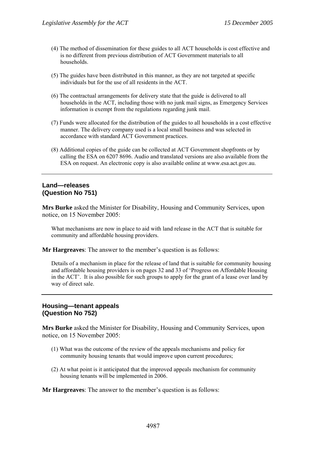- (4) The method of dissemination for these guides to all ACT households is cost effective and is no different from previous distribution of ACT Government materials to all households.
- (5) The guides have been distributed in this manner, as they are not targeted at specific individuals but for the use of all residents in the ACT.
- (6) The contractual arrangements for delivery state that the guide is delivered to all households in the ACT, including those with no junk mail signs, as Emergency Services information is exempt from the regulations regarding junk mail.
- (7) Funds were allocated for the distribution of the guides to all households in a cost effective manner. The delivery company used is a local small business and was selected in accordance with standard ACT Government practices.
- (8) Additional copies of the guide can be collected at ACT Government shopfronts or by calling the ESA on 6207 8696. Audio and translated versions are also available from the ESA on request. An electronic copy is also available online at www.esa.act.gov.au.

#### **Land—releases (Question No 751)**

**Mrs Burke** asked the Minister for Disability, Housing and Community Services, upon notice, on 15 November 2005:

What mechanisms are now in place to aid with land release in the ACT that is suitable for community and affordable housing providers.

**Mr Hargreaves**: The answer to the member's question is as follows:

Details of a mechanism in place for the release of land that is suitable for community housing and affordable housing providers is on pages 32 and 33 of 'Progress on Affordable Housing in the ACT'. It is also possible for such groups to apply for the grant of a lease over land by way of direct sale.

# **Housing—tenant appeals (Question No 752)**

**Mrs Burke** asked the Minister for Disability, Housing and Community Services, upon notice, on 15 November 2005:

- (1) What was the outcome of the review of the appeals mechanisms and policy for community housing tenants that would improve upon current procedures;
- (2) At what point is it anticipated that the improved appeals mechanism for community housing tenants will be implemented in 2006.

**Mr Hargreaves**: The answer to the member's question is as follows: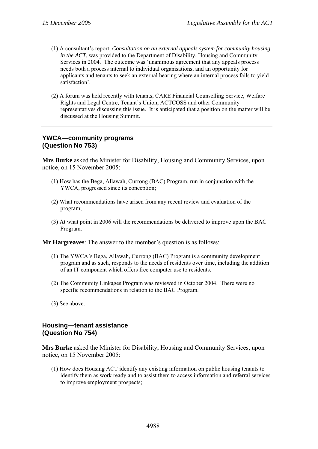- (1) A consultant's report, *Consultation on an external appeals system for community housing in the ACT*, was provided to the Department of Disability, Housing and Community Services in 2004. The outcome was 'unanimous agreement that any appeals process needs both a process internal to individual organisations, and an opportunity for applicants and tenants to seek an external hearing where an internal process fails to yield satisfaction'.
- (2) A forum was held recently with tenants, CARE Financial Counselling Service, Welfare Rights and Legal Centre, Tenant's Union, ACTCOSS and other Community representatives discussing this issue. It is anticipated that a position on the matter will be discussed at the Housing Summit.

# **YWCA—community programs (Question No 753)**

**Mrs Burke** asked the Minister for Disability, Housing and Community Services, upon notice, on 15 November 2005:

- (1) How has the Bega, Allawah, Currong (BAC) Program, run in conjunction with the YWCA, progressed since its conception;
- (2) What recommendations have arisen from any recent review and evaluation of the program;
- (3) At what point in 2006 will the recommendations be delivered to improve upon the BAC Program.

**Mr Hargreaves**: The answer to the member's question is as follows:

- (1) The YWCA's Bega, Allawah, Currong (BAC) Program is a community development program and as such, responds to the needs of residents over time, including the addition of an IT component which offers free computer use to residents.
- (2) The Community Linkages Program was reviewed in October 2004. There were no specific recommendations in relation to the BAC Program.
- (3) See above.

#### **Housing—tenant assistance (Question No 754)**

**Mrs Burke** asked the Minister for Disability, Housing and Community Services, upon notice, on 15 November 2005:

(1) How does Housing ACT identify any existing information on public housing tenants to identify them as work ready and to assist them to access information and referral services to improve employment prospects;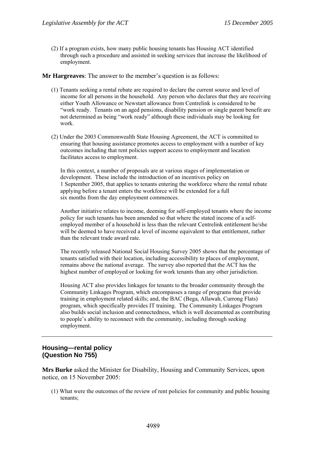(2) If a program exists, how many public housing tenants has Housing ACT identified through such a procedure and assisted in seeking services that increase the likelihood of employment.

**Mr Hargreaves**: The answer to the member's question is as follows:

- (1) Tenants seeking a rental rebate are required to declare the current source and level of income for all persons in the household. Any person who declares that they are receiving either Youth Allowance or Newstart allowance from Centrelink is considered to be "work ready. Tenants on an aged pensions, disability pension or single parent benefit are not determined as being "work ready" although these individuals may be looking for work.
- (2) Under the 2003 Commonwealth State Housing Agreement, the ACT is committed to ensuring that housing assistance promotes access to employment with a number of key outcomes including that rent policies support access to employment and location facilitates access to employment.

In this context, a number of proposals are at various stages of implementation or development. These include the introduction of an incentives policy on 1 September 2005, that applies to tenants entering the workforce where the rental rebate applying before a tenant enters the workforce will be extended for a full six months from the day employment commences.

Another initiative relates to income, deeming for self-employed tenants where the income policy for such tenants has been amended so that where the stated income of a selfemployed member of a household is less than the relevant Centrelink entitlement he/she will be deemed to have received a level of income equivalent to that entitlement, rather than the relevant trade award rate.

The recently released National Social Housing Survey 2005 shows that the percentage of tenants satisfied with their location, including accessibility to places of employment, remains above the national average. The survey also reported that the ACT has the highest number of employed or looking for work tenants than any other jurisdiction.

Housing ACT also provides linkages for tenants to the broader community through the Community Linkages Program, which encompasses a range of programs that provide training in employment related skills; and, the BAC (Bega, Allawah, Currong Flats) program, which specifically provides IT training. The Community Linkages Program also builds social inclusion and connectedness, which is well documented as contributing to people's ability to reconnect with the community, including through seeking employment.

# **Housing—rental policy (Question No 755)**

**Mrs Burke** asked the Minister for Disability, Housing and Community Services, upon notice, on 15 November 2005:

(1) What were the outcomes of the review of rent policies for community and public housing tenants;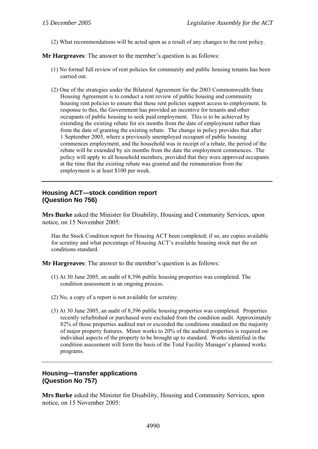(2) What recommendations will be acted upon as a result of any changes to the rent policy.

**Mr Hargreaves**: The answer to the member's question is as follows:

- (1) No formal full review of rent policies for community and public housing tenants has been carried out.
- (2) One of the strategies under the Bilateral Agreement for the 2003 Commonwealth State Housing Agreement is to conduct a rent review of public housing and community housing rent policies to ensure that these rent policies support access to employment. In response to this, the Government has provided an incentive for tenants and other occupants of public housing to seek paid employment. This is to be achieved by extending the existing rebate for six months from the date of employment rather than from the date of granting the existing rebate. The change in policy provides that after 1 September 2005, where a previously unemployed occupant of public housing commences employment, and the household was in receipt of a rebate, the period of the rebate will be extended by six months from the date the employment commences. The policy will apply to all household members, provided that they were approved occupants at the time that the existing rebate was granted and the remuneration from the employment is at least \$100 per week.

# **Housing ACT—stock condition report (Question No 756)**

**Mrs Burke** asked the Minister for Disability, Housing and Community Services, upon notice, on 15 November 2005:

Has the Stock Condition report for Housing ACT been completed; if so, are copies available for scrutiny and what percentage of Housing ACT's available housing stock met the set conditions standard.

**Mr Hargreaves**: The answer to the member's question is as follows:

- (1) At 30 June 2005, an audit of 8,396 public housing properties was completed. The condition assessment is an ongoing process.
- (2) No, a copy of a report is not available for scrutiny.
- (3) At 30 June 2005, an audit of 8,396 public housing properties was completed. Properties recently refurbished or purchased were excluded from the condition audit. Approximately 82% of those properties audited met or exceeded the conditions standard on the majority of major property features. Minor works to 20% of the audited properties is required on individual aspects of the property to be brought up to standard. Works identified in the condition assessment will form the basis of the Total Facility Manager's planned works programs.

# **Housing—transfer applications (Question No 757)**

**Mrs Burke** asked the Minister for Disability, Housing and Community Services, upon notice, on 15 November 2005: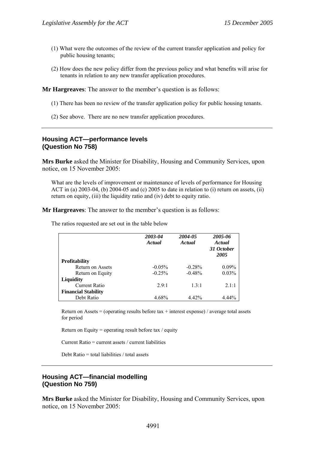- (1) What were the outcomes of the review of the current transfer application and policy for public housing tenants;
- (2) How does the new policy differ from the previous policy and what benefits will arise for tenants in relation to any new transfer application procedures.

- (1) There has been no review of the transfer application policy for public housing tenants.
- (2) See above. There are no new transfer application procedures.

#### **Housing ACT—performance levels (Question No 758)**

**Mrs Burke** asked the Minister for Disability, Housing and Community Services, upon notice, on 15 November 2005:

What are the levels of improvement or maintenance of levels of performance for Housing ACT in (a) 2003-04, (b) 2004-05 and (c) 2005 to date in relation to (i) return on assets, (ii) return on equity, (iii) the liquidity ratio and (iv) debt to equity ratio.

**Mr Hargreaves**: The answer to the member's question is as follows:

The ratios requested are set out in the table below

|                            | 2003-04<br><b>Actual</b> | 2004-05<br>Actual | 2005-06<br>Actual<br>31 October<br>2005 |
|----------------------------|--------------------------|-------------------|-----------------------------------------|
| Profitability              |                          |                   |                                         |
| <b>Return on Assets</b>    | $-0.05\%$                | $-0.28%$          | $0.09\%$                                |
| Return on Equity           | $-0.25%$                 | $-0.48%$          | 0.03%                                   |
| Liquidity                  |                          |                   |                                         |
| <b>Current Ratio</b>       | 29.1                     | 1.3:1             | 2.1:1                                   |
| <b>Financial Stability</b> |                          |                   |                                         |
| Debt Ratio                 | 4.68%                    | 4.42%             | 4.44%                                   |

Return on Assets = (operating results before tax + interest expense) / average total assets for period

Return on Equity = operating result before tax / equity

Current Ratio = current assets / current liabilities

Debt Ratio = total liabilities / total assets

#### **Housing ACT—financial modelling (Question No 759)**

**Mrs Burke** asked the Minister for Disability, Housing and Community Services, upon notice, on 15 November 2005: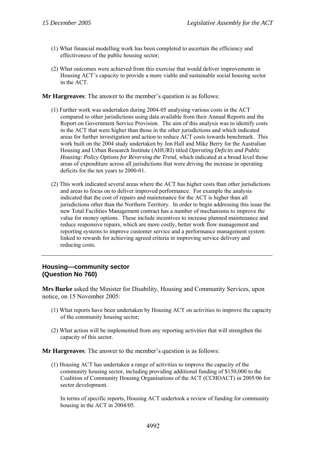- (1) What financial modelling work has been completed to ascertain the efficiency and effectiveness of the public housing sector;
- (2) What outcomes were achieved from this exercise that would deliver improvements in Housing ACT's capacity to provide a more viable and sustainable social housing sector in the ACT.

- (1) Further work was undertaken during 2004-05 analysing various costs in the ACT compared to other jurisdictions using data available from their Annual Reports and the Report on Government Service Provision. The aim of this analysis was to identify costs in the ACT that were higher than those in the other jurisdictions and which indicated areas for further investigation and action to reduce ACT costs towards benchmark. This work built on the 2004 study undertaken by Jon Hall and Mike Berry for the Australian Housing and Urban Research Institute (AHURI) titled *Operating Deficits and Public Housing: Policy Options for Reversing the Trend*, which indicated at a broad level those areas of expenditure across all jurisdictions that were driving the increase in operating deficits for the ten years to 2000-01.
- (2) This work indicated several areas where the ACT has higher costs than other jurisdictions and areas to focus on to deliver improved performance. For example the analysis indicated that the cost of repairs and maintenance for the ACT is higher than all jurisdictions other than the Northern Territory. In order to begin addressing this issue the new Total Facilities Management contract has a number of mechanisms to improve the value for money options. These include incentives to increase planned maintenance and reduce responsive repairs, which are more costly, better work flow management and reporting systems to improve customer service and a performance management system linked to rewards for achieving agreed criteria in improving service delivery and reducing costs.

#### **Housing—community sector (Question No 760)**

**Mrs Burke** asked the Minister for Disability, Housing and Community Services, upon notice, on 15 November 2005:

- (1) What reports have been undertaken by Housing ACT on activities to improve the capacity of the community housing sector;
- (2) What action will be implemented from any reporting activities that will strengthen the capacity of this sector.

**Mr Hargreaves**: The answer to the member's question is as follows:

(1) Housing ACT has undertaken a range of activities to improve the capacity of the community housing sector, including providing additional funding of \$150,000 to the Coalition of Community Housing Organisations of the ACT (CCHOACT) in 2005/06 for sector development.

In terms of specific reports, Housing ACT undertook a review of funding for community housing in the ACT in 2004/05.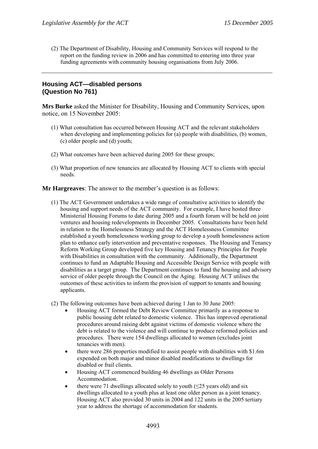(2) The Department of Disability, Housing and Community Services will respond to the report on the funding review in 2006 and has committed to entering into three year funding agreements with community housing organisations from July 2006.

# **Housing ACT—disabled persons (Question No 761)**

**Mrs Burke** asked the Minister for Disability, Housing and Community Services, upon notice, on 15 November 2005:

- (1) What consultation has occurred between Housing ACT and the relevant stakeholders when developing and implementing policies for (a) people with disabilities, (b) women, (c) older people and (d) youth;
- (2) What outcomes have been achieved during 2005 for these groups;
- (3) What proportion of new tenancies are allocated by Housing ACT to clients with special needs.

**Mr Hargreaves**: The answer to the member's question is as follows:

(1) The ACT Government undertakes a wide range of consultative activities to identify the housing and support needs of the ACT community. For example, I have hosted three Ministerial Housing Forums to date during 2005 and a fourth forum will be held on joint ventures and housing redevelopments in December 2005. Consultations have been held in relation to the Homelessness Strategy and the ACT Homelessness Committee established a youth homelessness working group to develop a youth homelessness action plan to enhance early intervention and preventative responses. The Housing and Tenancy Reform Working Group developed five key Housing and Tenancy Principles for People with Disabilities in consultation with the community. Additionally, the Department continues to fund an Adaptable Housing and Accessible Design Service with people with disabilities as a target group. The Department continues to fund the housing and advisory service of older people through the Council on the Aging. Housing ACT utilises the outcomes of these activities to inform the provision of support to tenants and housing applicants.

(2) The following outcomes have been achieved during 1 Jan to 30 June 2005:

- Housing ACT formed the Debt Review Committee primarily as a response to public housing debt related to domestic violence. This has improved operational procedures around raising debt against victims of domestic violence where the debt is related to the violence and will continue to produce reformed policies and procedures. There were 154 dwellings allocated to women (excludes joint tenancies with men).
- there were 286 properties modified to assist people with disabilities with \$1.6m expended on both major and minor disabled modifications to dwellings for disabled or frail clients.
- Housing ACT commenced building 46 dwellings as Older Persons Accommodation.
- there were 71 dwellings allocated solely to youth  $(\leq 25$  years old) and six dwellings allocated to a youth plus at least one older person as a joint tenancy. Housing ACT also provided 30 units in 2004 and 122 units in the 2005 tertiary year to address the shortage of accommodation for students.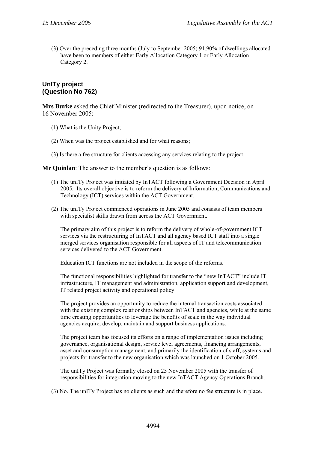(3) Over the preceding three months (July to September 2005) 91.90% of dwellings allocated have been to members of either Early Allocation Category 1 or Early Allocation Category 2.

# **UnITy project (Question No 762)**

**Mrs Burke** asked the Chief Minister (redirected to the Treasurer), upon notice, on 16 November 2005:

- (1) What is the Unity Project;
- (2) When was the project established and for what reasons;
- (3) Is there a fee structure for clients accessing any services relating to the project.

**Mr Quinlan**: The answer to the member's question is as follows:

- (1) The unITy Project was initiated by InTACT following a Government Decision in April 2005. Its overall objective is to reform the delivery of Information, Communications and Technology (ICT) services within the ACT Government.
- (2) The unITy Project commenced operations in June 2005 and consists of team members with specialist skills drawn from across the ACT Government.

The primary aim of this project is to reform the delivery of whole-of-government ICT services via the restructuring of InTACT and all agency based ICT staff into a single merged services organisation responsible for all aspects of IT and telecommunication services delivered to the ACT Government.

Education ICT functions are not included in the scope of the reforms.

The functional responsibilities highlighted for transfer to the "new InTACT" include IT infrastructure, IT management and administration, application support and development, IT related project activity and operational policy.

The project provides an opportunity to reduce the internal transaction costs associated with the existing complex relationships between InTACT and agencies, while at the same time creating opportunities to leverage the benefits of scale in the way individual agencies acquire, develop, maintain and support business applications.

The project team has focused its efforts on a range of implementation issues including governance, organisational design, service level agreements, financing arrangements, asset and consumption management, and primarily the identification of staff, systems and projects for transfer to the new organisation which was launched on 1 October 2005.

The unITy Project was formally closed on 25 November 2005 with the transfer of responsibilities for integration moving to the new InTACT Agency Operations Branch.

(3) No. The unITy Project has no clients as such and therefore no fee structure is in place.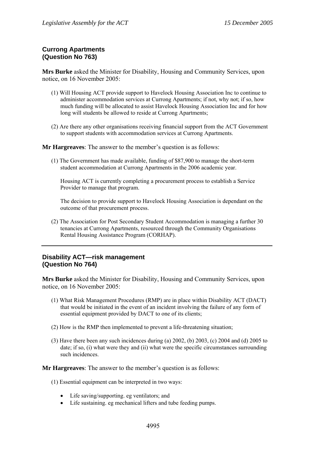# **Currong Apartments (Question No 763)**

**Mrs Burke** asked the Minister for Disability, Housing and Community Services, upon notice, on 16 November 2005:

- (1) Will Housing ACT provide support to Havelock Housing Association Inc to continue to administer accommodation services at Currong Apartments; if not, why not; if so, how much funding will be allocated to assist Havelock Housing Association Inc and for how long will students be allowed to reside at Currong Apartments;
- (2) Are there any other organisations receiving financial support from the ACT Government to support students with accommodation services at Currong Apartments.

**Mr Hargreaves**: The answer to the member's question is as follows:

(1) The Government has made available, funding of \$87,900 to manage the short-term student accommodation at Currong Apartments in the 2006 academic year.

Housing ACT is currently completing a procurement process to establish a Service Provider to manage that program.

The decision to provide support to Havelock Housing Association is dependant on the outcome of that procurement process.

(2) The Association for Post Secondary Student Accommodation is managing a further 30 tenancies at Currong Apartments, resourced through the Community Organisations Rental Housing Assistance Program (CORHAP).

# **Disability ACT—risk management (Question No 764)**

**Mrs Burke** asked the Minister for Disability, Housing and Community Services, upon notice, on 16 November 2005:

- (1) What Risk Management Procedures (RMP) are in place within Disability ACT (DACT) that would be initiated in the event of an incident involving the failure of any form of essential equipment provided by DACT to one of its clients;
- (2) How is the RMP then implemented to prevent a life-threatening situation;
- (3) Have there been any such incidences during (a) 2002, (b) 2003, (c) 2004 and (d) 2005 to date; if so, (i) what were they and (ii) what were the specific circumstances surrounding such incidences.

**Mr Hargreaves**: The answer to the member's question is as follows:

(1) Essential equipment can be interpreted in two ways:

- Life saving/supporting. eg ventilators; and
- Life sustaining. eg mechanical lifters and tube feeding pumps.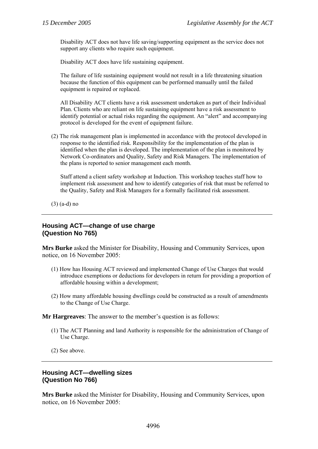Disability ACT does not have life saving/supporting equipment as the service does not support any clients who require such equipment.

Disability ACT does have life sustaining equipment.

The failure of life sustaining equipment would not result in a life threatening situation because the function of this equipment can be performed manually until the failed equipment is repaired or replaced.

All Disability ACT clients have a risk assessment undertaken as part of their Individual Plan. Clients who are reliant on life sustaining equipment have a risk assessment to identify potential or actual risks regarding the equipment. An "alert" and accompanying protocol is developed for the event of equipment failure.

(2) The risk management plan is implemented in accordance with the protocol developed in response to the identified risk. Responsibility for the implementation of the plan is identified when the plan is developed. The implementation of the plan is monitored by Network Co-ordinators and Quality, Safety and Risk Managers. The implementation of the plans is reported to senior management each month.

Staff attend a client safety workshop at Induction. This workshop teaches staff how to implement risk assessment and how to identify categories of risk that must be referred to the Quality, Safety and Risk Managers for a formally facilitated risk assessment.

(3) (a-d) no

# **Housing ACT—change of use charge (Question No 765)**

**Mrs Burke** asked the Minister for Disability, Housing and Community Services, upon notice, on 16 November 2005:

- (1) How has Housing ACT reviewed and implemented Change of Use Charges that would introduce exemptions or deductions for developers in return for providing a proportion of affordable housing within a development;
- (2) How many affordable housing dwellings could be constructed as a result of amendments to the Change of Use Charge.

**Mr Hargreaves**: The answer to the member's question is as follows:

(1) The ACT Planning and land Authority is responsible for the administration of Change of Use Charge.

(2) See above.

#### **Housing ACT—dwelling sizes (Question No 766)**

**Mrs Burke** asked the Minister for Disability, Housing and Community Services, upon notice, on 16 November 2005: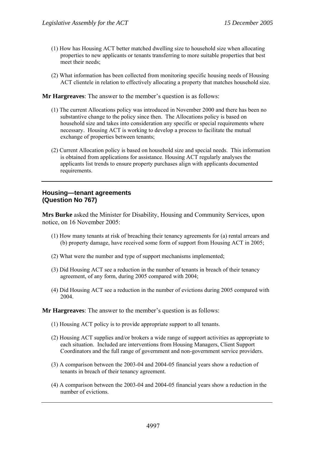- (1) How has Housing ACT better matched dwelling size to household size when allocating properties to new applicants or tenants transferring to more suitable properties that best meet their needs:
- (2) What information has been collected from monitoring specific housing needs of Housing ACT clientele in relation to effectively allocating a property that matches household size.

- (1) The current Allocations policy was introduced in November 2000 and there has been no substantive change to the policy since then. The Allocations policy is based on household size and takes into consideration any specific or special requirements where necessary. Housing ACT is working to develop a process to facilitate the mutual exchange of properties between tenants;
- (2) Current Allocation policy is based on household size and special needs. This information is obtained from applications for assistance. Housing ACT regularly analyses the applicants list trends to ensure property purchases align with applicants documented requirements.

# **Housing—tenant agreements (Question No 767)**

**Mrs Burke** asked the Minister for Disability, Housing and Community Services, upon notice, on 16 November 2005:

- (1) How many tenants at risk of breaching their tenancy agreements for (a) rental arrears and (b) property damage, have received some form of support from Housing ACT in 2005;
- (2) What were the number and type of support mechanisms implemented;
- (3) Did Housing ACT see a reduction in the number of tenants in breach of their tenancy agreement, of any form, during 2005 compared with 2004;
- (4) Did Housing ACT see a reduction in the number of evictions during 2005 compared with 2004.

**Mr Hargreaves**: The answer to the member's question is as follows:

- (1) Housing ACT policy is to provide appropriate support to all tenants.
- (2) Housing ACT supplies and/or brokers a wide range of support activities as appropriate to each situation. Included are interventions from Housing Managers, Client Support Coordinators and the full range of government and non-government service providers.
- (3) A comparison between the 2003-04 and 2004-05 financial years show a reduction of tenants in breach of their tenancy agreement.
- (4) A comparison between the 2003-04 and 2004-05 financial years show a reduction in the number of evictions.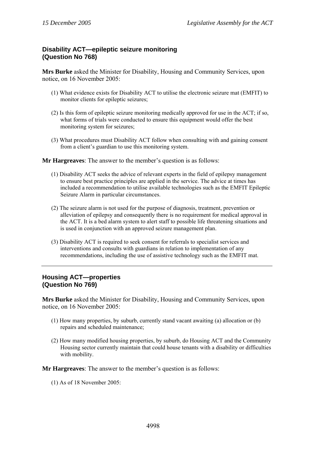# **Disability ACT—epileptic seizure monitoring (Question No 768)**

**Mrs Burke** asked the Minister for Disability, Housing and Community Services, upon notice, on 16 November 2005:

- (1) What evidence exists for Disability ACT to utilise the electronic seizure mat (EMFIT) to monitor clients for epileptic seizures;
- (2) Is this form of epileptic seizure monitoring medically approved for use in the ACT; if so, what forms of trials were conducted to ensure this equipment would offer the best monitoring system for seizures;
- (3) What procedures must Disability ACT follow when consulting with and gaining consent from a client's guardian to use this monitoring system.

**Mr Hargreaves**: The answer to the member's question is as follows:

- (1) Disability ACT seeks the advice of relevant experts in the field of epilepsy management to ensure best practice principles are applied in the service. The advice at times has included a recommendation to utilise available technologies such as the EMFIT Epileptic Seizure Alarm in particular circumstances.
- (2) The seizure alarm is not used for the purpose of diagnosis, treatment, prevention or alleviation of epilepsy and consequently there is no requirement for medical approval in the ACT. It is a bed alarm system to alert staff to possible life threatening situations and is used in conjunction with an approved seizure management plan.
- (3) Disability ACT is required to seek consent for referrals to specialist services and interventions and consults with guardians in relation to implementation of any recommendations, including the use of assistive technology such as the EMFIT mat.

# **Housing ACT—properties (Question No 769)**

**Mrs Burke** asked the Minister for Disability, Housing and Community Services, upon notice, on 16 November 2005:

- (1) How many properties, by suburb, currently stand vacant awaiting (a) allocation or (b) repairs and scheduled maintenance;
- (2) How many modified housing properties, by suburb, do Housing ACT and the Community Housing sector currently maintain that could house tenants with a disability or difficulties with mobility.

**Mr Hargreaves**: The answer to the member's question is as follows:

(1) As of 18 November 2005: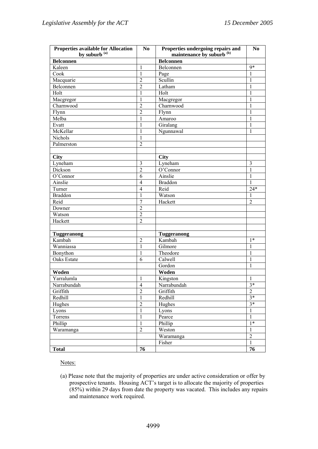| <b>Properties available for Allocation</b> | N <sub>0</sub> | Properties undergoing repairs and    | No             |
|--------------------------------------------|----------------|--------------------------------------|----------------|
| by suburb <sup>(a)</sup>                   |                | maintenance by suburb <sup>(b)</sup> |                |
| <b>Belconnen</b>                           |                | Belconnen                            |                |
| Kaleen                                     | $\mathbf{1}$   | Belconnen                            | $9*$           |
| Cook                                       | $\mathbf{1}$   | Page                                 | $\mathbf{1}$   |
| Macquarie                                  | $\overline{c}$ | Scullin                              | $\mathbf{1}$   |
| Belconnen                                  | $\overline{c}$ | Latham                               | $\mathbf{1}$   |
| Holt                                       | $\mathbf{1}$   | Holt                                 | $\mathbf{1}$   |
| Macgregor                                  | $\mathbf{1}$   | Macgregor                            | $\mathbf{1}$   |
| Charnwood                                  | $\overline{c}$ | Charnwood                            | $\mathbf{1}$   |
| Flynn                                      | $\overline{c}$ | Flynn                                | $\mathbf{1}$   |
| Melba                                      | $\mathbf{1}$   | Amaroo                               | $\mathbf{1}$   |
| Evatt                                      | $\mathbf{1}$   | Giralang                             | $\mathbf{1}$   |
| McKellar                                   | $\mathbf{1}$   | Ngunnawal                            | $\mathbf{1}$   |
| Nichols                                    | $\mathbf{1}$   |                                      |                |
| Palmerston                                 | $\overline{c}$ |                                      |                |
|                                            |                |                                      |                |
| <b>City</b>                                |                | <b>City</b>                          |                |
| Lyneham                                    | $\mathfrak{Z}$ | Lyneham                              | $\mathfrak{Z}$ |
| Dickson                                    | $\overline{c}$ | O'Connor                             | $\mathbf{1}$   |
| O'Connor                                   | 6              | Ainslie                              | $\mathbf{1}$   |
| Ainslie                                    | $\overline{4}$ | <b>Braddon</b>                       | 1              |
| Turner                                     | $\overline{4}$ | Reid                                 | $24*$          |
| <b>Braddon</b>                             | $\mathbf{1}$   | Watson                               | 1              |
| Reid                                       | $\overline{7}$ | Hackett                              | $\overline{2}$ |
| Downer                                     | $\overline{c}$ |                                      |                |
| Watson                                     | $\overline{c}$ |                                      |                |
| Hackett                                    | $\overline{c}$ |                                      |                |
|                                            |                |                                      |                |
| <b>Tuggeranong</b>                         |                | <b>Tuggeranong</b>                   |                |
| Kambah                                     | $\overline{c}$ | Kambah                               | $1*$           |
| Wanniassa                                  | $\mathbf{1}$   | Gilmore                              | $\mathbf{1}$   |
| Bonython                                   | $\mathbf{1}$   | Theodore                             | $\mathbf{1}$   |
| Oaks Estate                                | 6              | Calwell                              | $\mathbf{1}$   |
|                                            |                | Gordon                               | $\mathbf{1}$   |
| Woden                                      |                | Woden                                |                |
| Yarralumla                                 | $\mathbf{1}$   | Kingston                             | 1              |
| Narrabundah                                | $\overline{4}$ | Narrabundah                          | $3*$           |
| Griffith                                   | $\overline{2}$ | Griffith                             | $\overline{2}$ |
| Redhill                                    | $\mathbf{1}$   | Redhill                              | $3*$           |
| Hughes                                     | $\overline{c}$ | Hughes                               | $3*$           |
| Lyons                                      | $\mathbf{1}$   | Lyons                                | 1              |
| Torrens                                    | $\mathbf{1}$   | Pearce                               | $\mathbf{1}$   |
|                                            |                |                                      | $1*$           |
| Phillip                                    | $\mathbf{1}$   | Phillip                              |                |
| Waramanga                                  | $\overline{2}$ | Weston                               | $\mathbf{1}$   |
|                                            |                | Waramanga                            | $\sqrt{2}$     |
|                                            |                | Fisher                               | $\mathbf{1}$   |
| <b>Total</b>                               | 76             |                                      | 76             |

Notes:

(a) Please note that the majority of properties are under active consideration or offer by prospective tenants. Housing ACT's target is to allocate the majority of properties (85%) within 29 days from date the property was vacated. This includes any repairs and maintenance work required.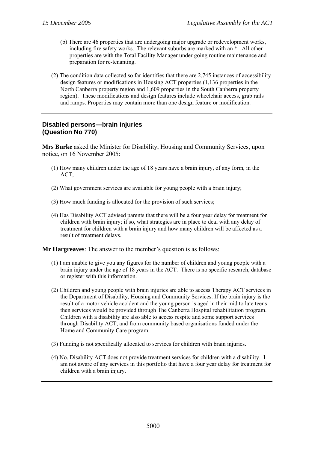- (b) There are 46 properties that are undergoing major upgrade or redevelopment works, including fire safety works. The relevant suburbs are marked with an \*. All other properties are with the Total Facility Manager under going routine maintenance and preparation for re-tenanting.
- (2) The condition data collected so far identifies that there are 2,745 instances of accessibility design features or modifications in Housing ACT properties (1,136 properties in the North Canberra property region and 1,609 properties in the South Canberra property region). These modifications and design features include wheelchair access, grab rails and ramps. Properties may contain more than one design feature or modification.

# **Disabled persons—brain injuries (Question No 770)**

**Mrs Burke** asked the Minister for Disability, Housing and Community Services, upon notice, on 16 November 2005:

- (1) How many children under the age of 18 years have a brain injury, of any form, in the ACT;
- (2) What government services are available for young people with a brain injury;
- (3) How much funding is allocated for the provision of such services;
- (4) Has Disability ACT advised parents that there will be a four year delay for treatment for children with brain injury; if so, what strategies are in place to deal with any delay of treatment for children with a brain injury and how many children will be affected as a result of treatment delays.

**Mr Hargreaves**: The answer to the member's question is as follows:

- (1) I am unable to give you any figures for the number of children and young people with a brain injury under the age of 18 years in the ACT. There is no specific research, database or register with this information.
- (2) Children and young people with brain injuries are able to access Therapy ACT services in the Department of Disability, Housing and Community Services. If the brain injury is the result of a motor vehicle accident and the young person is aged in their mid to late teens then services would be provided through The Canberra Hospital rehabilitation program. Children with a disability are also able to access respite and some support services through Disability ACT, and from community based organisations funded under the Home and Community Care program.
- (3) Funding is not specifically allocated to services for children with brain injuries.
- (4) No. Disability ACT does not provide treatment services for children with a disability. I am not aware of any services in this portfolio that have a four year delay for treatment for children with a brain injury.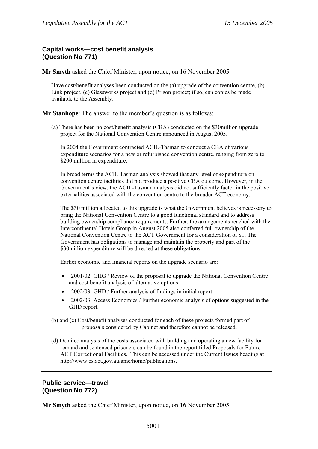# **Capital works—cost benefit analysis (Question No 771)**

**Mr Smyth** asked the Chief Minister, upon notice, on 16 November 2005:

Have cost/benefit analyses been conducted on the (a) upgrade of the convention centre, (b) Link project, (c) Glassworks project and (d) Prison project; if so, can copies be made available to the Assembly.

**Mr Stanhope**: The answer to the member's question is as follows:

(a) There has been no cost/benefit analysis (CBA) conducted on the \$30million upgrade project for the National Convention Centre announced in August 2005.

In 2004 the Government contracted ACIL-Tasman to conduct a CBA of various expenditure scenarios for a new or refurbished convention centre, ranging from zero to \$200 million in expenditure.

In broad terms the ACIL Tasman analysis showed that any level of expenditure on convention centre facilities did not produce a positive CBA outcome. However, in the Government's view, the ACIL-Tasman analysis did not sufficiently factor in the positive externalities associated with the convention centre to the broader ACT economy.

The \$30 million allocated to this upgrade is what the Government believes is necessary to bring the National Convention Centre to a good functional standard and to address building ownership compliance requirements. Further, the arrangements reached with the Intercontinental Hotels Group in August 2005 also conferred full ownership of the National Convention Centre to the ACT Government for a consideration of \$1. The Government has obligations to manage and maintain the property and part of the \$30 million expenditure will be directed at these obligations.

Earlier economic and financial reports on the upgrade scenario are:

- 2001/02: GHG / Review of the proposal to upgrade the National Convention Centre and cost benefit analysis of alternative options
- 2002/03: GHD / Further analysis of findings in initial report
- 2002/03: Access Economics / Further economic analysis of options suggested in the GHD report.
- (b) and (c) Cost/benefit analyses conducted for each of these projects formed part of proposals considered by Cabinet and therefore cannot be released.
- (d) Detailed analysis of the costs associated with building and operating a new facility for remand and sentenced prisoners can be found in the report titled Proposals for Future ACT Correctional Facilities. This can be accessed under the Current Issues heading at http://www.cs.act.gov.au/amc/home/publications.

# **Public service—travel (Question No 772)**

**Mr Smyth** asked the Chief Minister, upon notice, on 16 November 2005: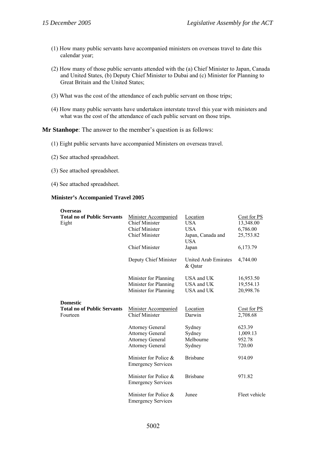- (1) How many public servants have accompanied ministers on overseas travel to date this calendar year;
- (2) How many of those public servants attended with the (a) Chief Minister to Japan, Canada and United States, (b) Deputy Chief Minister to Dubai and (c) Minister for Planning to Great Britain and the United States;
- (3) What was the cost of the attendance of each public servant on those trips;
- (4) How many public servants have undertaken interstate travel this year with ministers and what was the cost of the attendance of each public servant on those trips.

**Mr Stanhope**: The answer to the member's question is as follows:

- (1) Eight public servants have accompanied Ministers on overseas travel.
- (2) See attached spreadsheet.
- (3) See attached spreadsheet.
- (4) See attached spreadsheet.

#### **Minister's Accompanied Travel 2005**

| <b>Overseas</b>                    |                                                    |                                 |               |
|------------------------------------|----------------------------------------------------|---------------------------------|---------------|
| <b>Total no of Public Servants</b> | <b>Minister Accompanied</b>                        | Location                        | Cost for PS   |
| Eight                              | <b>Chief Minister</b>                              | <b>USA</b>                      | 13,348.00     |
|                                    | <b>Chief Minister</b>                              | <b>USA</b>                      | 6,786.00      |
|                                    | <b>Chief Minister</b>                              | Japan, Canada and<br><b>USA</b> | 25,753.82     |
|                                    | <b>Chief Minister</b>                              | Japan                           | 6,173.79      |
|                                    | Deputy Chief Minister                              | United Arab Emirates<br>& Qatar | 4,744.00      |
|                                    | Minister for Planning                              | USA and UK                      | 16,953.50     |
|                                    | Minister for Planning                              | USA and UK                      | 19,554.13     |
|                                    | Minister for Planning                              | USA and UK                      | 20,998.76     |
| <b>Domestic</b>                    |                                                    |                                 |               |
| <b>Total no of Public Servants</b> | <b>Minister Accompanied</b>                        | Location                        | Cost for PS   |
| Fourteen                           | <b>Chief Minister</b>                              | Darwin                          | 2,708.68      |
|                                    | <b>Attorney General</b>                            | Sydney                          | 623.39        |
|                                    | <b>Attorney General</b>                            | Sydney                          | 1,009.13      |
|                                    | <b>Attorney General</b>                            | Melbourne                       | 952.78        |
|                                    | <b>Attorney General</b>                            | Sydney                          | 720.00        |
|                                    | Minister for Police &<br><b>Emergency Services</b> | <b>Brisbane</b>                 | 914.09        |
|                                    | Minister for Police &<br><b>Emergency Services</b> | <b>Brisbane</b>                 | 971.82        |
|                                    | Minister for Police &<br><b>Emergency Services</b> | Junee                           | Fleet vehicle |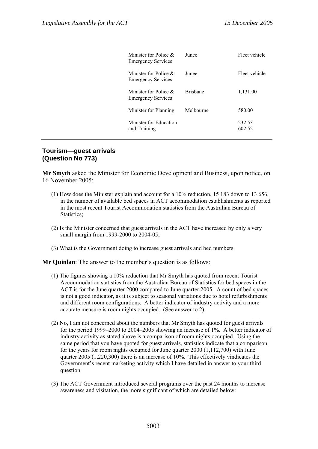| Minister for Police $\&$<br><b>Emergency Services</b> | <b>Lunee</b>    | Fleet vehicle    |
|-------------------------------------------------------|-----------------|------------------|
| Minister for Police $\&$<br><b>Emergency Services</b> | Junee           | Fleet vehicle    |
| Minister for Police $\&$<br><b>Emergency Services</b> | <b>Brishane</b> | 1,131.00         |
| Minister for Planning                                 | Melbourne       | 580.00           |
| Minister for Education<br>and Training                |                 | 232.53<br>602.52 |

# **Tourism—guest arrivals (Question No 773)**

**Mr Smyth** asked the Minister for Economic Development and Business, upon notice, on 16 November 2005:

- (1) How does the Minister explain and account for a 10% reduction, 15 183 down to 13 656, in the number of available bed spaces in ACT accommodation establishments as reported in the most recent Tourist Accommodation statistics from the Australian Bureau of Statistics:
- (2) Is the Minister concerned that guest arrivals in the ACT have increased by only a very small margin from 1999-2000 to 2004-05;
- (3) What is the Government doing to increase guest arrivals and bed numbers.

**Mr Quinlan**: The answer to the member's question is as follows:

- (1) The figures showing a 10% reduction that Mr Smyth has quoted from recent Tourist Accommodation statistics from the Australian Bureau of Statistics for bed spaces in the ACT is for the June quarter 2000 compared to June quarter 2005. A count of bed spaces is not a good indicator, as it is subject to seasonal variations due to hotel refurbishments and different room configurations. A better indicator of industry activity and a more accurate measure is room nights occupied. (See answer to 2).
- (2) No, I am not concerned about the numbers that Mr Smyth has quoted for guest arrivals for the period 1999–2000 to 2004–2005 showing an increase of 1%. A better indicator of industry activity as stated above is a comparison of room nights occupied. Using the same period that you have quoted for guest arrivals, statistics indicate that a comparison for the years for room nights occupied for June quarter 2000 (1,112,700) with June quarter 2005 (1,220,300) there is an increase of 10%. This effectively vindicates the Government's recent marketing activity which I have detailed in answer to your third question.
- (3) The ACT Government introduced several programs over the past 24 months to increase awareness and visitation, the more significant of which are detailed below: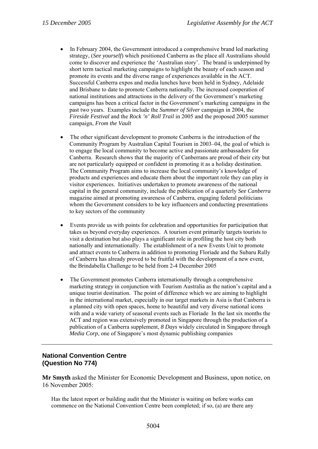- In February 2004, the Government introduced a comprehensive brand led marketing strategy, (*See yourself*) which positioned Canberra as the place all Australians should come to discover and experience the 'Australian story'. The brand is underpinned by short term tactical marketing campaigns to highlight the beauty of each season and promote its events and the diverse range of experiences available in the ACT. Successful Canberra expos and media lunches have been held in Sydney, Adelaide and Brisbane to date to promote Canberra nationally. The increased cooperation of national institutions and attractions in the delivery of the Government's marketing campaigns has been a critical factor in the Government's marketing campaigns in the past two years. Examples include the *Summer of Silver* campaign in 2004, the *Fireside Festival* and the *Rock 'n' Roll Trail* in 2005 and the proposed 2005 summer campaign, *From the Vault*
- The other significant development to promote Canberra is the introduction of the Community Program by Australian Capital Tourism in 2003–04, the goal of which is to engage the local community to become active and passionate ambassadors for Canberra. Research shows that the majority of Canberrans are proud of their city but are not particularly equipped or confident in promoting it as a holiday destination. The Community Program aims to increase the local community's knowledge of products and experiences and educate them about the important role they can play in visitor experiences. Initiatives undertaken to promote awareness of the national capital in the general community, include the publication of a quarterly *See Canberra* magazine aimed at promoting awareness of Canberra, engaging federal politicians whom the Government considers to be key influencers and conducting presentations to key sectors of the community
- Events provide us with points for celebration and opportunities for participation that takes us beyond everyday experiences. A tourism event primarily targets tourists to visit a destination but also plays a significant role in profiling the host city both nationally and internationally. The establishment of a new Events Unit to promote and attract events to Canberra in addition to promoting Floriade and the Subaru Rally of Canberra has already proved to be fruitful with the development of a new event, the Brindabella Challenge to be held from 2-4 December 2005
- The Government promotes Canberra internationally through a comprehensive marketing strategy in conjunction with Tourism Australia as the nation's capital and a unique tourist destination. The point of difference which we are aiming to highlight in the international market, especially in our target markets in Asia is that Canberra is a planned city with open spaces, home to beautiful and very diverse national icons with and a wide variety of seasonal events such as Floriade In the last six months the ACT and region was extensively promoted in Singapore through the production of a publication of a Canberra supplement, *8 Days* widely circulated in Singapore through *Media Corp*, one of Singapore's most dynamic publishing companies

# **National Convention Centre (Question No 774)**

**Mr Smyth** asked the Minister for Economic Development and Business, upon notice, on 16 November 2005:

Has the latest report or building audit that the Minister is waiting on before works can commence on the National Convention Centre been completed; if so, (a) are there any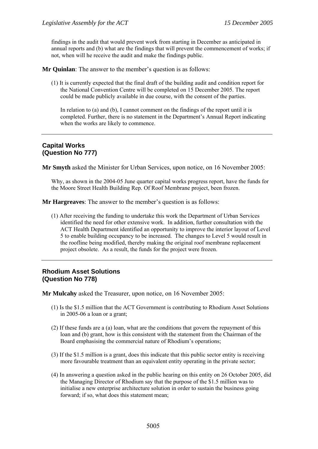findings in the audit that would prevent work from starting in December as anticipated in annual reports and (b) what are the findings that will prevent the commencement of works; if not, when will he receive the audit and make the findings public.

**Mr Quinlan**: The answer to the member's question is as follows:

(1) It is currently expected that the final draft of the building audit and condition report for the National Convention Centre will be completed on 15 December 2005. The report could be made publicly available in due course, with the consent of the parties.

In relation to (a) and (b), I cannot comment on the findings of the report until it is completed. Further, there is no statement in the Department's Annual Report indicating when the works are likely to commence.

# **Capital Works (Question No 777)**

**Mr Smyth** asked the Minister for Urban Services, upon notice, on 16 November 2005:

Why, as shown in the 2004-05 June quarter capital works progress report, have the funds for the Moore Street Health Building Rep. Of Roof Membrane project, been frozen.

**Mr Hargreaves**: The answer to the member's question is as follows:

(1) After receiving the funding to undertake this work the Department of Urban Services identified the need for other extensive work. In addition, further consultation with the ACT Health Department identified an opportunity to improve the interior layout of Level 5 to enable building occupancy to be increased. The changes to Level 5 would result in the roofline being modified, thereby making the original roof membrane replacement project obsolete. As a result, the funds for the project were frozen.

#### **Rhodium Asset Solutions (Question No 778)**

**Mr Mulcahy** asked the Treasurer, upon notice, on 16 November 2005:

- (1) Is the \$1.5 million that the ACT Government is contributing to Rhodium Asset Solutions in 2005-06 a loan or a grant;
- (2) If these funds are a (a) loan, what are the conditions that govern the repayment of this loan and (b) grant, how is this consistent with the statement from the Chairman of the Board emphasising the commercial nature of Rhodium's operations;
- (3) If the \$1.5 million is a grant, does this indicate that this public sector entity is receiving more favourable treatment than an equivalent entity operating in the private sector;
- (4) In answering a question asked in the public hearing on this entity on 26 October 2005, did the Managing Director of Rhodium say that the purpose of the \$1.5 million was to initialise a new enterprise architecture solution in order to sustain the business going forward; if so, what does this statement mean;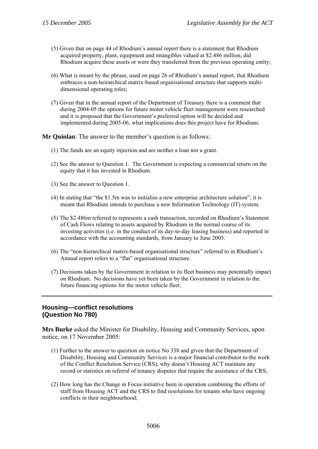- (5) Given that on page 44 of Rhodium's annual report there is a statement that Rhodium acquired property, plant, equipment and intangibles valued at \$2.486 million, did Rhodium acquire these assets or were they transferred from the previous operating entity;
- (6) What is meant by the phrase, used on page 26 of Rhodium's annual report, that Rhodium embraces a non-heirarchical matrix-based organisational structure that supports multidimensional operating roles;
- (7) Given that in the annual report of the Department of Treasury there is a comment that during 2004-05 the options for future motor vehicle fleet management were researched and it is proposed that the Government's preferred option will be decided and implemented during 2005-06, what implications does this project have for Rhodium.

**Mr Quinlan**: The answer to the member's question is as follows:

- (1) The funds are an equity injection and are neither a loan nor a grant.
- (2) See the answer to Question 1. The Government is expecting a commercial return on the equity that it has invested in Rhodium.
- (3) See the answer to Question 1.
- (4) In stating that "the \$1.5m was to initialise a new enterprise architecture solution", it is meant that Rhodium intends to purchase a new Information Technology (IT) system.
- (5) The \$2.486m referred to represents a cash transaction, recorded on Rhodium's Statement of Cash Flows relating to assets acquired by Rhodium in the normal course of its investing activities (i.e. in the conduct of its day-to-day leasing business) and reported in accordance with the accounting standards, from January to June 2005.
- (6) The "non-hierarchical matrix-based organisational structure" referred to in Rhodium's Annual report refers to a "flat" organisational structure.
- (7) Decisions taken by the Government in relation to its fleet business may potentially impact on Rhodium. No decisions have yet been taken by the Government in relation to the future financing options for the motor vehicle fleet.

# **Housing—conflict resolutions (Question No 780)**

**Mrs Burke** asked the Minister for Disability, Housing and Community Services, upon notice, on 17 November 2005:

- (1) Further to the answer to question on notice No 338 and given that the Department of Disability, Housing and Community Services is a major financial contributor to the work of the Conflict Resolution Service (CRS), why doesn't Housing ACT maintain any record or statistics on referral of tenancy disputes that require the assistance of the CRS;
- (2) How long has the Change in Focus initiative been in operation combining the efforts of staff from Housing ACT and the CRS to find resolutions for tenants who have ongoing conflicts in their neighbourhood;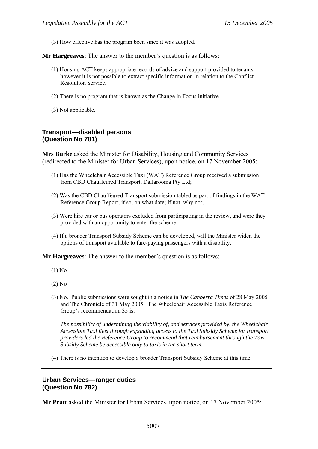(3) How effective has the program been since it was adopted.

**Mr Hargreaves**: The answer to the member's question is as follows:

- (1) Housing ACT keeps appropriate records of advice and support provided to tenants, however it is not possible to extract specific information in relation to the Conflict Resolution Service.
- (2) There is no program that is known as the Change in Focus initiative.
- (3) Not applicable.

#### **Transport—disabled persons (Question No 781)**

**Mrs Burke** asked the Minister for Disability, Housing and Community Services (redirected to the Minister for Urban Services), upon notice, on 17 November 2005:

- (1) Has the Wheelchair Accessible Taxi (WAT) Reference Group received a submission from CBD Chauffeured Transport, Dallarooma Pty Ltd;
- (2) Was the CBD Chauffeured Transport submission tabled as part of findings in the WAT Reference Group Report; if so, on what date; if not, why not;
- (3) Were hire car or bus operators excluded from participating in the review, and were they provided with an opportunity to enter the scheme;
- (4) If a broader Transport Subsidy Scheme can be developed, will the Minister widen the options of transport available to fare-paying passengers with a disability.

**Mr Hargreaves**: The answer to the member's question is as follows:

- (1) No
- (2) No
- (3) No. Public submissions were sought in a notice in *The Canberra Times* of 28 May 2005 and The Chronicle of 31 May 2005. The Wheelchair Accessible Taxis Reference Group's recommendation 35 is:

*The possibility of undermining the viability of, and services provided by, the Wheelchair Accessible Taxi fleet through expanding access to the Taxi Subsidy Scheme for transport providers led the Reference Group to recommend that reimbursement through the Taxi Subsidy Scheme be accessible only to taxis in the short term.* 

(4) There is no intention to develop a broader Transport Subsidy Scheme at this time.

#### **Urban Services—ranger duties (Question No 782)**

**Mr Pratt** asked the Minister for Urban Services, upon notice, on 17 November 2005: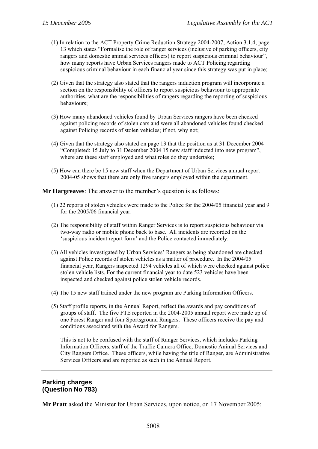- (1) In relation to the ACT Property Crime Reduction Strategy 2004-2007, Action 3.1.4, page 13 which states "Formalise the role of ranger services (inclusive of parking officers, city rangers and domestic animal services officers) to report suspicious criminal behaviour", how many reports have Urban Services rangers made to ACT Policing regarding suspicious criminal behaviour in each financial year since this strategy was put in place;
- (2) Given that the strategy also stated that the rangers induction program will incorporate a section on the responsibility of officers to report suspicious behaviour to appropriate authorities, what are the responsibilities of rangers regarding the reporting of suspicious behaviours;
- (3) How many abandoned vehicles found by Urban Services rangers have been checked against policing records of stolen cars and were all abandoned vehicles found checked against Policing records of stolen vehicles; if not, why not;
- (4) Given that the strategy also stated on page 13 that the position as at 31 December 2004 "Completed: 15 July to 31 December 2004 15 new staff inducted into new program", where are these staff employed and what roles do they undertake;
- (5) How can there be 15 new staff when the Department of Urban Services annual report 2004-05 shows that there are only five rangers employed within the department.

- (1) 22 reports of stolen vehicles were made to the Police for the 2004/05 financial year and 9 for the 2005/06 financial year.
- (2) The responsibility of staff within Ranger Services is to report suspicious behaviour via two-way radio or mobile phone back to base. All incidents are recorded on the 'suspicious incident report form' and the Police contacted immediately.
- (3) All vehicles investigated by Urban Services' Rangers as being abandoned are checked against Police records of stolen vehicles as a matter of procedure. In the 2004/05 financial year, Rangers inspected 1294 vehicles all of which were checked against police stolen vehicle lists. For the current financial year to date 523 vehicles have been inspected and checked against police stolen vehicle records.
- (4) The 15 new staff trained under the new program are Parking Information Officers.
- (5) Staff profile reports, in the Annual Report, reflect the awards and pay conditions of groups of staff. The five FTE reported in the 2004-2005 annual report were made up of one Forest Ranger and four Sportsground Rangers. These officers receive the pay and conditions associated with the Award for Rangers.

This is not to be confused with the staff of Ranger Services, which includes Parking Information Officers, staff of the Traffic Camera Office, Domestic Animal Services and City Rangers Office. These officers, while having the title of Ranger, are Administrative Services Officers and are reported as such in the Annual Report.

#### **Parking charges (Question No 783)**

**Mr Pratt** asked the Minister for Urban Services, upon notice, on 17 November 2005: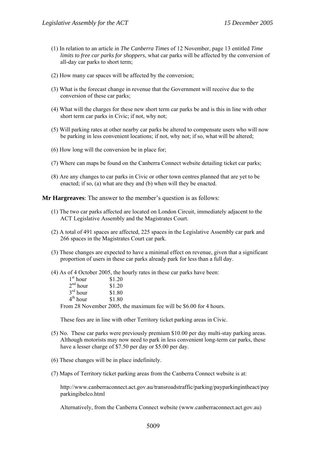- (1) In relation to an article in *The Canberra Times* of 12 November, page 13 entitled *Time limits to free car parks for shoppers*, what car parks will be affected by the conversion of all-day car parks to short term;
- (2) How many car spaces will be affected by the conversion;
- (3) What is the forecast change in revenue that the Government will receive due to the conversion of these car parks;
- (4) What will the charges for these new short term car parks be and is this in line with other short term car parks in Civic; if not, why not;
- (5) Will parking rates at other nearby car parks be altered to compensate users who will now be parking in less convenient locations; if not, why not; if so, what will be altered;
- (6) How long will the conversion be in place for;
- (7) Where can maps be found on the Canberra Connect website detailing ticket car parks;
- (8) Are any changes to car parks in Civic or other town centres planned that are yet to be enacted; if so, (a) what are they and (b) when will they be enacted.

- (1) The two car parks affected are located on London Circuit, immediately adjacent to the ACT Legislative Assembly and the Magistrates Court.
- (2) A total of 491 spaces are affected, 225 spaces in the Legislative Assembly car park and 266 spaces in the Magistrates Court car park.
- (3) These changes are expected to have a minimal effect on revenue, given that a significant proportion of users in these car parks already park for less than a full day.
- (4) As of 4 October 2005, the hourly rates in these car parks have been:

| $1st$ hour           | \$1.20 |
|----------------------|--------|
| 2 <sup>nd</sup> hour | \$1.20 |
| $3rd$ hour           | \$1.80 |
| $4th$ hour           | \$1.80 |

From 28 November 2005, the maximum fee will be \$6.00 for 4 hours.

These fees are in line with other Territory ticket parking areas in Civic.

- (5) No. These car parks were previously premium \$10.00 per day multi-stay parking areas. Although motorists may now need to park in less convenient long-term car parks, these have a lesser charge of \$7.50 per day or \$5.00 per day.
- (6) These changes will be in place indefinitely.
- (7) Maps of Territory ticket parking areas from the Canberra Connect website is at:

http://www.canberraconnect.act.gov.au/transroadstraffic/parking/payparkingintheact/pay parkingibelco.html

Alternatively, from the Canberra Connect website (www.canberraconnect.act.gov.au)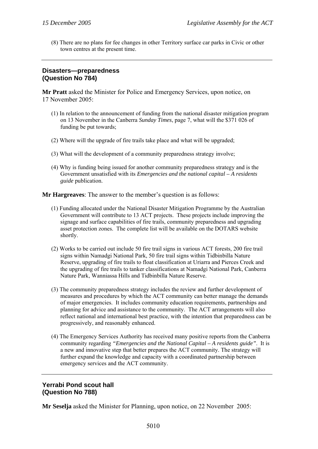(8) There are no plans for fee changes in other Territory surface car parks in Civic or other town centres at the present time.

# **Disasters—preparedness (Question No 784)**

**Mr Pratt** asked the Minister for Police and Emergency Services, upon notice, on 17 November 2005:

- (1) In relation to the announcement of funding from the national disaster mitigation program on 13 November in the Canberra *Sunday Times*, page 7, what will the \$371 026 of funding be put towards;
- (2) Where will the upgrade of fire trails take place and what will be upgraded;
- (3) What will the development of a community preparedness strategy involve;
- (4) Why is funding being issued for another community preparedness strategy and is the Government unsatisfied with its *Emergencies and the national capital – A residents guide* publication.

**Mr Hargreaves**: The answer to the member's question is as follows:

- (1) Funding allocated under the National Disaster Mitigation Programme by the Australian Government will contribute to 13 ACT projects. These projects include improving the signage and surface capabilities of fire trails, community preparedness and upgrading asset protection zones. The complete list will be available on the DOTARS website shortly.
- (2) Works to be carried out include 50 fire trail signs in various ACT forests, 200 fire trail signs within Namadgi National Park, 50 fire trail signs within Tidbinbilla Nature Reserve, upgrading of fire trails to float classification at Uriarra and Pierces Creek and the upgrading of fire trails to tanker classifications at Namadgi National Park, Canberra Nature Park, Wanniassa Hills and Tidbinbilla Nature Reserve.
- (3) The community preparedness strategy includes the review and further development of measures and procedures by which the ACT community can better manage the demands of major emergencies. It includes community education requirements, partnerships and planning for advice and assistance to the community. The ACT arrangements will also reflect national and international best practice, with the intention that preparedness can be progressively, and reasonably enhanced.
- (4) The Emergency Services Authority has received many positive reports from the Canberra community regarding *"Emergencies and the National Capital – A residents guide"*. It is a new and innovative step that better prepares the ACT community. The strategy will further expand the knowledge and capacity with a coordinated partnership between emergency services and the ACT community.

# **Yerrabi Pond scout hall (Question No 788)**

**Mr Seselja** asked the Minister for Planning, upon notice, on 22 November 2005: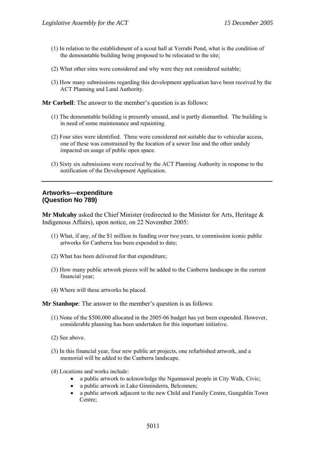- (1) In relation to the establishment of a scout hall at Yerrabi Pond, what is the condition of the demountable building being proposed to be relocated to the site;
- (2) What other sites were considered and why were they not considered suitable;
- (3) How many submissions regarding this development application have been received by the ACT Planning and Land Authority.

**Mr Corbell**: The answer to the member's question is as follows:

- (1) The demountable building is presently unused, and is partly dismantled. The building is in need of some maintenance and repainting.
- (2) Four sites were identified. Three were considered not suitable due to vehicular access, one of these was constrained by the location of a sewer line and the other unduly impacted on usage of public open space.
- (3) Sixty six submissions were received by the ACT Planning Authority in response to the notification of the Development Application.

#### **Artworks—expenditure (Question No 789)**

**Mr Mulcahy** asked the Chief Minister (redirected to the Minister for Arts, Heritage & Indigenous Affairs), upon notice, on 22 November 2005:

- (1) What, if any, of the \$1 million in funding over two years, to commission iconic public artworks for Canberra has been expended to date;
- (2) What has been delivered for that expenditure;
- (3) How many public artwork pieces will be added to the Canberra landscape in the current financial year;
- (4) Where will these artworks be placed.

**Mr Stanhope**: The answer to the member's question is as follows:

- (1) None of the \$500,000 allocated in the 2005-06 budget has yet been expended. However, considerable planning has been undertaken for this important initiative.
- (2) See above.
- (3) In this financial year, four new public art projects, one refurbished artwork, and a memorial will be added to the Canberra landscape.
- (4) Locations and works include:
	- a public artwork to acknowledge the Ngunnawal people in City Walk, Civic;
	- a public artwork in Lake Ginninderra, Belconnen;
	- a public artwork adjacent to the new Child and Family Centre, Gungahlin Town Centre;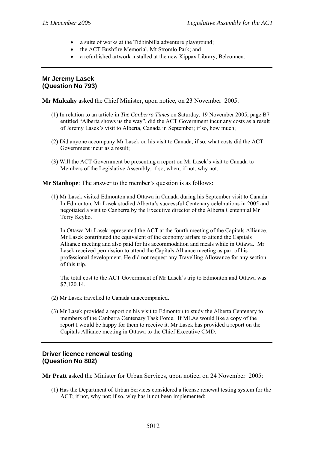- a suite of works at the Tidbinbilla adventure playground;
- the ACT Bushfire Memorial, Mt Stromlo Park; and
- a refurbished artwork installed at the new Kippax Library, Belconnen.

#### **Mr Jeremy Lasek (Question No 793)**

**Mr Mulcahy** asked the Chief Minister, upon notice, on 23 November 2005:

- (1) In relation to an article in *The Canberra Times* on Saturday, 19 November 2005, page B7 entitled "Alberta shows us the way", did the ACT Government incur any costs as a result of Jeremy Lasek's visit to Alberta, Canada in September; if so, how much;
- (2) Did anyone accompany Mr Lasek on his visit to Canada; if so, what costs did the ACT Government incur as a result;
- (3) Will the ACT Government be presenting a report on Mr Lasek's visit to Canada to Members of the Legislative Assembly; if so, when; if not, why not.

**Mr Stanhope**: The answer to the member's question is as follows:

(1) Mr Lasek visited Edmonton and Ottawa in Canada during his September visit to Canada. In Edmonton, Mr Lasek studied Alberta's successful Centenary celebrations in 2005 and negotiated a visit to Canberra by the Executive director of the Alberta Centennial Mr Terry Keyko.

In Ottawa Mr Lasek represented the ACT at the fourth meeting of the Capitals Alliance. Mr Lasek contributed the equivalent of the economy airfare to attend the Capitals Alliance meeting and also paid for his accommodation and meals while in Ottawa. Mr Lasek received permission to attend the Capitals Alliance meeting as part of his professional development. He did not request any Travelling Allowance for any section of this trip.

The total cost to the ACT Government of Mr Lasek's trip to Edmonton and Ottawa was \$7,120.14.

- (2) Mr Lasek travelled to Canada unaccompanied.
- (3) Mr Lasek provided a report on his visit to Edmonton to study the Alberta Centenary to members of the Canberra Centenary Task Force. If MLAs would like a copy of the report I would be happy for them to receive it. Mr Lasek has provided a report on the Capitals Alliance meeting in Ottawa to the Chief Executive CMD.

# **Driver licence renewal testing (Question No 802)**

**Mr Pratt** asked the Minister for Urban Services, upon notice, on 24 November 2005:

(1) Has the Department of Urban Services considered a license renewal testing system for the ACT; if not, why not; if so, why has it not been implemented;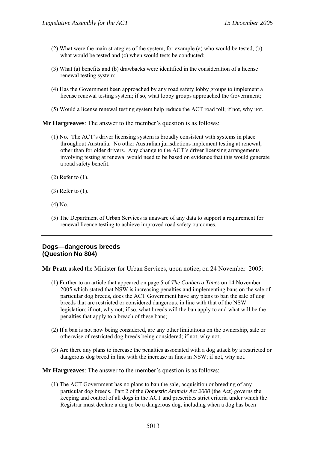- (2) What were the main strategies of the system, for example (a) who would be tested, (b) what would be tested and (c) when would tests be conducted;
- (3) What (a) benefits and (b) drawbacks were identified in the consideration of a license renewal testing system;
- (4) Has the Government been approached by any road safety lobby groups to implement a license renewal testing system; if so, what lobby groups approached the Government;
- (5) Would a license renewal testing system help reduce the ACT road toll; if not, why not.

- (1) No. The ACT's driver licensing system is broadly consistent with systems in place throughout Australia. No other Australian jurisdictions implement testing at renewal, other than for older drivers. Any change to the ACT's driver licensing arrangements involving testing at renewal would need to be based on evidence that this would generate a road safety benefit.
- (2) Refer to (1).
- (3) Refer to (1).
- (4) No.
- (5) The Department of Urban Services is unaware of any data to support a requirement for renewal licence testing to achieve improved road safety outcomes.

#### **Dogs—dangerous breeds (Question No 804)**

**Mr Pratt** asked the Minister for Urban Services, upon notice, on 24 November 2005:

- (1) Further to an article that appeared on page 5 of *The Canberra Times* on 14 November 2005 which stated that NSW is increasing penalties and implementing bans on the sale of particular dog breeds, does the ACT Government have any plans to ban the sale of dog breeds that are restricted or considered dangerous, in line with that of the NSW legislation; if not, why not; if so, what breeds will the ban apply to and what will be the penalties that apply to a breach of these bans;
- (2) If a ban is not now being considered, are any other limitations on the ownership, sale or otherwise of restricted dog breeds being considered; if not, why not;
- (3) Are there any plans to increase the penalties associated with a dog attack by a restricted or dangerous dog breed in line with the increase in fines in NSW; if not, why not.

**Mr Hargreaves**: The answer to the member's question is as follows:

(1) The ACT Government has no plans to ban the sale, acquisition or breeding of any particular dog breeds. Part 2 of the *Domestic Animals Act 2000* (the Act) governs the keeping and control of all dogs in the ACT and prescribes strict criteria under which the Registrar must declare a dog to be a dangerous dog, including when a dog has been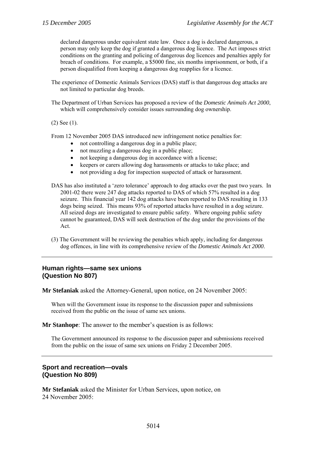declared dangerous under equivalent state law. Once a dog is declared dangerous, a person may only keep the dog if granted a dangerous dog licence. The Act imposes strict conditions on the granting and policing of dangerous dog licences and penalties apply for breach of conditions. For example, a \$5000 fine, six months imprisonment, or both, if a person disqualified from keeping a dangerous dog reapplies for a licence.

- The experience of Domestic Animals Services (DAS) staff is that dangerous dog attacks are not limited to particular dog breeds.
- The Department of Urban Services has proposed a review of the *Domestic Animals Act 2000*, which will comprehensively consider issues surrounding dog ownership.

(2) See (1).

From 12 November 2005 DAS introduced new infringement notice penalties for:

- not controlling a dangerous dog in a public place;
- not muzzling a dangerous dog in a public place;
- not keeping a dangerous dog in accordance with a license;
- keepers or carers allowing dog harassments or attacks to take place; and
- not providing a dog for inspection suspected of attack or harassment.
- DAS has also instituted a 'zero tolerance' approach to dog attacks over the past two years. In 2001-02 there were 247 dog attacks reported to DAS of which 57% resulted in a dog seizure. This financial year 142 dog attacks have been reported to DAS resulting in 133 dogs being seized. This means 93% of reported attacks have resulted in a dog seizure. All seized dogs are investigated to ensure public safety. Where ongoing public safety cannot be guaranteed, DAS will seek destruction of the dog under the provisions of the Act.
- (3) The Government will be reviewing the penalties which apply, including for dangerous dog offences, in line with its comprehensive review of the *Domestic Animals Act 2000*.

#### **Human rights—same sex unions (Question No 807)**

**Mr Stefaniak** asked the Attorney-General, upon notice, on 24 November 2005:

When will the Government issue its response to the discussion paper and submissions received from the public on the issue of same sex unions.

**Mr Stanhope**: The answer to the member's question is as follows:

The Government announced its response to the discussion paper and submissions received from the public on the issue of same sex unions on Friday 2 December 2005.

# **Sport and recreation—ovals (Question No 809)**

**Mr Stefaniak** asked the Minister for Urban Services, upon notice, on 24 November 2005: